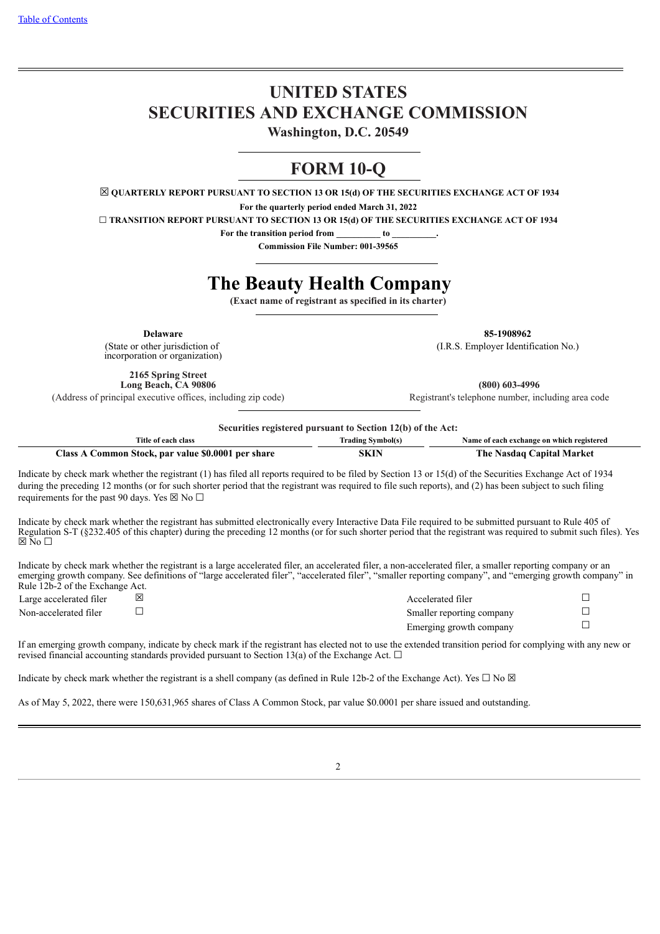# **UNITED STATES SECURITIES AND EXCHANGE COMMISSION**

**Washington, D.C. 20549**

# **FORM 10-Q**

☒ **QUARTERLY REPORT PURSUANT TO SECTION 13 OR 15(d) OF THE SECURITIES EXCHANGE ACT OF 1934**

**For the quarterly period ended March 31, 2022**

☐ **TRANSITION REPORT PURSUANT TO SECTION 13 OR 15(d) OF THE SECURITIES EXCHANGE ACT OF 1934**

For the transition period from \_\_\_\_\_\_\_\_\_\_\_ to

**Commission File Number: 001-39565**

# **The Beauty Health Company**

**(Exact name of registrant as specified in its charter)**

(State or other jurisdiction of incorporation or organization)

**Delaware 85-1908962** (I.R.S. Employer Identification No.)

**Long Beach, CA 90806 (800) 603-4996**

**2165 Spring Street** (Address of principal executive offices, including zip code) Registrant's telephone number, including area code

**Securities registered pursuant to Section 12(b) of the Act:**

| Title of each class                                | <b>Trading Symbol(s)</b> | Name of each exchange on which registered |  |  |  |  |  |
|----------------------------------------------------|--------------------------|-------------------------------------------|--|--|--|--|--|
| Class A Common Stock, par value \$0.0001 per share | SKIN                     | The Nasdaq Capital Market                 |  |  |  |  |  |

Indicate by check mark whether the registrant (1) has filed all reports required to be filed by Section 13 or 15(d) of the Securities Exchange Act of 1934 during the preceding 12 months (or for such shorter period that the registrant was required to file such reports), and (2) has been subject to such filing requirements for the past 90 days. Yes  $\boxtimes$  No  $\Box$ 

Indicate by check mark whether the registrant has submitted electronically every Interactive Data File required to be submitted pursuant to Rule 405 of Regulation S-T (§232.405 of this chapter) during the preceding 12 months (or for such shorter period that the registrant was required to submit such files). Yes  $\boxtimes$  No  $\Box$ 

Indicate by check mark whether the registrant is a large accelerated filer, an accelerated filer, a non-accelerated filer, a smaller reporting company or an emerging growth company. See definitions of "large accelerated filer", "accelerated filer", "smaller reporting company", and "emerging growth company" in Rule 12b-2 of the Exchange Act. Large accelerated filer  $□$   $□$ 

| Large accelerated filer | $\boxtimes$ | Accelerated filer         |  |
|-------------------------|-------------|---------------------------|--|
| Non-accelerated filer   |             | Smaller reporting company |  |
|                         |             | Emerging growth company   |  |

If an emerging growth company, indicate by check mark if the registrant has elected not to use the extended transition period for complying with any new or revised financial accounting standards provided pursuant to Section 13(a) of the Exchange Act.  $\Box$ 

Indicate by check mark whether the registrant is a shell company (as defined in Rule 12b-2 of the Exchange Act). Yes  $\Box$  No  $\boxtimes$ 

<span id="page-0-0"></span>As of May 5, 2022, there were 150,631,965 shares of Class A Common Stock, par value \$0.0001 per share issued and outstanding.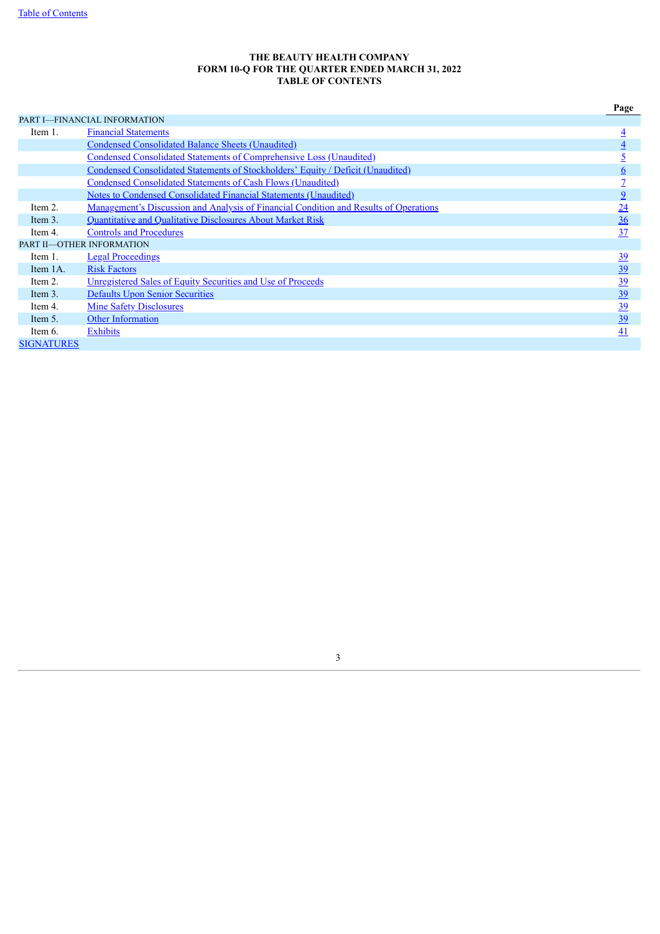# **THE BEAUTY HEALTH COMPANY FORM 10-Q FOR THE QUARTER ENDED MARCH 31, 2022 TABLE OF CONTENTS**

<span id="page-1-0"></span>

|                   |                                                                                              | Page             |
|-------------------|----------------------------------------------------------------------------------------------|------------------|
|                   | PART I-FINANCIAL INFORMATION                                                                 |                  |
| Item $1$ .        | <b>Financial Statements</b>                                                                  | $\overline{4}$   |
|                   | <b>Condensed Consolidated Balance Sheets (Unaudited)</b>                                     | $\overline{4}$   |
|                   | Condensed Consolidated Statements of Comprehensive Loss (Unaudited)                          | $\overline{5}$   |
|                   | Condensed Consolidated Statements of Stockholders' Equity / Deficit (Unaudited)              | $6 \overline{6}$ |
|                   | <b>Condensed Consolidated Statements of Cash Flows (Unaudited)</b>                           | $\overline{1}$   |
|                   | Notes to Condensed Consolidated Financial Statements (Unaudited)                             | $\overline{9}$   |
| Item 2.           | <u>Management's Discussion and Analysis of Financial Condition and Results of Operations</u> | 24               |
| Item 3.           | Quantitative and Qualitative Disclosures About Market Risk                                   | 36               |
| Item 4.           | <b>Controls and Procedures</b>                                                               | 37               |
|                   | PART II-OTHER INFORMATION                                                                    |                  |
| Item 1.           | <b>Legal Proceedings</b>                                                                     | <u>39</u>        |
| Item 1A.          | <b>Risk Factors</b>                                                                          | 39               |
| Item 2.           | Unregistered Sales of Equity Securities and Use of Proceeds                                  | <u>39</u>        |
| Item 3.           | <b>Defaults Upon Senior Securities</b>                                                       | 39               |
| Item 4.           | <b>Mine Safety Disclosures</b>                                                               | <u>39</u>        |
| Item $51$         | <b>Other Information</b>                                                                     | <u>39</u>        |
| Item $6$ .        | <b>Exhibits</b>                                                                              | 41               |
| <b>SIGNATURES</b> |                                                                                              |                  |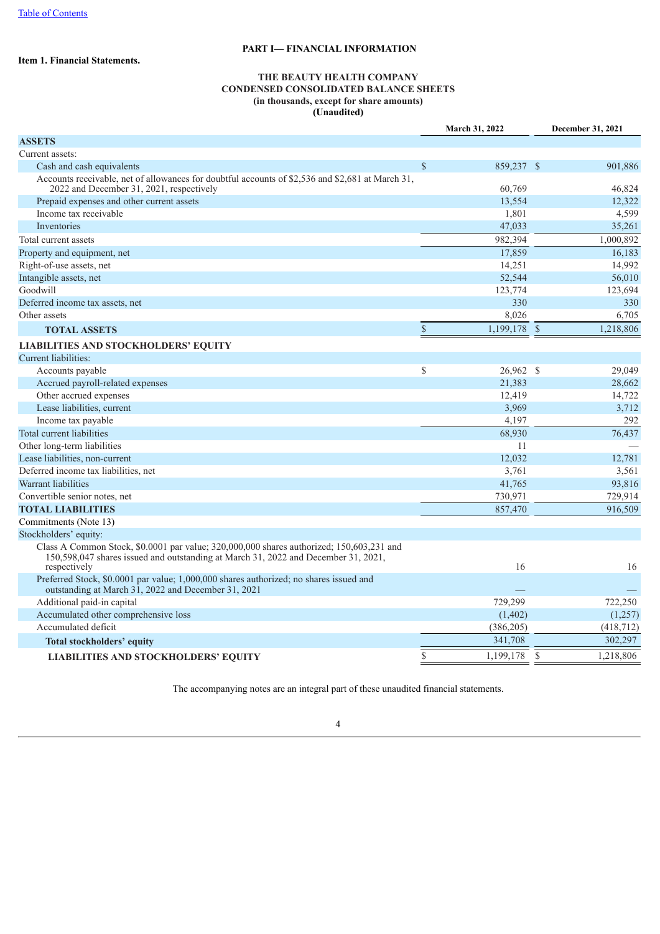<span id="page-2-0"></span>**Item 1. Financial Statements.**

# **PART I— FINANCIAL INFORMATION**

# **THE BEAUTY HEALTH COMPANY CONDENSED CONSOLIDATED BALANCE SHEETS (in thousands, except for share amounts) (Unaudited)**

|                                                                                                                                                                                                 |               | <b>March 31, 2022</b> |               | December 31, 2021 |
|-------------------------------------------------------------------------------------------------------------------------------------------------------------------------------------------------|---------------|-----------------------|---------------|-------------------|
| <b>ASSETS</b>                                                                                                                                                                                   |               |                       |               |                   |
| Current assets:                                                                                                                                                                                 |               |                       |               |                   |
| Cash and cash equivalents                                                                                                                                                                       | $\mathcal{S}$ | 859,237 \$            |               | 901,886           |
| Accounts receivable, net of allowances for doubtful accounts of \$2,536 and \$2,681 at March 31,<br>2022 and December 31, 2021, respectively                                                    |               | 60,769                |               | 46,824            |
| Prepaid expenses and other current assets                                                                                                                                                       |               | 13,554                |               | 12,322            |
| Income tax receivable                                                                                                                                                                           |               | 1,801                 |               | 4,599             |
| Inventories                                                                                                                                                                                     |               | 47,033                |               | 35,261            |
| Total current assets                                                                                                                                                                            |               | 982,394               |               | 1.000.892         |
| Property and equipment, net                                                                                                                                                                     |               | 17,859                |               | 16,183            |
| Right-of-use assets, net                                                                                                                                                                        |               | 14,251                |               | 14,992            |
| Intangible assets, net                                                                                                                                                                          |               | 52,544                |               | 56,010            |
| Goodwill                                                                                                                                                                                        |               | 123,774               |               | 123,694           |
| Deferred income tax assets, net                                                                                                                                                                 |               | 330                   |               | 330               |
| Other assets                                                                                                                                                                                    |               | 8,026                 |               | 6,705             |
| <b>TOTAL ASSETS</b>                                                                                                                                                                             | \$            | 1,199,178 \$          |               | 1,218,806         |
| <b>LIABILITIES AND STOCKHOLDERS' EQUITY</b>                                                                                                                                                     |               |                       |               |                   |
| Current liabilities:                                                                                                                                                                            |               |                       |               |                   |
| Accounts payable                                                                                                                                                                                | $\mathcal{S}$ | 26,962 \$             |               | 29,049            |
| Accrued payroll-related expenses                                                                                                                                                                |               | 21,383                |               | 28,662            |
| Other accrued expenses                                                                                                                                                                          |               | 12,419                |               | 14,722            |
| Lease liabilities, current                                                                                                                                                                      |               | 3,969                 |               | 3,712             |
| Income tax payable                                                                                                                                                                              |               | 4,197                 |               | 292               |
| Total current liabilities                                                                                                                                                                       |               | 68,930                |               | 76,437            |
| Other long-term liabilities                                                                                                                                                                     |               | 11                    |               |                   |
| Lease liabilities, non-current                                                                                                                                                                  |               | 12,032                |               | 12,781            |
| Deferred income tax liabilities, net                                                                                                                                                            |               | 3,761                 |               | 3,561             |
| Warrant liabilities                                                                                                                                                                             |               | 41,765                |               | 93,816            |
| Convertible senior notes, net                                                                                                                                                                   |               | 730,971               |               | 729,914           |
| <b>TOTAL LIABILITIES</b>                                                                                                                                                                        |               | 857,470               |               | 916,509           |
| Commitments (Note 13)                                                                                                                                                                           |               |                       |               |                   |
| Stockholders' equity:                                                                                                                                                                           |               |                       |               |                   |
| Class A Common Stock, $$0.0001$ par value; 320,000,000 shares authorized; 150,603,231 and<br>150,598,047 shares issued and outstanding at March 31, 2022 and December 31, 2021,<br>respectively |               | 16                    |               | 16                |
| Preferred Stock, \$0.0001 par value; 1,000,000 shares authorized; no shares issued and<br>outstanding at March 31, 2022 and December 31, 2021                                                   |               |                       |               |                   |
| Additional paid-in capital                                                                                                                                                                      |               | 729,299               |               | 722,250           |
| Accumulated other comprehensive loss                                                                                                                                                            |               | (1,402)               |               | (1,257)           |
| Accumulated deficit                                                                                                                                                                             |               | (386, 205)            |               | (418, 712)        |
| Total stockholders' equity                                                                                                                                                                      |               | 341,708               |               | 302,297           |
| <b>LIABILITIES AND STOCKHOLDERS' EQUITY</b>                                                                                                                                                     | \$            | 1,199,178             | $\mathcal{S}$ | 1.218.806         |

<span id="page-2-1"></span>The accompanying notes are an integral part of these unaudited financial statements.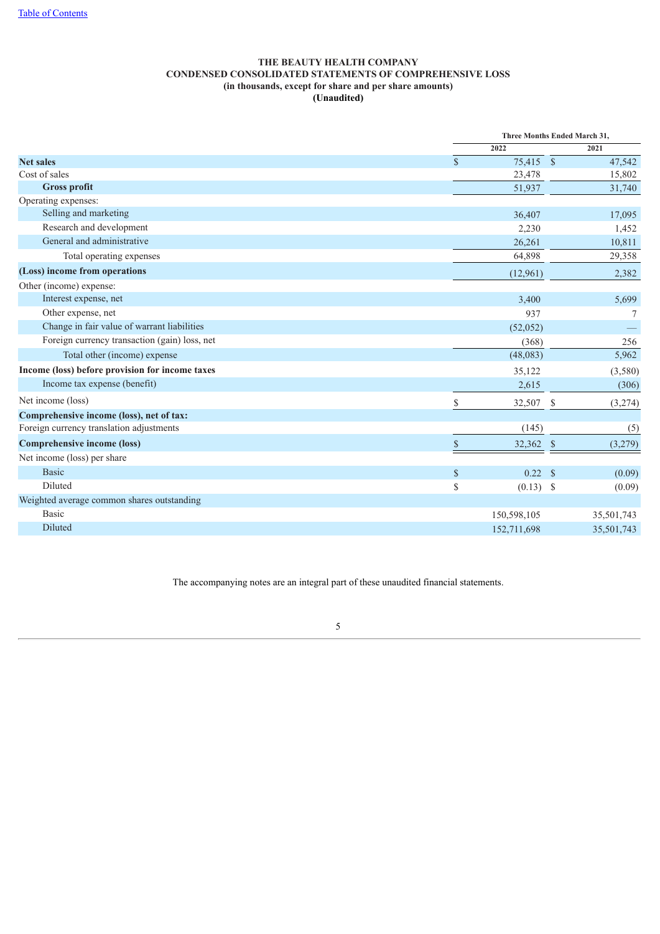# **THE BEAUTY HEALTH COMPANY CONDENSED CONSOLIDATED STATEMENTS OF COMPREHENSIVE LOSS (in thousands, except for share and per share amounts) (Unaudited)**

|                                                 |               | <b>Three Months Ended March 31,</b> |  |            |  |
|-------------------------------------------------|---------------|-------------------------------------|--|------------|--|
|                                                 |               | 2022                                |  | 2021       |  |
| <b>Net sales</b>                                | $\mathcal{S}$ | 75,415 \$                           |  | 47,542     |  |
| Cost of sales                                   |               | 23,478                              |  | 15,802     |  |
| <b>Gross profit</b>                             |               | 51,937                              |  | 31,740     |  |
| Operating expenses:                             |               |                                     |  |            |  |
| Selling and marketing                           |               | 36,407                              |  | 17,095     |  |
| Research and development                        |               | 2,230                               |  | 1,452      |  |
| General and administrative                      |               | 26,261                              |  | 10,811     |  |
| Total operating expenses                        |               | 64,898                              |  | 29,358     |  |
| (Loss) income from operations                   |               | (12,961)                            |  | 2,382      |  |
| Other (income) expense:                         |               |                                     |  |            |  |
| Interest expense, net                           |               | 3,400                               |  | 5,699      |  |
| Other expense, net                              |               | 937                                 |  | 7          |  |
| Change in fair value of warrant liabilities     |               | (52,052)                            |  |            |  |
| Foreign currency transaction (gain) loss, net   |               | (368)                               |  | 256        |  |
| Total other (income) expense                    |               | (48,083)                            |  | 5,962      |  |
| Income (loss) before provision for income taxes |               | 35,122                              |  | (3,580)    |  |
| Income tax expense (benefit)                    |               | 2,615                               |  | (306)      |  |
| Net income (loss)                               | \$            | 32,507 \$                           |  | (3,274)    |  |
| Comprehensive income (loss), net of tax:        |               |                                     |  |            |  |
| Foreign currency translation adjustments        |               | (145)                               |  | (5)        |  |
| <b>Comprehensive income (loss)</b>              | \$            | 32,362 \$                           |  | (3,279)    |  |
| Net income (loss) per share                     |               |                                     |  |            |  |
| <b>Basic</b>                                    | $\mathcal{S}$ | 0.22 S                              |  | (0.09)     |  |
| Diluted                                         | \$            | $(0.13)$ \$                         |  | (0.09)     |  |
| Weighted average common shares outstanding      |               |                                     |  |            |  |
| <b>Basic</b>                                    |               | 150,598,105                         |  | 35,501,743 |  |
| Diluted                                         |               | 152,711,698                         |  | 35,501,743 |  |

<span id="page-3-0"></span>The accompanying notes are an integral part of these unaudited financial statements.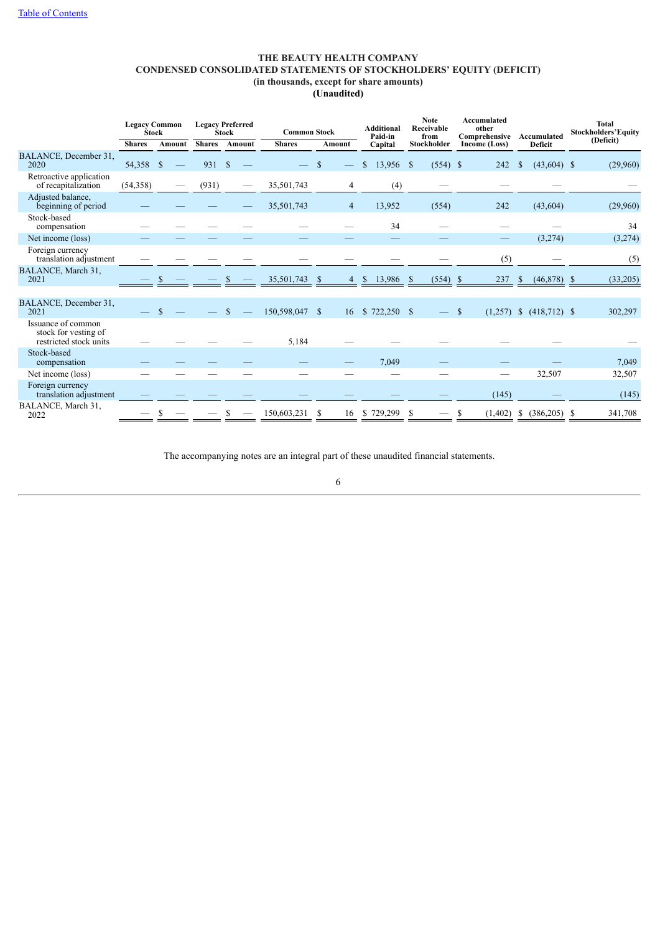# **THE BEAUTY HEALTH COMPANY CONDENSED CONSOLIDATED STATEMENTS OF STOCKHOLDERS' EQUITY (DEFICIT) (in thousands, except for share amounts)**

**(Unaudited)**

|                                                                      |               | <b>Legacy Common</b><br><b>Stock</b> |               | <b>Legacy Preferred</b><br><b>Stock</b> | <b>Common Stock</b> |                    |               | <b>Additional</b><br>Paid-in |     | <b>Note</b><br>Receivable<br>from |      | Accumulated<br>other<br>Comprehensive |               | Accumulated    | <b>Total</b><br><b>Stockholders'Equity</b> |
|----------------------------------------------------------------------|---------------|--------------------------------------|---------------|-----------------------------------------|---------------------|--------------------|---------------|------------------------------|-----|-----------------------------------|------|---------------------------------------|---------------|----------------|--------------------------------------------|
|                                                                      | <b>Shares</b> | <b>Amount</b>                        | <b>Shares</b> | Amount                                  | <b>Shares</b>       | Amount             |               | Capital                      |     | <b>Stockholder</b>                |      | Income (Loss)                         |               | <b>Deficit</b> | (Deficit)                                  |
| BALANCE, December 31,<br>2020                                        | 54,358        | -S                                   | 931           | $\mathcal{S}$                           |                     | $\mathbf{\hat{s}}$ | <sup>\$</sup> | 13,956                       | -S  | $(554)$ \$                        |      | 242                                   | S             | $(43,604)$ \$  | (29,960)                                   |
| Retroactive application<br>of recapitalization                       | (54,358)      |                                      | (931)         |                                         | 35,501,743          | 4                  |               | (4)                          |     |                                   |      |                                       |               |                |                                            |
| Adjusted balance,<br>beginning of period                             |               |                                      |               |                                         | 35,501,743          | $\overline{4}$     |               | 13,952                       |     | (554)                             |      | 242                                   |               | (43,604)       | (29,960)                                   |
| Stock-based<br>compensation                                          |               |                                      |               |                                         |                     |                    |               | 34                           |     |                                   |      |                                       |               |                | 34                                         |
| Net income (loss)                                                    |               |                                      |               |                                         |                     |                    |               |                              |     |                                   |      |                                       |               | (3,274)        | (3,274)                                    |
| Foreign currency<br>translation adjustment                           |               |                                      |               |                                         |                     |                    |               |                              |     |                                   |      | (5)                                   |               |                | (5)                                        |
| BALANCE, March 31,<br>2021                                           |               |                                      |               |                                         | 35,501,743          | <sup>\$</sup><br>4 | <sup>S</sup>  | 13,986                       | -S  | (554)                             | - \$ | 237                                   | <sup>\$</sup> | $(46,878)$ \$  | (33,205)                                   |
|                                                                      |               |                                      |               |                                         |                     |                    |               |                              |     |                                   |      |                                       |               |                |                                            |
| BALANCE, December 31,<br>2021                                        |               |                                      |               |                                         | 150,598,047         | <sup>\$</sup>      |               | 16 \$722,250                 | -\$ | $\overline{\phantom{0}}$          | - \$ | $(1,257)$ \$                          |               | $(418,712)$ \$ | 302,297                                    |
| Issuance of common<br>stock for vesting of<br>restricted stock units |               |                                      |               |                                         | 5,184               |                    |               |                              |     |                                   |      |                                       |               |                |                                            |
| Stock-based<br>compensation                                          |               |                                      |               |                                         |                     |                    |               | 7,049                        |     |                                   |      |                                       |               |                | 7,049                                      |
| Net income (loss)                                                    |               |                                      |               |                                         |                     |                    |               |                              |     |                                   |      |                                       |               | 32,507         | 32,507                                     |
| Foreign currency<br>translation adjustment                           |               |                                      |               |                                         |                     |                    |               |                              |     |                                   |      | (145)                                 |               |                | (145)                                      |
| BALANCE, March 31,<br>2022                                           |               |                                      |               |                                         | 150,603,231         | S<br>16            |               | \$729,299                    | S   |                                   | S    | (1, 402)                              | S.            | $(386,205)$ \$ | 341,708                                    |

<span id="page-4-0"></span>The accompanying notes are an integral part of these unaudited financial statements.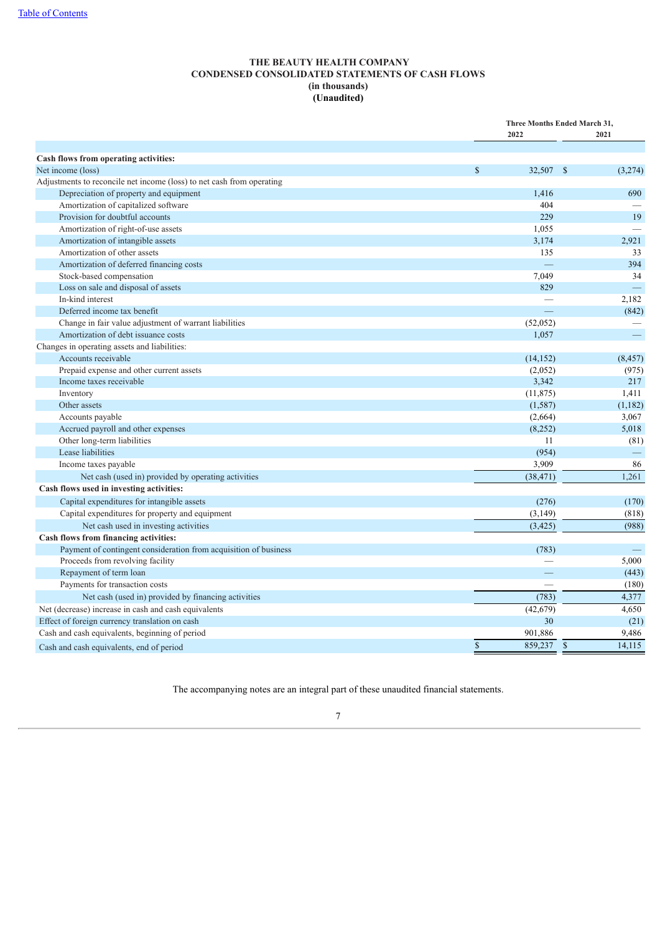# **THE BEAUTY HEALTH COMPANY CONDENSED CONSOLIDATED STATEMENTS OF CASH FLOWS (in thousands) (Unaudited)**

|                                                                                |              | Three Months Ended March 31, |             |          |  |
|--------------------------------------------------------------------------------|--------------|------------------------------|-------------|----------|--|
|                                                                                |              | 2022                         |             | 2021     |  |
|                                                                                |              |                              |             |          |  |
| Cash flows from operating activities:<br>Net income (loss)                     | $\mathbf S$  | 32,507 \$                    |             | (3,274)  |  |
|                                                                                |              |                              |             |          |  |
| Adjustments to reconcile net income (loss) to net cash from operating          |              | 1,416                        |             | 690      |  |
| Depreciation of property and equipment<br>Amortization of capitalized software |              | 404                          |             |          |  |
| Provision for doubtful accounts                                                |              | 229                          |             | 19       |  |
| Amortization of right-of-use assets                                            |              | 1,055                        |             |          |  |
| Amortization of intangible assets                                              |              | 3,174                        |             | 2,921    |  |
| Amortization of other assets                                                   |              | 135                          |             | 33       |  |
| Amortization of deferred financing costs                                       |              |                              |             | 394      |  |
| Stock-based compensation                                                       |              | 7,049                        |             | 34       |  |
| Loss on sale and disposal of assets                                            |              | 829                          |             |          |  |
| In-kind interest                                                               |              |                              |             | 2,182    |  |
| Deferred income tax benefit                                                    |              |                              |             | (842)    |  |
| Change in fair value adjustment of warrant liabilities                         |              | (52,052)                     |             |          |  |
| Amortization of debt issuance costs                                            |              | 1,057                        |             |          |  |
| Changes in operating assets and liabilities:                                   |              |                              |             |          |  |
| Accounts receivable                                                            |              | (14, 152)                    |             | (8, 457) |  |
| Prepaid expense and other current assets                                       |              | (2,052)                      |             | (975)    |  |
| Income taxes receivable                                                        |              | 3,342                        |             | 217      |  |
| Inventory                                                                      |              | (11, 875)                    |             | 1,411    |  |
| Other assets                                                                   |              | (1, 587)                     |             | (1,182)  |  |
| Accounts payable                                                               |              | (2,664)                      |             | 3,067    |  |
| Accrued payroll and other expenses                                             |              | (8,252)                      |             | 5,018    |  |
| Other long-term liabilities                                                    |              | 11                           |             | (81)     |  |
| Lease liabilities                                                              |              | (954)                        |             |          |  |
| Income taxes payable                                                           |              | 3,909                        |             | 86       |  |
| Net cash (used in) provided by operating activities                            |              | (38, 471)                    |             | 1,261    |  |
|                                                                                |              |                              |             |          |  |
| Cash flows used in investing activities:                                       |              |                              |             |          |  |
| Capital expenditures for intangible assets                                     |              | (276)                        |             | (170)    |  |
| Capital expenditures for property and equipment                                |              | (3, 149)                     |             | (818)    |  |
| Net cash used in investing activities                                          |              | (3, 425)                     |             | (988)    |  |
| Cash flows from financing activities:                                          |              |                              |             |          |  |
| Payment of contingent consideration from acquisition of business               |              | (783)                        |             |          |  |
| Proceeds from revolving facility                                               |              |                              |             | 5,000    |  |
| Repayment of term loan                                                         |              |                              |             | (443)    |  |
| Payments for transaction costs                                                 |              |                              |             | (180)    |  |
| Net cash (used in) provided by financing activities                            |              | (783)                        |             | 4,377    |  |
| Net (decrease) increase in cash and cash equivalents                           |              | (42, 679)                    |             | 4,650    |  |
| Effect of foreign currency translation on cash                                 |              | 30                           |             | (21)     |  |
| Cash and cash equivalents, beginning of period                                 |              | 901,886                      |             | 9,486    |  |
| Cash and cash equivalents, end of period                                       | $\mathbb{S}$ | 859,237                      | $\mathbf S$ | 14,115   |  |

The accompanying notes are an integral part of these unaudited financial statements.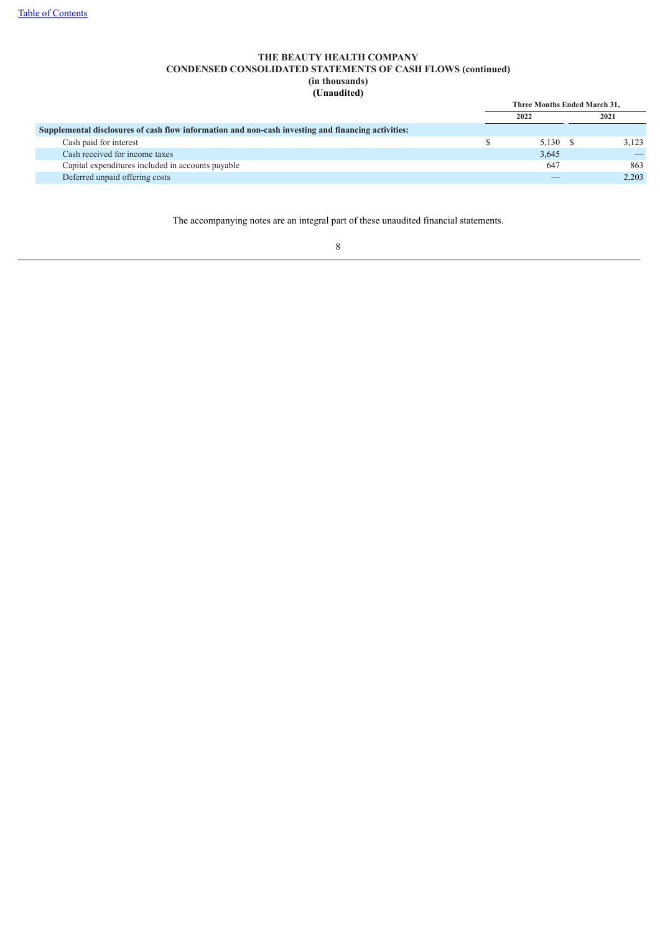# **THE BEAUTY HEALTH COMPANY CONDENSED CONSOLIDATED STATEMENTS OF CASH FLOWS (continued) (in thousands) (Unaudited)**

<span id="page-6-0"></span>

|                                                                                                    | Three Months Ended March 31, |       |  |       |
|----------------------------------------------------------------------------------------------------|------------------------------|-------|--|-------|
|                                                                                                    | 2022                         |       |  | 2021  |
| Supplemental disclosures of cash flow information and non-cash investing and financing activities: |                              |       |  |       |
| Cash paid for interest                                                                             |                              | 5.130 |  | 3.123 |
| Cash received for income taxes                                                                     |                              | 3,645 |  |       |
| Capital expenditures included in accounts payable                                                  |                              | 647   |  | 863   |
| Deferred unpaid offering costs                                                                     |                              |       |  | 2,203 |

The accompanying notes are an integral part of these unaudited financial statements.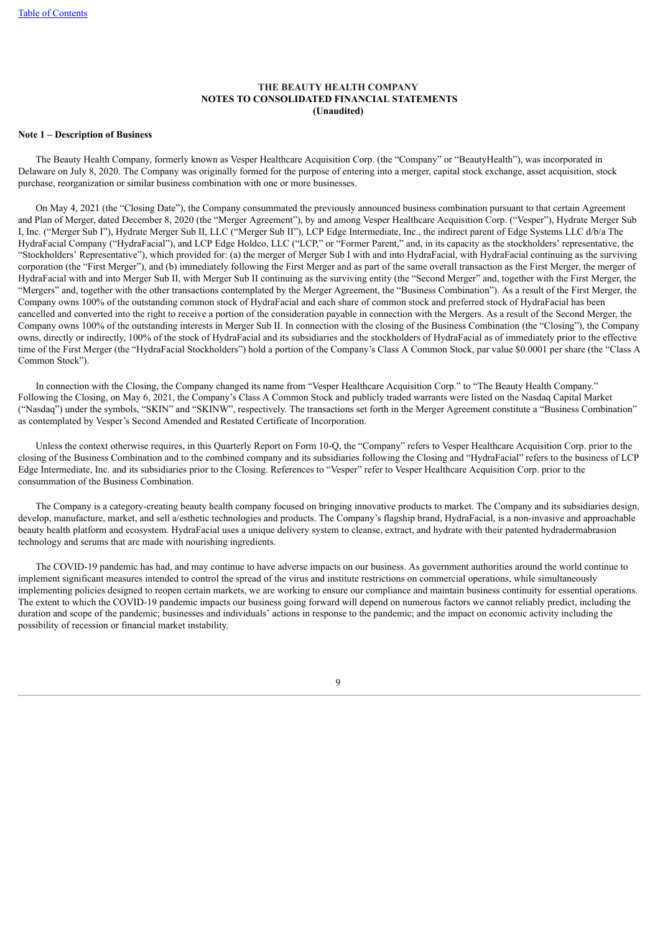# **THE BEAUTY HEALTH COMPANY NOTES TO CONSOLIDATED FINANCIAL STATEMENTS (Unaudited)**

#### **Note 1 – Description of Business**

The Beauty Health Company, formerly known as Vesper Healthcare Acquisition Corp. (the "Company" or "BeautyHealth"), was incorporated in Delaware on July 8, 2020. The Company was originally formed for the purpose of entering into a merger, capital stock exchange, asset acquisition, stock purchase, reorganization or similar business combination with one or more businesses.

On May 4, 2021 (the "Closing Date"), the Company consummated the previously announced business combination pursuant to that certain Agreement and Plan of Merger, dated December 8, 2020 (the "Merger Agreement"), by and among Vesper Healthcare Acquisition Corp. ("Vesper"), Hydrate Merger Sub I, Inc. ("Merger Sub I"), Hydrate Merger Sub II, LLC ("Merger Sub II"), LCP Edge Intermediate, Inc., the indirect parent of Edge Systems LLC d/b/a The HydraFacial Company ("HydraFacial"), and LCP Edge Holdco, LLC ("LCP," or "Former Parent," and, in its capacity as the stockholders' representative, the "Stockholders' Representative"), which provided for: (a) the merger of Merger Sub I with and into HydraFacial, with HydraFacial continuing as the surviving corporation (the "First Merger"), and (b) immediately following the First Merger and as part of the same overall transaction as the First Merger, the merger of HydraFacial with and into Merger Sub II, with Merger Sub II continuing as the surviving entity (the "Second Merger" and, together with the First Merger, the "Mergers" and, together with the other transactions contemplated by the Merger Agreement, the "Business Combination"). As a result of the First Merger, the Company owns 100% of the outstanding common stock of HydraFacial and each share of common stock and preferred stock of HydraFacial has been cancelled and converted into the right to receive a portion of the consideration payable in connection with the Mergers. As a result of the Second Merger, the Company owns 100% of the outstanding interests in Merger Sub II. In connection with the closing of the Business Combination (the "Closing"), the Company owns, directly or indirectly, 100% of the stock of HydraFacial and its subsidiaries and the stockholders of HydraFacial as of immediately prior to the effective time of the First Merger (the "HydraFacial Stockholders") hold a portion of the Company's Class A Common Stock, par value \$0.0001 per share (the "Class A Common Stock").

In connection with the Closing, the Company changed its name from "Vesper Healthcare Acquisition Corp." to "The Beauty Health Company." Following the Closing, on May 6, 2021, the Company's Class A Common Stock and publicly traded warrants were listed on the Nasdaq Capital Market ("Nasdaq") under the symbols, "SKIN" and "SKINW", respectively. The transactions set forth in the Merger Agreement constitute a "Business Combination" as contemplated by Vesper's Second Amended and Restated Certificate of Incorporation.

Unless the context otherwise requires, in this Quarterly Report on Form 10-O, the "Company" refers to Vesper Healthcare Acquisition Corp. prior to the closing of the Business Combination and to the combined company and its subsidiaries following the Closing and "HydraFacial" refers to the business of LCP Edge Intermediate, Inc. and its subsidiaries prior to the Closing. References to "Vesper" refer to Vesper Healthcare Acquisition Corp. prior to the consummation of the Business Combination.

The Company is a category-creating beauty health company focused on bringing innovative products to market. The Company and its subsidiaries design, develop, manufacture, market, and sell a/esthetic technologies and products. The Company's flagship brand, HydraFacial, is a non-invasive and approachable beauty health platform and ecosystem. HydraFacial uses a unique delivery system to cleanse, extract, and hydrate with their patented hydradermabrasion technology and serums that are made with nourishing ingredients.

The COVID-19 pandemic has had, and may continue to have adverse impacts on our business. As government authorities around the world continue to implement significant measures intended to control the spread of the virus and institute restrictions on commercial operations, while simultaneously implementing policies designed to reopen certain markets, we are working to ensure our compliance and maintain business continuity for essential operations. The extent to which the COVID-19 pandemic impacts our business going forward will depend on numerous factors we cannot reliably predict, including the duration and scope of the pandemic; businesses and individuals' actions in response to the pandemic; and the impact on economic activity including the possibility of recession or financial market instability.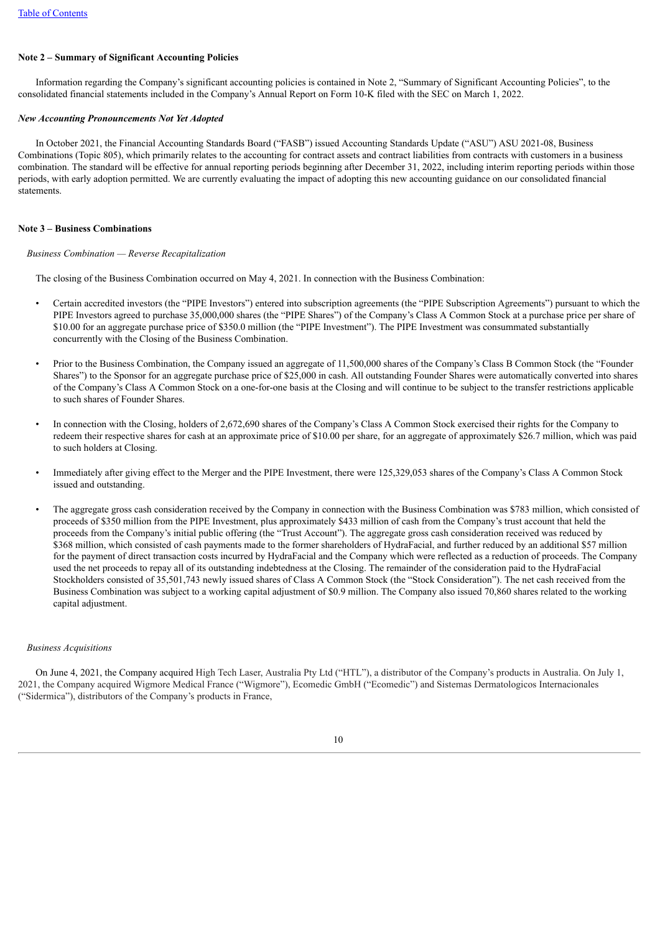# **Note 2 – Summary of Significant Accounting Policies**

Information regarding the Company's significant accounting policies is contained in Note 2, "Summary of Significant Accounting Policies", to the consolidated financial statements included in the Company's Annual Report on Form 10-K filed with the SEC on March 1, 2022.

# *New Accounting Pronouncements Not Yet Adopted*

In October 2021, the Financial Accounting Standards Board ("FASB") issued Accounting Standards Update ("ASU") ASU 2021-08, Business Combinations (Topic 805), which primarily relates to the accounting for contract assets and contract liabilities from contracts with customers in a business combination. The standard will be effective for annual reporting periods beginning after December 31, 2022, including interim reporting periods within those periods, with early adoption permitted. We are currently evaluating the impact of adopting this new accounting guidance on our consolidated financial statements.

# **Note 3 – Business Combinations**

# *Business Combination — Reverse Recapitalization*

The closing of the Business Combination occurred on May 4, 2021. In connection with the Business Combination:

- Certain accredited investors (the "PIPE Investors") entered into subscription agreements (the "PIPE Subscription Agreements") pursuant to which the PIPE Investors agreed to purchase 35,000,000 shares (the "PIPE Shares") of the Company's Class A Common Stock at a purchase price per share of \$10.00 for an aggregate purchase price of \$350.0 million (the "PIPE Investment"). The PIPE Investment was consummated substantially concurrently with the Closing of the Business Combination.
- Prior to the Business Combination, the Company issued an aggregate of 11,500,000 shares of the Company's Class B Common Stock (the "Founder Shares") to the Sponsor for an aggregate purchase price of \$25,000 in cash. All outstanding Founder Shares were automatically converted into shares of the Company's Class A Common Stock on a one-for-one basis at the Closing and will continue to be subject to the transfer restrictions applicable to such shares of Founder Shares.
- In connection with the Closing, holders of 2,672,690 shares of the Company's Class A Common Stock exercised their rights for the Company to redeem their respective shares for cash at an approximate price of \$10.00 per share, for an aggregate of approximately \$26.7 million, which was paid to such holders at Closing.
- Immediately after giving effect to the Merger and the PIPE Investment, there were 125,329,053 shares of the Company's Class A Common Stock issued and outstanding.
- The aggregate gross cash consideration received by the Company in connection with the Business Combination was \$783 million, which consisted of proceeds of \$350 million from the PIPE Investment, plus approximately \$433 million of cash from the Company's trust account that held the proceeds from the Company's initial public offering (the "Trust Account"). The aggregate gross cash consideration received was reduced by \$368 million, which consisted of cash payments made to the former shareholders of HydraFacial, and further reduced by an additional \$57 million for the payment of direct transaction costs incurred by HydraFacial and the Company which were reflected as a reduction of proceeds. The Company used the net proceeds to repay all of its outstanding indebtedness at the Closing. The remainder of the consideration paid to the HydraFacial Stockholders consisted of 35,501,743 newly issued shares of Class A Common Stock (the "Stock Consideration"). The net cash received from the Business Combination was subject to a working capital adjustment of \$0.9 million. The Company also issued 70,860 shares related to the working capital adjustment.

# *Business Acquisitions*

On June 4, 2021, the Company acquired High Tech Laser, Australia Pty Ltd ("HTL"), a distributor of the Company's products in Australia. On July 1, 2021, the Company acquired Wigmore Medical France ("Wigmore"), Ecomedic GmbH ("Ecomedic") and Sistemas Dermatologicos Internacionales ("Sidermica"), distributors of the Company's products in France,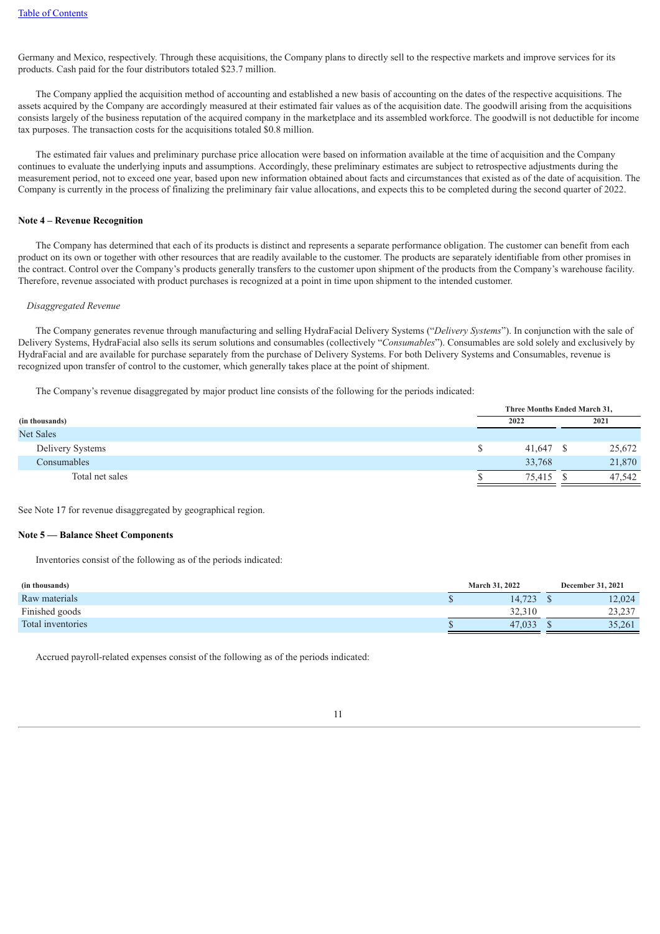Germany and Mexico, respectively. Through these acquisitions, the Company plans to directly sell to the respective markets and improve services for its products. Cash paid for the four distributors totaled \$23.7 million.

The Company applied the acquisition method of accounting and established a new basis of accounting on the dates of the respective acquisitions. The assets acquired by the Company are accordingly measured at their estimated fair values as of the acquisition date. The goodwill arising from the acquisitions consists largely of the business reputation of the acquired company in the marketplace and its assembled workforce. The goodwill is not deductible for income tax purposes. The transaction costs for the acquisitions totaled \$0.8 million.

The estimated fair values and preliminary purchase price allocation were based on information available at the time of acquisition and the Company continues to evaluate the underlying inputs and assumptions. Accordingly, these preliminary estimates are subject to retrospective adjustments during the measurement period, not to exceed one year, based upon new information obtained about facts and circumstances that existed as of the date of acquisition. The Company is currently in the process of finalizing the preliminary fair value allocations, and expects this to be completed during the second quarter of 2022.

#### **Note 4 – Revenue Recognition**

The Company has determined that each of its products is distinct and represents a separate performance obligation. The customer can benefit from each product on its own or together with other resources that are readily available to the customer. The products are separately identifiable from other promises in the contract. Control over the Company's products generally transfers to the customer upon shipment of the products from the Company's warehouse facility. Therefore, revenue associated with product purchases is recognized at a point in time upon shipment to the intended customer.

#### *Disaggregated Revenue*

The Company generates revenue through manufacturing and selling HydraFacial Delivery Systems ("*Delivery Systems*"). In conjunction with the sale of Delivery Systems, HydraFacial also sells its serum solutions and consumables (collectively "*Consumables*"). Consumables are sold solely and exclusively by HydraFacial and are available for purchase separately from the purchase of Delivery Systems. For both Delivery Systems and Consumables, revenue is recognized upon transfer of control to the customer, which generally takes place at the point of shipment.

The Company's revenue disaggregated by major product line consists of the following for the periods indicated:

|                  |      | Three Months Ended March 31, |  |        |  |
|------------------|------|------------------------------|--|--------|--|
| (in thousands)   | 2022 |                              |  | 2021   |  |
| <b>Net Sales</b> |      |                              |  |        |  |
| Delivery Systems |      | 41.647 \$                    |  | 25,672 |  |
| Consumables      |      | 33,768                       |  | 21,870 |  |
| Total net sales  |      | 75,415                       |  | 47,542 |  |

See Note 17 for revenue disaggregated by geographical region.

#### **Note 5 — Balance Sheet Components**

Inventories consist of the following as of the periods indicated:

| (in thousands)    | <b>March 31, 2022</b> |        |  | December 31, 2021      |
|-------------------|-----------------------|--------|--|------------------------|
| Raw materials     |                       | 4.723  |  | 2.024                  |
| Finished goods    |                       |        |  | $, \Delta2$<br>ا زے.دے |
| Total inventories |                       | 47.033 |  | 35,261                 |

Accrued payroll-related expenses consist of the following as of the periods indicated: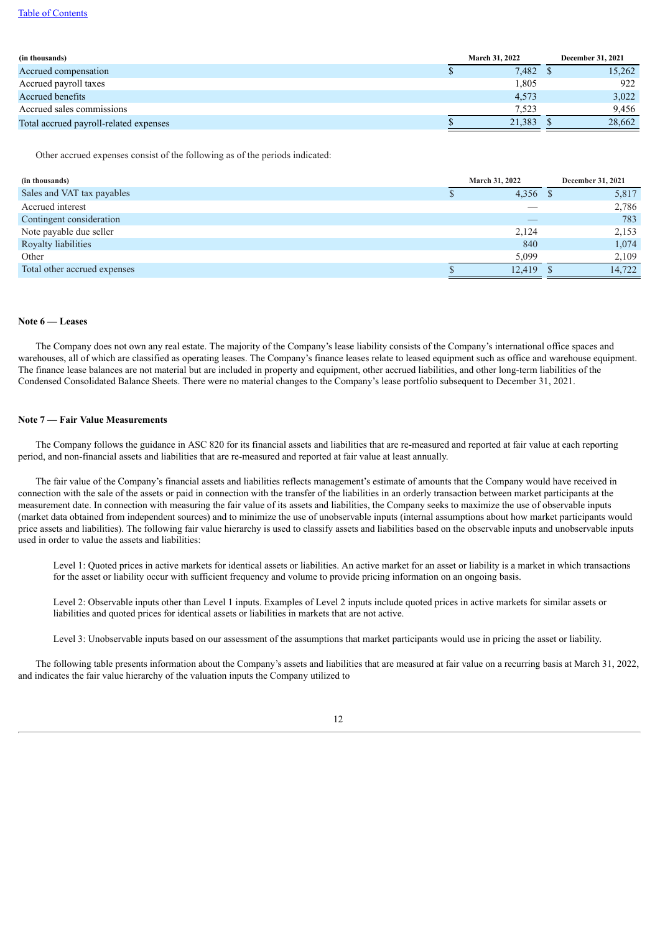| (in thousands)                         | <b>March 31, 2022</b> | <b>December 31, 2021</b> |
|----------------------------------------|-----------------------|--------------------------|
| Accrued compensation                   | 7.482                 | 15,262                   |
| Accrued payroll taxes                  | 805. ا                | 922                      |
| Accrued benefits                       | 4,573                 | 3,022                    |
| Accrued sales commissions              | 7.523                 | 9.456                    |
| Total accrued payroll-related expenses | 21,383                | 28,662                   |

Other accrued expenses consist of the following as of the periods indicated:

| (in thousands)               | March 31, 2022 |            |  | December 31, 2021 |
|------------------------------|----------------|------------|--|-------------------|
| Sales and VAT tax payables   |                | $4,356$ \$ |  | 5,817             |
| Accrued interest             |                |            |  | 2,786             |
| Contingent consideration     |                |            |  | 783               |
| Note payable due seller      |                | 2,124      |  | 2,153             |
| Royalty liabilities          |                | 840        |  | 1,074             |
| Other                        |                | 5.099      |  | 2,109             |
| Total other accrued expenses |                | 12.419     |  | 14.722            |

## **Note 6 — Leases**

The Company does not own any real estate. The majority of the Company's lease liability consists of the Company's international office spaces and warehouses, all of which are classified as operating leases. The Company's finance leases relate to leased equipment such as office and warehouse equipment. The finance lease balances are not material but are included in property and equipment, other accrued liabilities, and other long-term liabilities of the Condensed Consolidated Balance Sheets. There were no material changes to the Company's lease portfolio subsequent to December 31, 2021.

## **Note 7 — Fair Value Measurements**

The Company follows the guidance in ASC 820 for its financial assets and liabilities that are re-measured and reported at fair value at each reporting period, and non-financial assets and liabilities that are re-measured and reported at fair value at least annually.

The fair value of the Company's financial assets and liabilities reflects management's estimate of amounts that the Company would have received in connection with the sale of the assets or paid in connection with the transfer of the liabilities in an orderly transaction between market participants at the measurement date. In connection with measuring the fair value of its assets and liabilities, the Company seeks to maximize the use of observable inputs (market data obtained from independent sources) and to minimize the use of unobservable inputs (internal assumptions about how market participants would price assets and liabilities). The following fair value hierarchy is used to classify assets and liabilities based on the observable inputs and unobservable inputs used in order to value the assets and liabilities:

Level 1: Quoted prices in active markets for identical assets or liabilities. An active market for an asset or liability is a market in which transactions for the asset or liability occur with sufficient frequency and volume to provide pricing information on an ongoing basis.

Level 2: Observable inputs other than Level 1 inputs. Examples of Level 2 inputs include quoted prices in active markets for similar assets or liabilities and quoted prices for identical assets or liabilities in markets that are not active.

Level 3: Unobservable inputs based on our assessment of the assumptions that market participants would use in pricing the asset or liability.

The following table presents information about the Company's assets and liabilities that are measured at fair value on a recurring basis at March 31, 2022, and indicates the fair value hierarchy of the valuation inputs the Company utilized to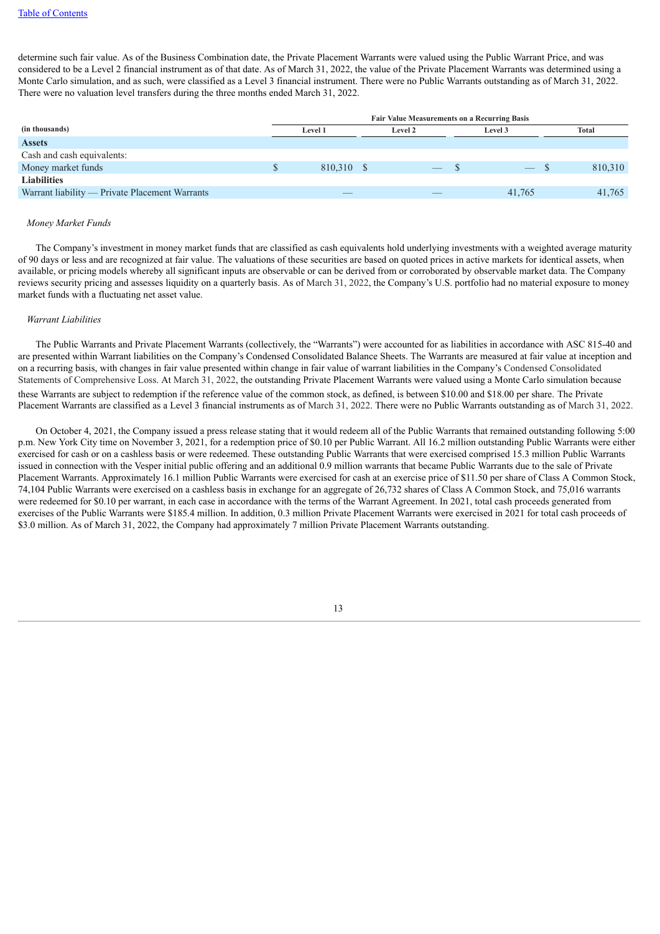determine such fair value. As of the Business Combination date, the Private Placement Warrants were valued using the Public Warrant Price, and was considered to be a Level 2 financial instrument as of that date. As of March 31, 2022, the value of the Private Placement Warrants was determined using a Monte Carlo simulation, and as such, were classified as a Level 3 financial instrument. There were no Public Warrants outstanding as of March 31, 2022. There were no valuation level transfers during the three months ended March 31, 2022.

|                                                | <b>Fair Value Measurements on a Recurring Basis</b> |                |  |         |         |        |  |         |
|------------------------------------------------|-----------------------------------------------------|----------------|--|---------|---------|--------|--|---------|
| (in thousands)                                 |                                                     | <b>Level 1</b> |  | Level 2 | Level 3 |        |  | Total   |
| <b>Assets</b>                                  |                                                     |                |  |         |         |        |  |         |
| Cash and cash equivalents:                     |                                                     |                |  |         |         |        |  |         |
| Money market funds                             | S                                                   | 810,310 \$     |  | $-$ S   |         | $-$ \$ |  | 810,310 |
| <b>Liabilities</b>                             |                                                     |                |  |         |         |        |  |         |
| Warrant liability — Private Placement Warrants |                                                     | __             |  |         |         | 41,765 |  | 41,765  |
|                                                |                                                     |                |  |         |         |        |  |         |

#### *Money Market Funds*

The Company's investment in money market funds that are classified as cash equivalents hold underlying investments with a weighted average maturity of 90 days or less and are recognized at fair value. The valuations of these securities are based on quoted prices in active markets for identical assets, when available, or pricing models whereby all significant inputs are observable or can be derived from or corroborated by observable market data. The Company reviews security pricing and assesses liquidity on a quarterly basis. As of March 31, 2022, the Company's U.S. portfolio had no material exposure to money market funds with a fluctuating net asset value.

#### *Warrant Liabilities*

The Public Warrants and Private Placement Warrants (collectively, the "Warrants") were accounted for as liabilities in accordance with ASC 815-40 and are presented within Warrant liabilities on the Company's Condensed Consolidated Balance Sheets. The Warrants are measured at fair value at inception and on a recurring basis, with changes in fair value presented within change in fair value of warrant liabilities in the Company's Condensed Consolidated Statements of Comprehensive Loss. At March 31, 2022, the outstanding Private Placement Warrants were valued using a Monte Carlo simulation because these Warrants are subject to redemption if the reference value of the common stock, as defined, is between \$10.00 and \$18.00 per share. The Private Placement Warrants are classified as a Level 3 financial instruments as of March 31, 2022. There were no Public Warrants outstanding as of March 31, 2022.

On October 4, 2021, the Company issued a press release stating that it would redeem all of the Public Warrants that remained outstanding following 5:00 p.m. New York City time on November 3, 2021, for a redemption price of \$0.10 per Public Warrant. All 16.2 million outstanding Public Warrants were either exercised for cash or on a cashless basis or were redeemed. These outstanding Public Warrants that were exercised comprised 15.3 million Public Warrants issued in connection with the Vesper initial public offering and an additional 0.9 million warrants that became Public Warrants due to the sale of Private Placement Warrants. Approximately 16.1 million Public Warrants were exercised for cash at an exercise price of \$11.50 per share of Class A Common Stock, 74,104 Public Warrants were exercised on a cashless basis in exchange for an aggregate of 26,732 shares of Class A Common Stock, and 75,016 warrants were redeemed for \$0.10 per warrant, in each case in accordance with the terms of the Warrant Agreement. In 2021, total cash proceeds generated from exercises of the Public Warrants were \$185.4 million. In addition, 0.3 million Private Placement Warrants were exercised in 2021 for total cash proceeds of \$3.0 million. As of March 31, 2022, the Company had approximately 7 million Private Placement Warrants outstanding.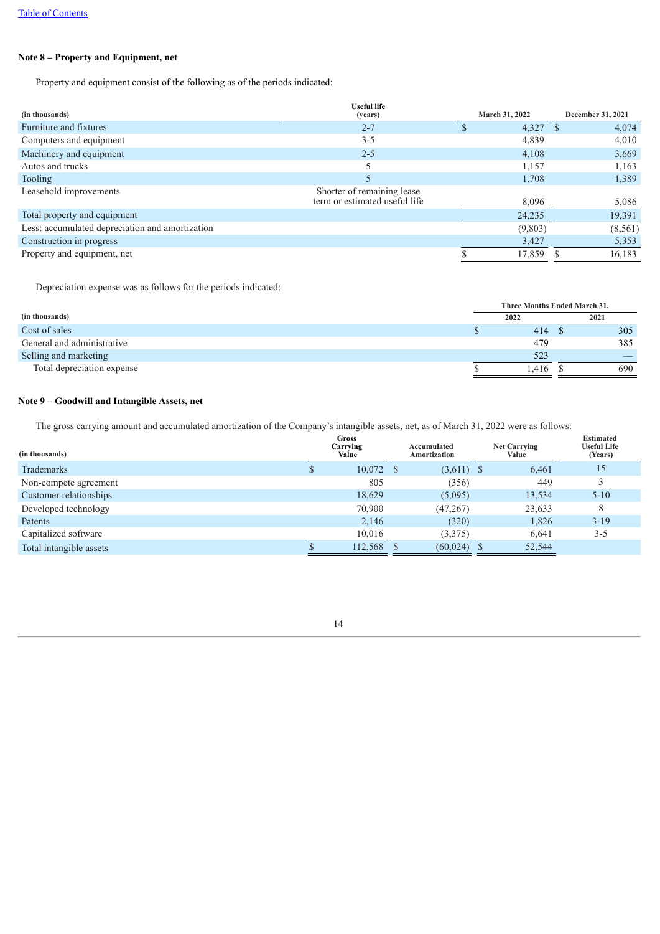# **Note 8 – Property and Equipment, net**

Property and equipment consist of the following as of the periods indicated:

| <b>Useful life</b><br>(years)                               |         |                | December 31, 2021 |
|-------------------------------------------------------------|---------|----------------|-------------------|
| $2 - 7$                                                     |         |                | 4,074             |
| $3 - 5$                                                     | 4,839   |                | 4,010             |
| $2 - 5$                                                     | 4.108   |                | 3,669             |
|                                                             | 1,157   |                | 1,163             |
|                                                             | 1,708   |                | 1,389             |
| Shorter of remaining lease<br>term or estimated useful life | 8,096   |                | 5,086             |
|                                                             | 24,235  |                | 19,391            |
|                                                             | (9,803) |                | (8, 561)          |
|                                                             | 3,427   |                | 5,353             |
|                                                             | 17,859  |                | 16,183            |
|                                                             |         | March 31, 2022 | $4,327$ \$        |

Depreciation expense was as follows for the periods indicated:

|                            | Three Months Ended March 31, |       |  |      |
|----------------------------|------------------------------|-------|--|------|
| (in thousands)             |                              | 2022  |  | 2021 |
| Cost of sales              |                              | 414   |  | 305  |
| General and administrative |                              | 479   |  | 385  |
| Selling and marketing      |                              | 523   |  |      |
| Total depreciation expense |                              | l.416 |  | 690  |

# **Note 9 – Goodwill and Intangible Assets, net**

The gross carrying amount and accumulated amortization of the Company's intangible assets, net, as of March 31, 2022 were as follows:

| (in thousands)          | <b>Gross</b><br>Carrying<br>Value | Accumulated<br>Amortization | <b>Net Carrying</b><br>Value | <b>Estimated</b><br><b>Useful Life</b><br>(Years) |
|-------------------------|-----------------------------------|-----------------------------|------------------------------|---------------------------------------------------|
| Trademarks              | 10,072                            | $(3,611)$ \$<br>- S         | 6,461                        | 15                                                |
| Non-compete agreement   | 805                               | (356)                       | 449                          |                                                   |
| Customer relationships  | 18,629                            | (5,095)                     | 13,534                       | $5 - 10$                                          |
| Developed technology    | 70,900                            | (47, 267)                   | 23,633                       | 8                                                 |
| Patents                 | 2,146                             | (320)                       | 1,826                        | $3-19$                                            |
| Capitalized software    | 10,016                            | (3,375)                     | 6,641                        | $3 - 5$                                           |
| Total intangible assets | 112.568                           | (60, 024)                   | 52,544                       |                                                   |
|                         |                                   |                             |                              |                                                   |

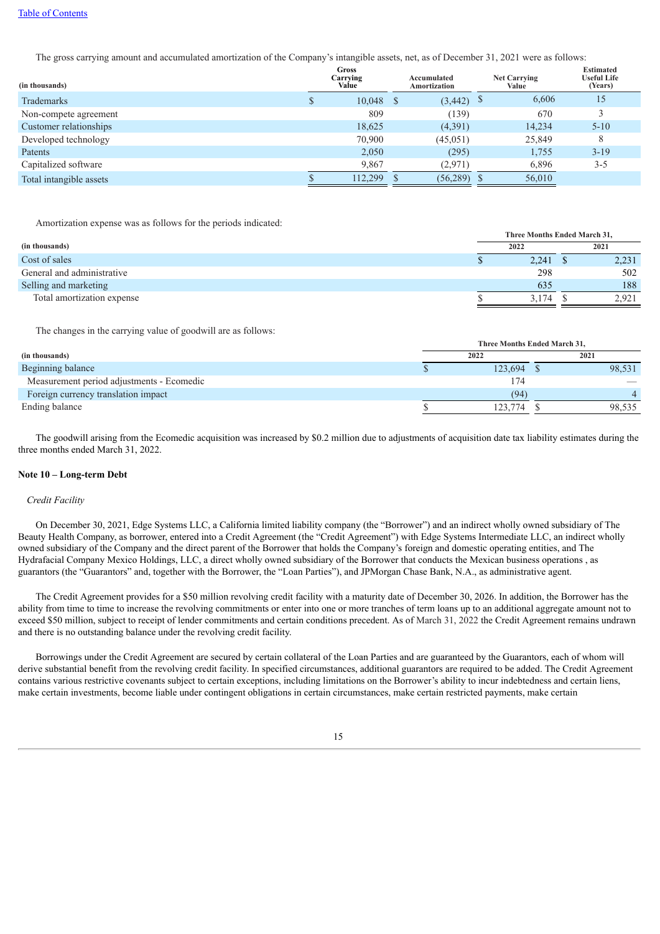The gross carrying amount and accumulated amortization of the Company's intangible assets, net, as of December 31, 2021 were as follows:

| (in thousands)          | <b>Gross</b><br>Carrying<br><b>Value</b> | Accumulated<br>Amortization | <b>Net Carrying</b><br>Value | <b>Estimated</b><br><b>Useful Life</b><br>(Years) |
|-------------------------|------------------------------------------|-----------------------------|------------------------------|---------------------------------------------------|
| Trademarks              | 10,048                                   | (3,442)<br><sup>S</sup>     | 6,606<br>- \$                | 15                                                |
| Non-compete agreement   | 809                                      | (139)                       | 670                          |                                                   |
| Customer relationships  | 18,625                                   | (4,391)                     | 14.234                       | $5 - 10$                                          |
| Developed technology    | 70,900                                   | (45, 051)                   | 25,849                       | 8                                                 |
| Patents                 | 2,050                                    | (295)                       | 1,755                        | $3-19$                                            |
| Capitalized software    | 9,867                                    | (2,971)                     | 6,896                        | $3 - 5$                                           |
| Total intangible assets | 112.299                                  | (56, 289)                   | 56,010                       |                                                   |

Amortization expense was as follows for the periods indicated:

|                            | Three Months Ended March 31, |       |  |       |  |  |
|----------------------------|------------------------------|-------|--|-------|--|--|
| (in thousands)             |                              | 2022  |  | 2021  |  |  |
| Cost of sales              |                              | 2,241 |  | 2,231 |  |  |
| General and administrative |                              | 298   |  | 502   |  |  |
| Selling and marketing      |                              | 635   |  | 188   |  |  |
| Total amortization expense |                              | 3.174 |  | 2.921 |  |  |

The changes in the carrying value of goodwill are as follows:

|                                           |  | Three Months Ended March 31, |  |        |  |
|-------------------------------------------|--|------------------------------|--|--------|--|
| (in thousands)                            |  | 2022                         |  | 2021   |  |
| Beginning balance                         |  | 123,694                      |  | 98,531 |  |
| Measurement period adjustments - Ecomedic |  | 174                          |  |        |  |
| Foreign currency translation impact       |  | (94)                         |  |        |  |
| Ending balance                            |  | 123,774                      |  | 98,535 |  |

The goodwill arising from the Ecomedic acquisition was increased by \$0.2 million due to adjustments of acquisition date tax liability estimates during the three months ended March 31, 2022.

#### **Note 10 – Long-term Debt**

#### *Credit Facility*

On December 30, 2021, Edge Systems LLC, a California limited liability company (the "Borrower") and an indirect wholly owned subsidiary of The Beauty Health Company, as borrower, entered into a Credit Agreement (the "Credit Agreement") with Edge Systems Intermediate LLC, an indirect wholly owned subsidiary of the Company and the direct parent of the Borrower that holds the Company's foreign and domestic operating entities, and The Hydrafacial Company Mexico Holdings, LLC, a direct wholly owned subsidiary of the Borrower that conducts the Mexican business operations , as guarantors (the "Guarantors" and, together with the Borrower, the "Loan Parties"), and JPMorgan Chase Bank, N.A., as administrative agent.

The Credit Agreement provides for a \$50 million revolving credit facility with a maturity date of December 30, 2026. In addition, the Borrower has the ability from time to time to increase the revolving commitments or enter into one or more tranches of term loans up to an additional aggregate amount not to exceed \$50 million, subject to receipt of lender commitments and certain conditions precedent. As of March 31, 2022 the Credit Agreement remains undrawn and there is no outstanding balance under the revolving credit facility.

Borrowings under the Credit Agreement are secured by certain collateral of the Loan Parties and are guaranteed by the Guarantors, each of whom will derive substantial benefit from the revolving credit facility. In specified circumstances, additional guarantors are required to be added. The Credit Agreement contains various restrictive covenants subject to certain exceptions, including limitations on the Borrower's ability to incur indebtedness and certain liens, make certain investments, become liable under contingent obligations in certain circumstances, make certain restricted payments, make certain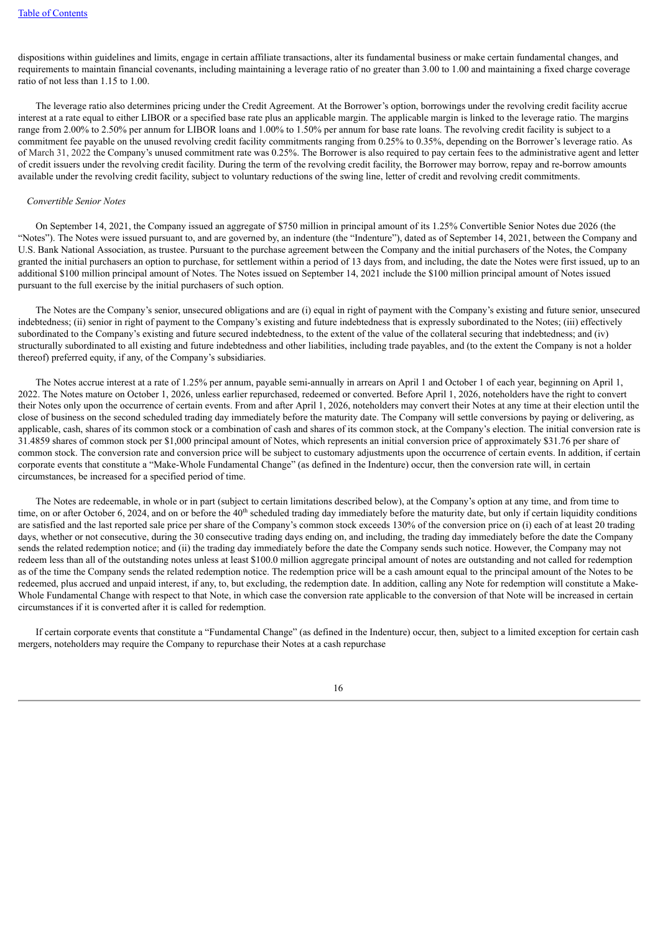dispositions within guidelines and limits, engage in certain affiliate transactions, alter its fundamental business or make certain fundamental changes, and requirements to maintain financial covenants, including maintaining a leverage ratio of no greater than 3.00 to 1.00 and maintaining a fixed charge coverage ratio of not less than 1.15 to 1.00.

The leverage ratio also determines pricing under the Credit Agreement. At the Borrower's option, borrowings under the revolving credit facility accrue interest at a rate equal to either LIBOR or a specified base rate plus an applicable margin. The applicable margin is linked to the leverage ratio. The margins range from 2.00% to 2.50% per annum for LIBOR loans and 1.00% to 1.50% per annum for base rate loans. The revolving credit facility is subject to a commitment fee payable on the unused revolving credit facility commitments ranging from 0.25% to 0.35%, depending on the Borrower's leverage ratio. As of March 31, 2022 the Company's unused commitment rate was 0.25%. The Borrower is also required to pay certain fees to the administrative agent and letter of credit issuers under the revolving credit facility. During the term of the revolving credit facility, the Borrower may borrow, repay and re-borrow amounts available under the revolving credit facility, subject to voluntary reductions of the swing line, letter of credit and revolving credit commitments.

#### *Convertible Senior Notes*

On September 14, 2021, the Company issued an aggregate of \$750 million in principal amount of its 1.25% Convertible Senior Notes due 2026 (the "Notes"). The Notes were issued pursuant to, and are governed by, an indenture (the "Indenture"), dated as of September 14, 2021, between the Company and U.S. Bank National Association, as trustee. Pursuant to the purchase agreement between the Company and the initial purchasers of the Notes, the Company granted the initial purchasers an option to purchase, for settlement within a period of 13 days from, and including, the date the Notes were first issued, up to an additional \$100 million principal amount of Notes. The Notes issued on September 14, 2021 include the \$100 million principal amount of Notes issued pursuant to the full exercise by the initial purchasers of such option.

The Notes are the Company's senior, unsecured obligations and are (i) equal in right of payment with the Company's existing and future senior, unsecured indebtedness; (ii) senior in right of payment to the Company's existing and future indebtedness that is expressly subordinated to the Notes; (iii) effectively subordinated to the Company's existing and future secured indebtedness, to the extent of the value of the collateral securing that indebtedness; and (iv) structurally subordinated to all existing and future indebtedness and other liabilities, including trade payables, and (to the extent the Company is not a holder thereof) preferred equity, if any, of the Company's subsidiaries.

The Notes accrue interest at a rate of 1.25% per annum, payable semi-annually in arrears on April 1 and October 1 of each year, beginning on April 1, 2022. The Notes mature on October 1, 2026, unless earlier repurchased, redeemed or converted. Before April 1, 2026, noteholders have the right to convert their Notes only upon the occurrence of certain events. From and after April 1, 2026, noteholders may convert their Notes at any time at their election until the close of business on the second scheduled trading day immediately before the maturity date. The Company will settle conversions by paying or delivering, as applicable, cash, shares of its common stock or a combination of cash and shares of its common stock, at the Company's election. The initial conversion rate is 31.4859 shares of common stock per \$1,000 principal amount of Notes, which represents an initial conversion price of approximately \$31.76 per share of common stock. The conversion rate and conversion price will be subject to customary adjustments upon the occurrence of certain events. In addition, if certain corporate events that constitute a "Make-Whole Fundamental Change" (as defined in the Indenture) occur, then the conversion rate will, in certain circumstances, be increased for a specified period of time.

The Notes are redeemable, in whole or in part (subject to certain limitations described below), at the Company's option at any time, and from time to time, on or after October 6, 2024, and on or before the  $40<sup>th</sup>$  scheduled trading day immediately before the maturity date, but only if certain liquidity conditions are satisfied and the last reported sale price per share of the Company's common stock exceeds 130% of the conversion price on (i) each of at least 20 trading days, whether or not consecutive, during the 30 consecutive trading days ending on, and including, the trading day immediately before the date the Company sends the related redemption notice; and (ii) the trading day immediately before the date the Company sends such notice. However, the Company may not redeem less than all of the outstanding notes unless at least \$100.0 million aggregate principal amount of notes are outstanding and not called for redemption as of the time the Company sends the related redemption notice. The redemption price will be a cash amount equal to the principal amount of the Notes to be redeemed, plus accrued and unpaid interest, if any, to, but excluding, the redemption date. In addition, calling any Note for redemption will constitute a Make-Whole Fundamental Change with respect to that Note, in which case the conversion rate applicable to the conversion of that Note will be increased in certain circumstances if it is converted after it is called for redemption.

If certain corporate events that constitute a "Fundamental Change" (as defined in the Indenture) occur, then, subject to a limited exception for certain cash mergers, noteholders may require the Company to repurchase their Notes at a cash repurchase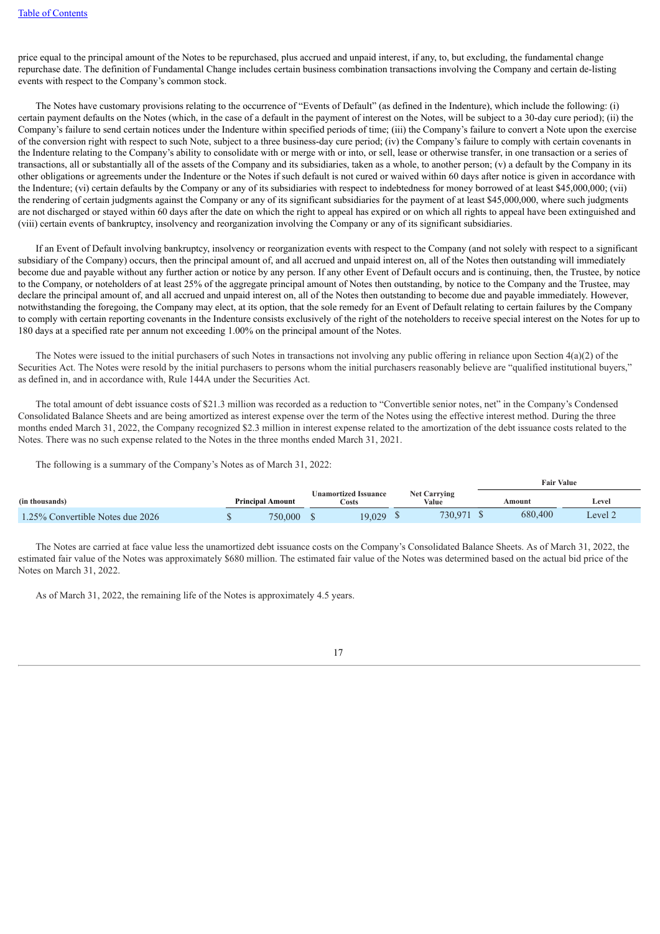price equal to the principal amount of the Notes to be repurchased, plus accrued and unpaid interest, if any, to, but excluding, the fundamental change repurchase date. The definition of Fundamental Change includes certain business combination transactions involving the Company and certain de-listing events with respect to the Company's common stock.

The Notes have customary provisions relating to the occurrence of "Events of Default" (as defined in the Indenture), which include the following: (i) certain payment defaults on the Notes (which, in the case of a default in the payment of interest on the Notes, will be subject to a 30-day cure period); (ii) the Company's failure to send certain notices under the Indenture within specified periods of time; (iii) the Company's failure to convert a Note upon the exercise of the conversion right with respect to such Note, subject to a three business-day cure period; (iv) the Company's failure to comply with certain covenants in the Indenture relating to the Company's ability to consolidate with or merge with or into, or sell, lease or otherwise transfer, in one transaction or a series of transactions, all or substantially all of the assets of the Company and its subsidiaries, taken as a whole, to another person; (v) a default by the Company in its other obligations or agreements under the Indenture or the Notes if such default is not cured or waived within 60 days after notice is given in accordance with the Indenture; (vi) certain defaults by the Company or any of its subsidiaries with respect to indebtedness for money borrowed of at least \$45,000,000; (vii) the rendering of certain judgments against the Company or any of its significant subsidiaries for the payment of at least \$45,000,000, where such judgments are not discharged or stayed within 60 days after the date on which the right to appeal has expired or on which all rights to appeal have been extinguished and (viii) certain events of bankruptcy, insolvency and reorganization involving the Company or any of its significant subsidiaries.

If an Event of Default involving bankruptcy, insolvency or reorganization events with respect to the Company (and not solely with respect to a significant subsidiary of the Company) occurs, then the principal amount of, and all accrued and unpaid interest on, all of the Notes then outstanding will immediately become due and payable without any further action or notice by any person. If any other Event of Default occurs and is continuing, then, the Trustee, by notice to the Company, or noteholders of at least 25% of the aggregate principal amount of Notes then outstanding, by notice to the Company and the Trustee, may declare the principal amount of, and all accrued and unpaid interest on, all of the Notes then outstanding to become due and payable immediately. However, notwithstanding the foregoing, the Company may elect, at its option, that the sole remedy for an Event of Default relating to certain failures by the Company to comply with certain reporting covenants in the Indenture consists exclusively of the right of the noteholders to receive special interest on the Notes for up to 180 days at a specified rate per annum not exceeding 1.00% on the principal amount of the Notes.

The Notes were issued to the initial purchasers of such Notes in transactions not involving any public offering in reliance upon Section  $4(a)(2)$  of the Securities Act. The Notes were resold by the initial purchasers to persons whom the initial purchasers reasonably believe are "qualified institutional buyers," as defined in, and in accordance with, Rule 144A under the Securities Act.

The total amount of debt issuance costs of \$21.3 million was recorded as a reduction to "Convertible senior notes, net" in the Company's Condensed Consolidated Balance Sheets and are being amortized as interest expense over the term of the Notes using the effective interest method. During the three months ended March 31, 2022, the Company recognized \$2.3 million in interest expense related to the amortization of the debt issuance costs related to the Notes. There was no such expense related to the Notes in the three months ended March 31, 2021.

The following is a summary of the Company's Notes as of March 31, 2022:

|                                  |                         |                                      |                              | <b>Fair Value</b> |         |  |  |
|----------------------------------|-------------------------|--------------------------------------|------------------------------|-------------------|---------|--|--|
| (in thousands)                   | <b>Principal Amount</b> | <b>Unamortized Issuance</b><br>Costs | <b>Net Carrying</b><br>Value | Amount            | Level   |  |  |
| 1.25% Convertible Notes due 2026 | 750,000                 | 19,029                               | 730,971                      | 680,400           | Level 2 |  |  |

The Notes are carried at face value less the unamortized debt issuance costs on the Company's Consolidated Balance Sheets. As of March 31, 2022, the estimated fair value of the Notes was approximately \$680 million. The estimated fair value of the Notes was determined based on the actual bid price of the Notes on March 31, 2022.

As of March 31, 2022, the remaining life of the Notes is approximately 4.5 years.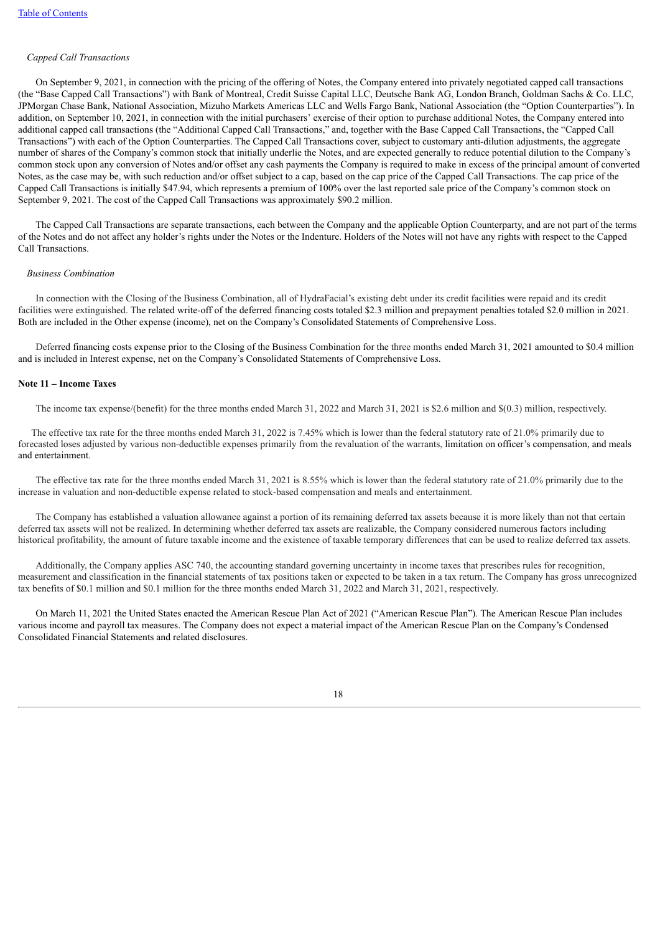#### *Capped Call Transactions*

On September 9, 2021, in connection with the pricing of the offering of Notes, the Company entered into privately negotiated capped call transactions (the "Base Capped Call Transactions") with Bank of Montreal, Credit Suisse Capital LLC, Deutsche Bank AG, London Branch, Goldman Sachs & Co. LLC, JPMorgan Chase Bank, National Association, Mizuho Markets Americas LLC and Wells Fargo Bank, National Association (the "Option Counterparties"). In addition, on September 10, 2021, in connection with the initial purchasers' exercise of their option to purchase additional Notes, the Company entered into additional capped call transactions (the "Additional Capped Call Transactions," and, together with the Base Capped Call Transactions, the "Capped Call Transactions") with each of the Option Counterparties. The Capped Call Transactions cover, subject to customary anti-dilution adjustments, the aggregate number of shares of the Company's common stock that initially underlie the Notes, and are expected generally to reduce potential dilution to the Company's common stock upon any conversion of Notes and/or offset any cash payments the Company is required to make in excess of the principal amount of converted Notes, as the case may be, with such reduction and/or offset subject to a cap, based on the cap price of the Capped Call Transactions. The cap price of the Capped Call Transactions is initially \$47.94, which represents a premium of 100% over the last reported sale price of the Company's common stock on September 9, 2021. The cost of the Capped Call Transactions was approximately \$90.2 million.

The Capped Call Transactions are separate transactions, each between the Company and the applicable Option Counterparty, and are not part of the terms of the Notes and do not affect any holder's rights under the Notes or the Indenture. Holders of the Notes will not have any rights with respect to the Capped Call Transactions.

### *Business Combination*

In connection with the Closing of the Business Combination, all of HydraFacial's existing debt under its credit facilities were repaid and its credit facilities were extinguished. The related write-off of the deferred financing costs totaled \$2.3 million and prepayment penalties totaled \$2.0 million in 2021. Both are included in the Other expense (income), net on the Company's Consolidated Statements of Comprehensive Loss.

Deferred financing costs expense prior to the Closing of the Business Combination for the three months ended March 31, 2021 amounted to \$0.4 million and is included in Interest expense, net on the Company's Consolidated Statements of Comprehensive Loss.

## **Note 11 – Income Taxes**

The income tax expense/(benefit) for the three months ended March 31, 2022 and March 31, 2021 is \$2.6 million and \$(0.3) million, respectively.

The effective tax rate for the three months ended March 31, 2022 is 7.45% which is lower than the federal statutory rate of 21.0% primarily due to forecasted loses adjusted by various non-deductible expenses primarily from the revaluation of the warrants, limitation on officer's compensation, and meals and entertainment.

The effective tax rate for the three months ended March 31, 2021 is 8.55% which is lower than the federal statutory rate of 21.0% primarily due to the increase in valuation and non-deductible expense related to stock-based compensation and meals and entertainment.

The Company has established a valuation allowance against a portion of its remaining deferred tax assets because it is more likely than not that certain deferred tax assets will not be realized. In determining whether deferred tax assets are realizable, the Company considered numerous factors including historical profitability, the amount of future taxable income and the existence of taxable temporary differences that can be used to realize deferred tax assets.

Additionally, the Company applies ASC 740, the accounting standard governing uncertainty in income taxes that prescribes rules for recognition, measurement and classification in the financial statements of tax positions taken or expected to be taken in a tax return. The Company has gross unrecognized tax benefits of \$0.1 million and \$0.1 million for the three months ended March 31, 2022 and March 31, 2021, respectively.

On March 11, 2021 the United States enacted the American Rescue Plan Act of 2021 ("American Rescue Plan"). The American Rescue Plan includes various income and payroll tax measures. The Company does not expect a material impact of the American Rescue Plan on the Company's Condensed Consolidated Financial Statements and related disclosures.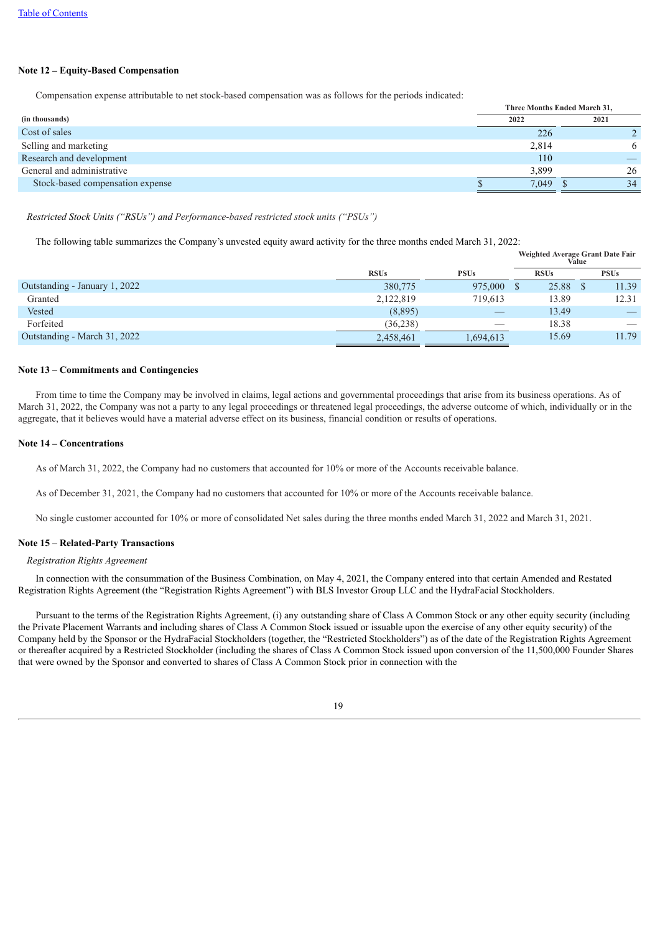# **Note 12 – Equity-Based Compensation**

Compensation expense attributable to net stock-based compensation was as follows for the periods indicated:

|                                  | Three Months Ended March 31, |      |  |  |
|----------------------------------|------------------------------|------|--|--|
| (in thousands)                   | 2022                         | 2021 |  |  |
| Cost of sales                    | 226                          |      |  |  |
| Selling and marketing            | 2,814                        | 6    |  |  |
| Research and development         | 110                          |      |  |  |
| General and administrative       | 3.899                        | 26   |  |  |
| Stock-based compensation expense | 7.049                        | 34   |  |  |

# *Restricted Stock Units ("RSUs") and Performance-based restricted stock units ("PSUs")*

The following table summarizes the Company's unvested equity award activity for the three months ended March 31, 2022:

|                               |             |             |             | Weighted Average Grant Date Fair<br>Value |
|-------------------------------|-------------|-------------|-------------|-------------------------------------------|
|                               | <b>RSUs</b> | <b>PSUs</b> | <b>RSUs</b> | <b>PSUs</b>                               |
| Outstanding - January 1, 2022 | 380,775     | 975,000 \$  | 25.88 \$    | 11.39                                     |
| Granted                       | 2,122,819   | 719,613     | 13.89       | 12.31                                     |
| <b>Vested</b>                 | (8,895)     |             | 13.49       |                                           |
| Forfeited                     | (36, 238)   |             | 18.38       |                                           |
| Outstanding - March 31, 2022  | 2,458,461   | .694.613    | 15.69       | 11.79                                     |

# **Note 13 – Commitments and Contingencies**

From time to time the Company may be involved in claims, legal actions and governmental proceedings that arise from its business operations. As of March 31, 2022, the Company was not a party to any legal proceedings or threatened legal proceedings, the adverse outcome of which, individually or in the aggregate, that it believes would have a material adverse effect on its business, financial condition or results of operations.

## **Note 14 – Concentrations**

As of March 31, 2022, the Company had no customers that accounted for 10% or more of the Accounts receivable balance.

As of December 31, 2021, the Company had no customers that accounted for 10% or more of the Accounts receivable balance.

No single customer accounted for 10% or more of consolidated Net sales during the three months ended March 31, 2022 and March 31, 2021.

# **Note 15 – Related-Party Transactions**

# *Registration Rights Agreement*

In connection with the consummation of the Business Combination, on May 4, 2021, the Company entered into that certain Amended and Restated Registration Rights Agreement (the "Registration Rights Agreement") with BLS Investor Group LLC and the HydraFacial Stockholders.

Pursuant to the terms of the Registration Rights Agreement, (i) any outstanding share of Class A Common Stock or any other equity security (including the Private Placement Warrants and including shares of Class A Common Stock issued or issuable upon the exercise of any other equity security) of the Company held by the Sponsor or the HydraFacial Stockholders (together, the "Restricted Stockholders") as of the date of the Registration Rights Agreement or thereafter acquired by a Restricted Stockholder (including the shares of Class A Common Stock issued upon conversion of the 11,500,000 Founder Shares that were owned by the Sponsor and converted to shares of Class A Common Stock prior in connection with the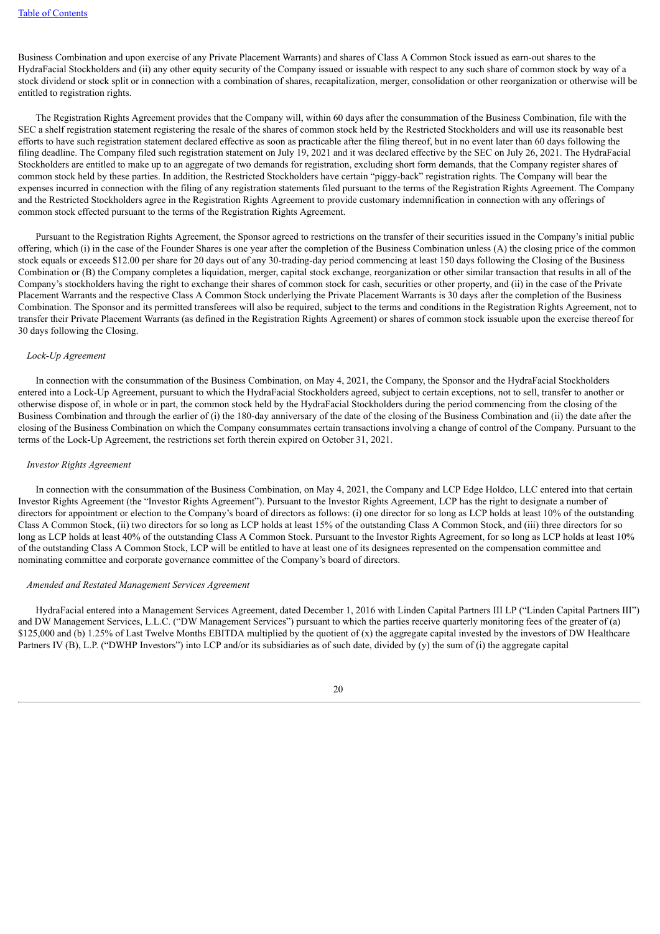Business Combination and upon exercise of any Private Placement Warrants) and shares of Class A Common Stock issued as earn-out shares to the HydraFacial Stockholders and (ii) any other equity security of the Company issued or issuable with respect to any such share of common stock by way of a stock dividend or stock split or in connection with a combination of shares, recapitalization, merger, consolidation or other reorganization or otherwise will be entitled to registration rights.

The Registration Rights Agreement provides that the Company will, within 60 days after the consummation of the Business Combination, file with the SEC a shelf registration statement registering the resale of the shares of common stock held by the Restricted Stockholders and will use its reasonable best efforts to have such registration statement declared effective as soon as practicable after the filing thereof, but in no event later than 60 days following the filing deadline. The Company filed such registration statement on July 19, 2021 and it was declared effective by the SEC on July 26, 2021. The HydraFacial Stockholders are entitled to make up to an aggregate of two demands for registration, excluding short form demands, that the Company register shares of common stock held by these parties. In addition, the Restricted Stockholders have certain "piggy-back" registration rights. The Company will bear the expenses incurred in connection with the filing of any registration statements filed pursuant to the terms of the Registration Rights Agreement. The Company and the Restricted Stockholders agree in the Registration Rights Agreement to provide customary indemnification in connection with any offerings of common stock effected pursuant to the terms of the Registration Rights Agreement.

Pursuant to the Registration Rights Agreement, the Sponsor agreed to restrictions on the transfer of their securities issued in the Company's initial public offering, which (i) in the case of the Founder Shares is one year after the completion of the Business Combination unless (A) the closing price of the common stock equals or exceeds \$12.00 per share for 20 days out of any 30-trading-day period commencing at least 150 days following the Closing of the Business Combination or (B) the Company completes a liquidation, merger, capital stock exchange, reorganization or other similar transaction that results in all of the Company's stockholders having the right to exchange their shares of common stock for cash, securities or other property, and (ii) in the case of the Private Placement Warrants and the respective Class A Common Stock underlying the Private Placement Warrants is 30 days after the completion of the Business Combination. The Sponsor and its permitted transferees will also be required, subject to the terms and conditions in the Registration Rights Agreement, not to transfer their Private Placement Warrants (as defined in the Registration Rights Agreement) or shares of common stock issuable upon the exercise thereof for 30 days following the Closing.

#### *Lock-Up Agreement*

In connection with the consummation of the Business Combination, on May 4, 2021, the Company, the Sponsor and the HydraFacial Stockholders entered into a Lock-Up Agreement, pursuant to which the HydraFacial Stockholders agreed, subject to certain exceptions, not to sell, transfer to another or otherwise dispose of, in whole or in part, the common stock held by the HydraFacial Stockholders during the period commencing from the closing of the Business Combination and through the earlier of (i) the 180-day anniversary of the date of the closing of the Business Combination and (ii) the date after the closing of the Business Combination on which the Company consummates certain transactions involving a change of control of the Company. Pursuant to the terms of the Lock-Up Agreement, the restrictions set forth therein expired on October 31, 2021.

#### *Investor Rights Agreement*

In connection with the consummation of the Business Combination, on May 4, 2021, the Company and LCP Edge Holdco, LLC entered into that certain Investor Rights Agreement (the "Investor Rights Agreement"). Pursuant to the Investor Rights Agreement, LCP has the right to designate a number of directors for appointment or election to the Company's board of directors as follows: (i) one director for so long as LCP holds at least 10% of the outstanding Class A Common Stock, (ii) two directors for so long as LCP holds at least 15% of the outstanding Class A Common Stock, and (iii) three directors for so long as LCP holds at least 40% of the outstanding Class A Common Stock. Pursuant to the Investor Rights Agreement, for so long as LCP holds at least 10% of the outstanding Class A Common Stock, LCP will be entitled to have at least one of its designees represented on the compensation committee and nominating committee and corporate governance committee of the Company's board of directors.

#### *Amended and Restated Management Services Agreement*

HydraFacial entered into a Management Services Agreement, dated December 1, 2016 with Linden Capital Partners III LP ("Linden Capital Partners III") and DW Management Services, L.L.C. ("DW Management Services") pursuant to which the parties receive quarterly monitoring fees of the greater of (a) \$125,000 and (b) 1.25% of Last Twelve Months EBITDA multiplied by the quotient of  $(x)$  the aggregate capital invested by the investors of DW Healthcare Partners IV (B), L.P. ("DWHP Investors") into LCP and/or its subsidiaries as of such date, divided by (y) the sum of (i) the aggregate capital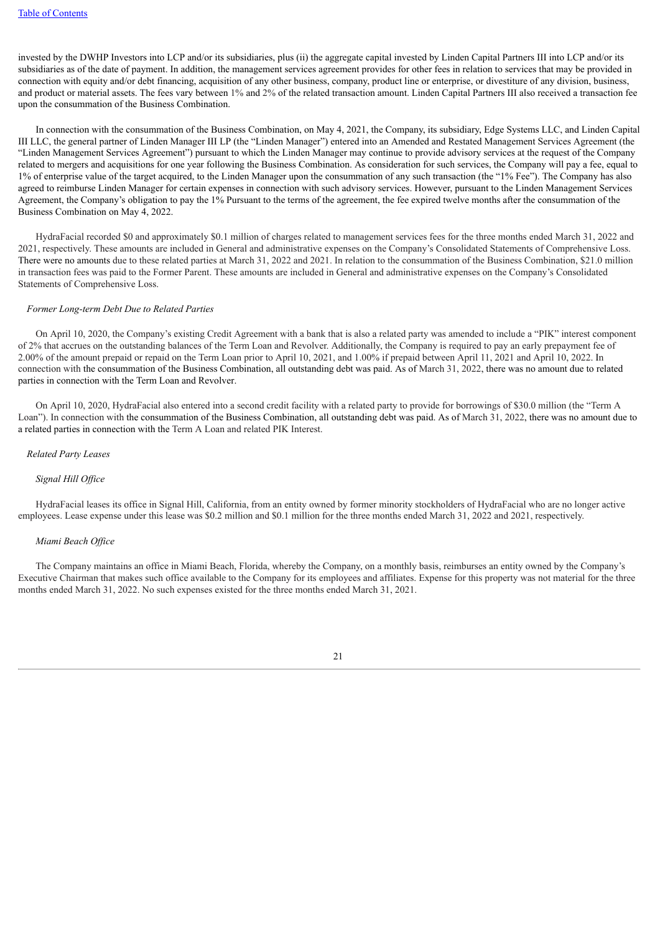invested by the DWHP Investors into LCP and/or its subsidiaries, plus (ii) the aggregate capital invested by Linden Capital Partners III into LCP and/or its subsidiaries as of the date of payment. In addition, the management services agreement provides for other fees in relation to services that may be provided in connection with equity and/or debt financing, acquisition of any other business, company, product line or enterprise, or divestiture of any division, business, and product or material assets. The fees vary between 1% and 2% of the related transaction amount. Linden Capital Partners III also received a transaction fee upon the consummation of the Business Combination.

In connection with the consummation of the Business Combination, on May 4, 2021, the Company, its subsidiary, Edge Systems LLC, and Linden Capital III LLC, the general partner of Linden Manager III LP (the "Linden Manager") entered into an Amended and Restated Management Services Agreement (the "Linden Management Services Agreement") pursuant to which the Linden Manager may continue to provide advisory services at the request of the Company related to mergers and acquisitions for one year following the Business Combination. As consideration for such services, the Company will pay a fee, equal to 1% of enterprise value of the target acquired, to the Linden Manager upon the consummation of any such transaction (the "1% Fee"). The Company has also agreed to reimburse Linden Manager for certain expenses in connection with such advisory services. However, pursuant to the Linden Management Services Agreement, the Company's obligation to pay the 1% Pursuant to the terms of the agreement, the fee expired twelve months after the consummation of the Business Combination on May 4, 2022.

HydraFacial recorded \$0 and approximately \$0.1 million of charges related to management services fees for the three months ended March 31, 2022 and 2021, respectively. These amounts are included in General and administrative expenses on the Company's Consolidated Statements of Comprehensive Loss. There were no amounts due to these related parties at March 31, 2022 and 2021. In relation to the consummation of the Business Combination, \$21.0 million in transaction fees was paid to the Former Parent. These amounts are included in General and administrative expenses on the Company's Consolidated Statements of Comprehensive Loss.

## *Former Long-term Debt Due to Related Parties*

On April 10, 2020, the Company's existing Credit Agreement with a bank that is also a related party was amended to include a "PIK" interest component of 2% that accrues on the outstanding balances of the Term Loan and Revolver. Additionally, the Company is required to pay an early prepayment fee of 2.00% of the amount prepaid or repaid on the Term Loan prior to April 10, 2021, and 1.00% if prepaid between April 11, 2021 and April 10, 2022. In connection with the consummation of the Business Combination, all outstanding debt was paid. As of March 31, 2022, there was no amount due to related parties in connection with the Term Loan and Revolver.

On April 10, 2020, HydraFacial also entered into a second credit facility with a related party to provide for borrowings of \$30.0 million (the "Term A Loan"). In connection with the consummation of the Business Combination, all outstanding debt was paid. As of March 31, 2022, there was no amount due to a related parties in connection with the Term A Loan and related PIK Interest.

#### *Related Party Leases*

### *Signal Hill Of ice*

HydraFacial leases its office in Signal Hill, California, from an entity owned by former minority stockholders of HydraFacial who are no longer active employees. Lease expense under this lease was \$0.2 million and \$0.1 million for the three months ended March 31, 2022 and 2021, respectively.

#### *Miami Beach Of ice*

The Company maintains an office in Miami Beach, Florida, whereby the Company, on a monthly basis, reimburses an entity owned by the Company's Executive Chairman that makes such office available to the Company for its employees and affiliates. Expense for this property was not material for the three months ended March 31, 2022. No such expenses existed for the three months ended March 31, 2021.

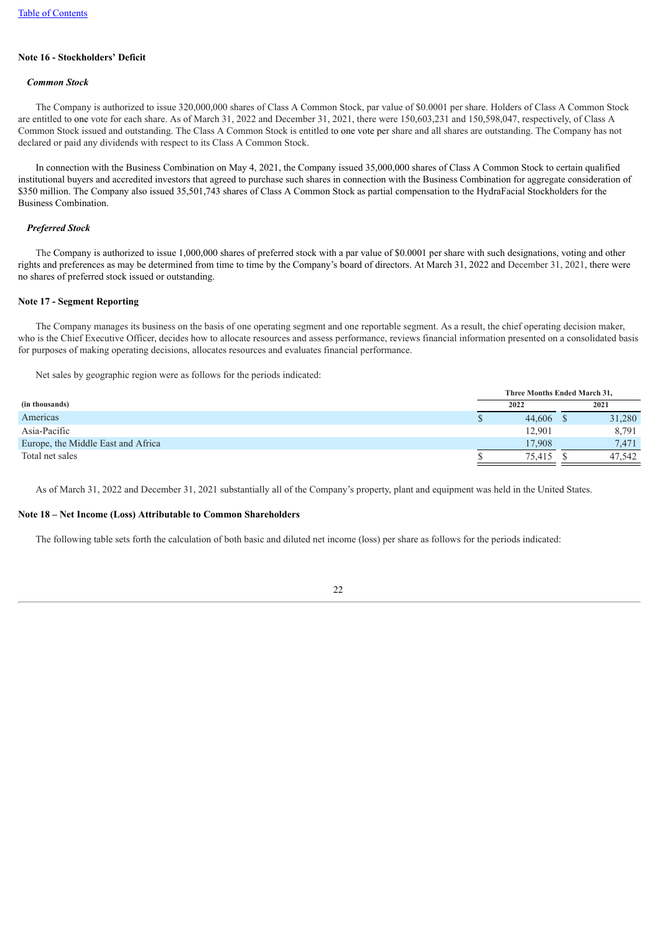# **Note 16 - Stockholders' Deficit**

# *Common Stock*

The Company is authorized to issue 320,000,000 shares of Class A Common Stock, par value of \$0.0001 per share. Holders of Class A Common Stock are entitled to one vote for each share. As of March 31, 2022 and December 31, 2021, there were 150,603,231 and 150,598,047, respectively, of Class A Common Stock issued and outstanding. The Class A Common Stock is entitled to one vote per share and all shares are outstanding. The Company has not declared or paid any dividends with respect to its Class A Common Stock.

In connection with the Business Combination on May 4, 2021, the Company issued 35,000,000 shares of Class A Common Stock to certain qualified institutional buyers and accredited investors that agreed to purchase such shares in connection with the Business Combination for aggregate consideration of \$350 million. The Company also issued 35,501,743 shares of Class A Common Stock as partial compensation to the HydraFacial Stockholders for the Business Combination.

## *Preferred Stock*

The Company is authorized to issue 1,000,000 shares of preferred stock with a par value of \$0.0001 per share with such designations, voting and other rights and preferences as may be determined from time to time by the Company's board of directors. At March 31, 2022 and December 31, 2021, there were no shares of preferred stock issued or outstanding.

#### **Note 17 - Segment Reporting**

The Company manages its business on the basis of one operating segment and one reportable segment. As a result, the chief operating decision maker, who is the Chief Executive Officer, decides how to allocate resources and assess performance, reviews financial information presented on a consolidated basis for purposes of making operating decisions, allocates resources and evaluates financial performance.

Net sales by geographic region were as follows for the periods indicated:

|                                    | Three Months Ended March 31, |  |        |  |
|------------------------------------|------------------------------|--|--------|--|
| (in thousands)                     | 2022                         |  | 2021   |  |
| Americas                           | 44.606                       |  | 31,280 |  |
| Asia-Pacific                       | 12.901                       |  | 8,791  |  |
| Europe, the Middle East and Africa | 17.908                       |  | 7.471  |  |
| Total net sales                    | 75.415                       |  | 47.542 |  |

As of March 31, 2022 and December 31, 2021 substantially all of the Company's property, plant and equipment was held in the United States.

## **Note 18 – Net Income (Loss) Attributable to Common Shareholders**

The following table sets forth the calculation of both basic and diluted net income (loss) per share as follows for the periods indicated:

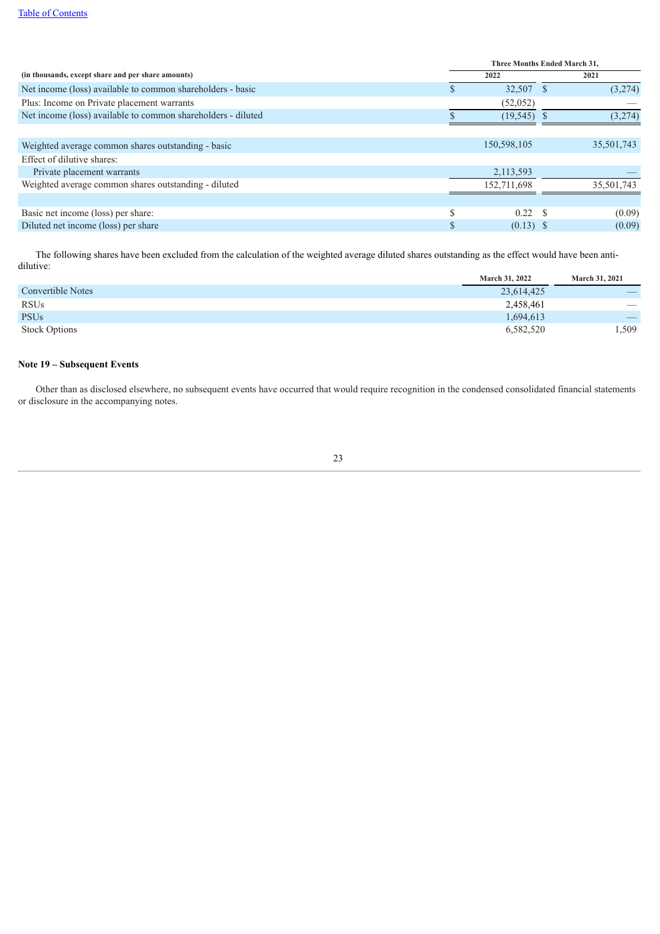|                                                              | Three Months Ended March 31, |               |  |            |  |  |  |
|--------------------------------------------------------------|------------------------------|---------------|--|------------|--|--|--|
| (in thousands, except share and per share amounts)           |                              | 2022          |  | 2021       |  |  |  |
| Net income (loss) available to common shareholders - basic   |                              | 32,507 \$     |  | (3,274)    |  |  |  |
| Plus: Income on Private placement warrants                   |                              | (52,052)      |  |            |  |  |  |
| Net income (loss) available to common shareholders - diluted |                              | $(19,545)$ \$ |  | (3,274)    |  |  |  |
|                                                              |                              |               |  |            |  |  |  |
| Weighted average common shares outstanding - basic           |                              | 150,598,105   |  | 35,501,743 |  |  |  |
| Effect of dilutive shares:                                   |                              |               |  |            |  |  |  |
| Private placement warrants                                   |                              | 2,113,593     |  |            |  |  |  |
| Weighted average common shares outstanding - diluted         |                              | 152,711,698   |  | 35,501,743 |  |  |  |
|                                                              |                              |               |  |            |  |  |  |
| Basic net income (loss) per share:                           |                              | 0.22 S        |  | (0.09)     |  |  |  |
| Diluted net income (loss) per share                          |                              | $(0.13)$ \$   |  | (0.09)     |  |  |  |

The following shares have been excluded from the calculation of the weighted average diluted shares outstanding as the effect would have been antidilutive:

|                      | <b>March 31, 2022</b> | March 31, 2021 |
|----------------------|-----------------------|----------------|
| Convertible Notes    | 23,614,425            |                |
| <b>RSUs</b>          | 2,458,461             |                |
| <b>PSUs</b>          | 1,694,613             |                |
| <b>Stock Options</b> | 6,582,520             | .509           |

# **Note 19 – Subsequent Events**

<span id="page-21-0"></span>Other than as disclosed elsewhere, no subsequent events have occurred that would require recognition in the condensed consolidated financial statements or disclosure in the accompanying notes.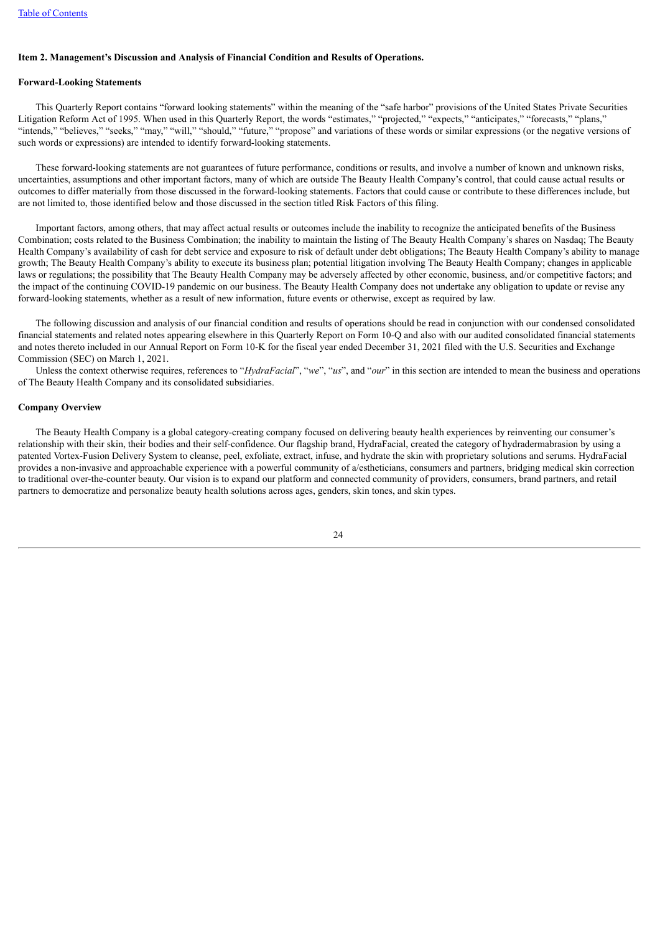## **Item 2. Management's Discussion and Analysis of Financial Condition and Results of Operations.**

#### **Forward-Looking Statements**

This Quarterly Report contains "forward looking statements" within the meaning of the "safe harbor" provisions of the United States Private Securities Litigation Reform Act of 1995. When used in this Quarterly Report, the words "estimates," "projected," "expects," "anticipates," "forecasts," "plans," "intends," "believes," "seeks," "may," "will," "should," "future," "propose" and variations of these words or similar expressions (or the negative versions of such words or expressions) are intended to identify forward-looking statements.

These forward-looking statements are not guarantees of future performance, conditions or results, and involve a number of known and unknown risks, uncertainties, assumptions and other important factors, many of which are outside The Beauty Health Company's control, that could cause actual results or outcomes to differ materially from those discussed in the forward-looking statements. Factors that could cause or contribute to these differences include, but are not limited to, those identified below and those discussed in the section titled Risk Factors of this filing.

Important factors, among others, that may affect actual results or outcomes include the inability to recognize the anticipated benefits of the Business Combination; costs related to the Business Combination; the inability to maintain the listing of The Beauty Health Company's shares on Nasdaq; The Beauty Health Company's availability of cash for debt service and exposure to risk of default under debt obligations; The Beauty Health Company's ability to manage growth; The Beauty Health Company's ability to execute its business plan; potential litigation involving The Beauty Health Company; changes in applicable laws or regulations; the possibility that The Beauty Health Company may be adversely affected by other economic, business, and/or competitive factors; and the impact of the continuing COVID-19 pandemic on our business. The Beauty Health Company does not undertake any obligation to update or revise any forward-looking statements, whether as a result of new information, future events or otherwise, except as required by law.

The following discussion and analysis of our financial condition and results of operations should be read in conjunction with our condensed consolidated financial statements and related notes appearing elsewhere in this Quarterly Report on Form 10-Q and also with our audited consolidated financial statements and notes thereto included in our Annual Report on Form 10-K for the fiscal year ended December 31, 2021 filed with the U.S. Securities and Exchange Commission (SEC) on March 1, 2021.

Unless the context otherwise requires, references to "*HydraFacial*", "we", "us", and "*our*" in this section are intended to mean the business and operations of The Beauty Health Company and its consolidated subsidiaries.

### **Company Overview**

The Beauty Health Company is a global category-creating company focused on delivering beauty health experiences by reinventing our consumer's relationship with their skin, their bodies and their self-confidence. Our flagship brand, HydraFacial, created the category of hydradermabrasion by using a patented Vortex-Fusion Delivery System to cleanse, peel, exfoliate, extract, infuse, and hydrate the skin with proprietary solutions and serums. HydraFacial provides a non-invasive and approachable experience with a powerful community of a/estheticians, consumers and partners, bridging medical skin correction to traditional over-the-counter beauty. Our vision is to expand our platform and connected community of providers, consumers, brand partners, and retail partners to democratize and personalize beauty health solutions across ages, genders, skin tones, and skin types.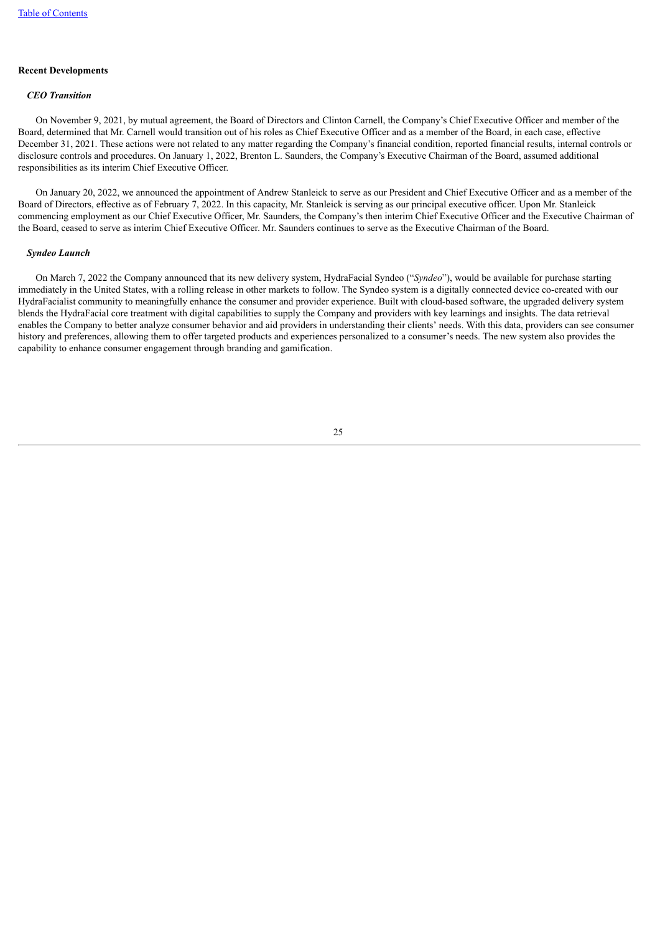#### **Recent Developments**

#### *CEO Transition*

On November 9, 2021, by mutual agreement, the Board of Directors and Clinton Carnell, the Company's Chief Executive Officer and member of the Board, determined that Mr. Carnell would transition out of his roles as Chief Executive Officer and as a member of the Board, in each case, effective December 31, 2021. These actions were not related to any matter regarding the Company's financial condition, reported financial results, internal controls or disclosure controls and procedures. On January 1, 2022, Brenton L. Saunders, the Company's Executive Chairman of the Board, assumed additional responsibilities as its interim Chief Executive Officer.

On January 20, 2022, we announced the appointment of Andrew Stanleick to serve as our President and Chief Executive Officer and as a member of the Board of Directors, effective as of February 7, 2022. In this capacity, Mr. Stanleick is serving as our principal executive officer. Upon Mr. Stanleick commencing employment as our Chief Executive Officer, Mr. Saunders, the Company's then interim Chief Executive Officer and the Executive Chairman of the Board, ceased to serve as interim Chief Executive Officer. Mr. Saunders continues to serve as the Executive Chairman of the Board.

#### *Syndeo Launch*

On March 7, 2022 the Company announced that its new delivery system, HydraFacial Syndeo ("*Syndeo*"), would be available for purchase starting immediately in the United States, with a rolling release in other markets to follow. The Syndeo system is a digitally connected device co-created with our HydraFacialist community to meaningfully enhance the consumer and provider experience. Built with cloud-based software, the upgraded delivery system blends the HydraFacial core treatment with digital capabilities to supply the Company and providers with key learnings and insights. The data retrieval enables the Company to better analyze consumer behavior and aid providers in understanding their clients' needs. With this data, providers can see consumer history and preferences, allowing them to offer targeted products and experiences personalized to a consumer's needs. The new system also provides the capability to enhance consumer engagement through branding and gamification.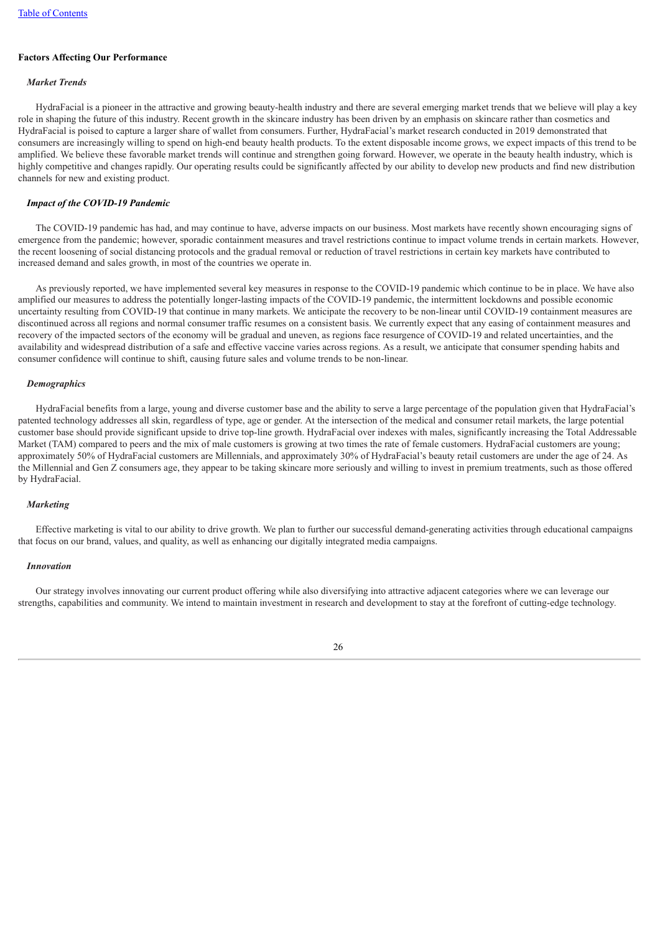# **Factors Affecting Our Performance**

#### *Market Trends*

HydraFacial is a pioneer in the attractive and growing beauty-health industry and there are several emerging market trends that we believe will play a key role in shaping the future of this industry. Recent growth in the skincare industry has been driven by an emphasis on skincare rather than cosmetics and HydraFacial is poised to capture a larger share of wallet from consumers. Further, HydraFacial's market research conducted in 2019 demonstrated that consumers are increasingly willing to spend on high-end beauty health products. To the extent disposable income grows, we expect impacts of this trend to be amplified. We believe these favorable market trends will continue and strengthen going forward. However, we operate in the beauty health industry, which is highly competitive and changes rapidly. Our operating results could be significantly affected by our ability to develop new products and find new distribution channels for new and existing product.

## *Impact of the COVID-19 Pandemic*

The COVID-19 pandemic has had, and may continue to have, adverse impacts on our business. Most markets have recently shown encouraging signs of emergence from the pandemic; however, sporadic containment measures and travel restrictions continue to impact volume trends in certain markets. However, the recent loosening of social distancing protocols and the gradual removal or reduction of travel restrictions in certain key markets have contributed to increased demand and sales growth, in most of the countries we operate in.

As previously reported, we have implemented several key measures in response to the COVID-19 pandemic which continue to be in place. We have also amplified our measures to address the potentially longer-lasting impacts of the COVID-19 pandemic, the intermittent lockdowns and possible economic uncertainty resulting from COVID-19 that continue in many markets. We anticipate the recovery to be non-linear until COVID-19 containment measures are discontinued across all regions and normal consumer traffic resumes on a consistent basis. We currently expect that any easing of containment measures and recovery of the impacted sectors of the economy will be gradual and uneven, as regions face resurgence of COVID-19 and related uncertainties, and the availability and widespread distribution of a safe and effective vaccine varies across regions. As a result, we anticipate that consumer spending habits and consumer confidence will continue to shift, causing future sales and volume trends to be non-linear.

## *Demographics*

HydraFacial benefits from a large, young and diverse customer base and the ability to serve a large percentage of the population given that HydraFacial's patented technology addresses all skin, regardless of type, age or gender. At the intersection of the medical and consumer retail markets, the large potential customer base should provide significant upside to drive top-line growth. HydraFacial over indexes with males, significantly increasing the Total Addressable Market (TAM) compared to peers and the mix of male customers is growing at two times the rate of female customers. HydraFacial customers are young; approximately 50% of HydraFacial customers are Millennials, and approximately 30% of HydraFacial's beauty retail customers are under the age of 24. As the Millennial and Gen Z consumers age, they appear to be taking skincare more seriously and willing to invest in premium treatments, such as those offered by HydraFacial.

# *Marketing*

Effective marketing is vital to our ability to drive growth. We plan to further our successful demand-generating activities through educational campaigns that focus on our brand, values, and quality, as well as enhancing our digitally integrated media campaigns.

#### *Innovation*

Our strategy involves innovating our current product offering while also diversifying into attractive adjacent categories where we can leverage our strengths, capabilities and community. We intend to maintain investment in research and development to stay at the forefront of cutting-edge technology.

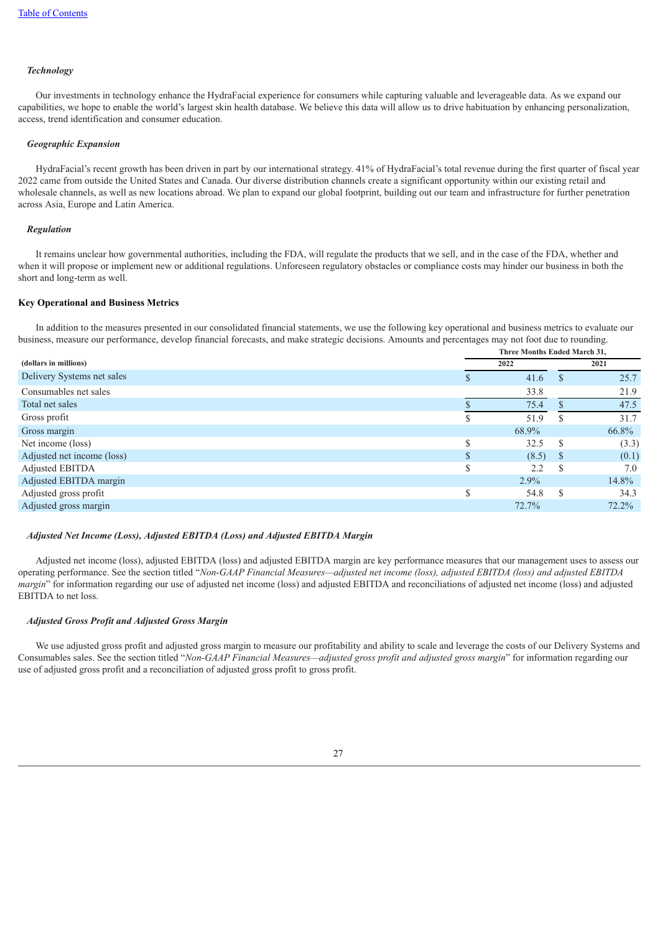#### *Technology*

Our investments in technology enhance the HydraFacial experience for consumers while capturing valuable and leverageable data. As we expand our capabilities, we hope to enable the world's largest skin health database. We believe this data will allow us to drive habituation by enhancing personalization, access, trend identification and consumer education.

# *Geographic Expansion*

HydraFacial's recent growth has been driven in part by our international strategy. 41% of HydraFacial's total revenue during the first quarter of fiscal year 2022 came from outside the United States and Canada. Our diverse distribution channels create a significant opportunity within our existing retail and wholesale channels, as well as new locations abroad. We plan to expand our global footprint, building out our team and infrastructure for further penetration across Asia, Europe and Latin America.

#### *Regulation*

It remains unclear how governmental authorities, including the FDA, will regulate the products that we sell, and in the case of the FDA, whether and when it will propose or implement new or additional regulations. Unforeseen regulatory obstacles or compliance costs may hinder our business in both the short and long-term as well.

## **Key Operational and Business Metrics**

In addition to the measures presented in our consolidated financial statements, we use the following key operational and business metrics to evaluate our business, measure our performance, develop financial forecasts, and make strategic decisions. Amounts and percentages may not foot due to rounding.

|               |         | Three Months Ended March 31, |          |
|---------------|---------|------------------------------|----------|
|               | 2022    |                              | 2021     |
|               | 41.6    | S                            | 25.7     |
|               | 33.8    |                              | 21.9     |
|               | 75.4    |                              | 47.5     |
|               | 51.9    | \$.                          | 31.7     |
|               | 68.9%   |                              | 66.8%    |
| ¢             | 32.5    | S                            | (3.3)    |
|               | (8.5)   | -S                           | (0.1)    |
|               | 2.2     | S                            | 7.0      |
|               | $2.9\%$ |                              | 14.8%    |
| $\mathcal{S}$ | 54.8    | S                            | 34.3     |
|               | 72.7%   |                              | $72.2\%$ |
|               |         |                              |          |

#### *Adjusted Net Income (Loss), Adjusted EBITDA (Loss) and Adjusted EBITDA Margin*

Adjusted net income (loss), adjusted EBITDA (loss) and adjusted EBITDA margin are key performance measures that our management uses to assess our operating performance. See the section titled "Non-GAAP Financial Measures—adjusted net income (loss), adjusted EBITDA (loss) and adjusted EBITDA *margin*" for information regarding our use of adjusted net income (loss) and adjusted EBITDA and reconciliations of adjusted net income (loss) and adjusted EBITDA to net loss.

#### *Adjusted Gross Profit and Adjusted Gross Margin*

We use adjusted gross profit and adjusted gross margin to measure our profitability and ability to scale and leverage the costs of our Delivery Systems and Consumables sales. See the section titled "*Non-GAAP Financial Measures—adjusted gross profit and adjusted gross margin*" for information regarding our use of adjusted gross profit and a reconciliation of adjusted gross profit to gross profit.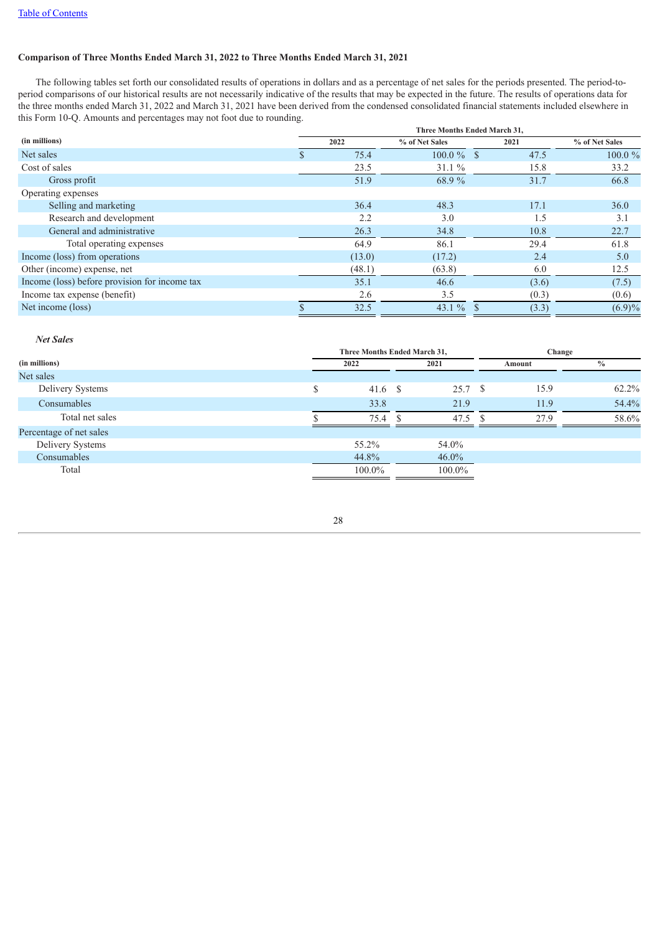# **Comparison of Three Months Ended March 31, 2022 to Three Months Ended March 31, 2021**

The following tables set forth our consolidated results of operations in dollars and as a percentage of net sales for the periods presented. The period-toperiod comparisons of our historical results are not necessarily indicative of the results that may be expected in the future. The results of operations data for the three months ended March 31, 2022 and March 31, 2021 have been derived from the condensed consolidated financial statements included elsewhere in this Form 10-Q. Amounts and percentages may not foot due to rounding.

|                                               | <b>Three Months Ended March 31.</b> |        |                |       |                |  |  |  |  |  |  |
|-----------------------------------------------|-------------------------------------|--------|----------------|-------|----------------|--|--|--|--|--|--|
| (in millions)                                 |                                     | 2022   | % of Net Sales | 2021  | % of Net Sales |  |  |  |  |  |  |
| Net sales                                     |                                     | 75.4   | $100.0\%$ \$   | 47.5  | 100.0%         |  |  |  |  |  |  |
| Cost of sales                                 |                                     | 23.5   | 31.1%          | 15.8  | 33.2           |  |  |  |  |  |  |
| Gross profit                                  |                                     | 51.9   | 68.9 %         | 31.7  | 66.8           |  |  |  |  |  |  |
| Operating expenses                            |                                     |        |                |       |                |  |  |  |  |  |  |
| Selling and marketing                         |                                     | 36.4   | 48.3           | 17.1  | 36.0           |  |  |  |  |  |  |
| Research and development                      |                                     | 2.2    | 3.0            | 1.5   | 3.1            |  |  |  |  |  |  |
| General and administrative                    |                                     | 26.3   | 34.8           | 10.8  | 22.7           |  |  |  |  |  |  |
| Total operating expenses                      |                                     | 64.9   | 86.1           | 29.4  | 61.8           |  |  |  |  |  |  |
| Income (loss) from operations                 |                                     | (13.0) | (17.2)         | 2.4   | 5.0            |  |  |  |  |  |  |
| Other (income) expense, net                   |                                     | (48.1) | (63.8)         | 6.0   | 12.5           |  |  |  |  |  |  |
| Income (loss) before provision for income tax |                                     | 35.1   | 46.6           | (3.6) | (7.5)          |  |  |  |  |  |  |
| Income tax expense (benefit)                  |                                     | 2.6    | 3.5            | (0.3) | (0.6)          |  |  |  |  |  |  |
| Net income (loss)                             |                                     | 32.5   |                | (3.3) | $(6.9)\%$      |  |  |  |  |  |  |

*Net Sales*

|                         |   | Three Months Ended March 31, |  |          | Change |      |               |  |
|-------------------------|---|------------------------------|--|----------|--------|------|---------------|--|
| (in millions)           |   | 2022                         |  | 2021     | Amount |      | $\frac{0}{0}$ |  |
| Net sales               |   |                              |  |          |        |      |               |  |
| Delivery Systems        | S | $41.6$ \$                    |  | 25.7 S   |        | 15.9 | $62.2\%$      |  |
| Consumables             |   | 33.8                         |  | 21.9     |        | 11.9 | 54.4%         |  |
| Total net sales         |   | 75.4                         |  | 47.5     |        | 27.9 | 58.6%         |  |
| Percentage of net sales |   |                              |  |          |        |      |               |  |
| Delivery Systems        |   | 55.2%                        |  | 54.0%    |        |      |               |  |
| Consumables             |   | 44.8%                        |  | $46.0\%$ |        |      |               |  |
| Total                   |   | 100.0%                       |  | 100.0%   |        |      |               |  |
|                         |   |                              |  |          |        |      |               |  |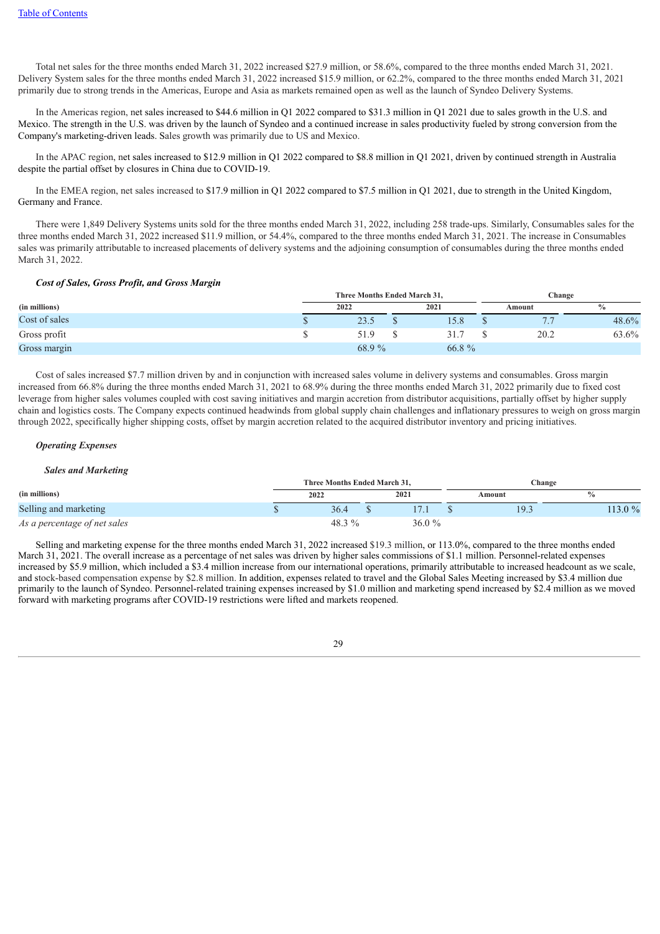Total net sales for the three months ended March 31, 2022 increased \$27.9 million, or 58.6%, compared to the three months ended March 31, 2021. Delivery System sales for the three months ended March 31, 2022 increased \$15.9 million, or 62.2%, compared to the three months ended March 31, 2021 primarily due to strong trends in the Americas, Europe and Asia as markets remained open as well as the launch of Syndeo Delivery Systems.

In the Americas region, net sales increased to \$44.6 million in Q1 2022 compared to \$31.3 million in Q1 2021 due to sales growth in the U.S. and Mexico. The strength in the U.S. was driven by the launch of Syndeo and a continued increase in sales productivity fueled by strong conversion from the Company's marketing-driven leads. Sales growth was primarily due to US and Mexico.

In the APAC region, net sales increased to \$12.9 million in Q1 2022 compared to \$8.8 million in Q1 2021, driven by continued strength in Australia despite the partial offset by closures in China due to COVID-19.

In the EMEA region, net sales increased to \$17.9 million in Q1 2022 compared to \$7.5 million in Q1 2021, due to strength in the United Kingdom, Germany and France.

There were 1,849 Delivery Systems units sold for the three months ended March 31, 2022, including 258 trade-ups. Similarly, Consumables sales for the three months ended March 31, 2022 increased \$11.9 million, or 54.4%, compared to the three months ended March 31, 2021. The increase in Consumables sales was primarily attributable to increased placements of delivery systems and the adjoining consumption of consumables during the three months ended March 31, 2022.

#### *Cost of Sales, Gross Profit, and Gross Margin*

|               | Three Months Ended March 31, |       | Change |               |  |  |
|---------------|------------------------------|-------|--------|---------------|--|--|
| (in millions) | 2022                         | 2021  | Amount | $\frac{0}{0}$ |  |  |
| Cost of sales | 23.5                         | 15.8  | , , ,  | 48.6%         |  |  |
| Gross profit  | 51.9                         | 31.   | 20.2   | 63.6%         |  |  |
| Gross margin  | 68.9 %                       | 66.8% |        |               |  |  |

Cost of sales increased \$7.7 million driven by and in conjunction with increased sales volume in delivery systems and consumables. Gross margin increased from 66.8% during the three months ended March 31, 2021 to 68.9% during the three months ended March 31, 2022 primarily due to fixed cost leverage from higher sales volumes coupled with cost saving initiatives and margin accretion from distributor acquisitions, partially offset by higher supply chain and logistics costs. The Company expects continued headwinds from global supply chain challenges and inflationary pressures to weigh on gross margin through 2022, specifically higher shipping costs, offset by margin accretion related to the acquired distributor inventory and pricing initiatives.

## *Operating Expenses*

#### *Sales and Marketing*

|                              | Three Months Ended March 31. |          |        | Change        |
|------------------------------|------------------------------|----------|--------|---------------|
| (in millions)                | 2022                         | 2021     | Amount | $\frac{6}{9}$ |
| Selling and marketing        | 36.4                         |          | 19.3   | 13.0%         |
| As a percentage of net sales | 48.3 %                       | $36.0\%$ |        |               |

Selling and marketing expense for the three months ended March 31, 2022 increased \$19.3 million, or 113.0%, compared to the three months ended March 31, 2021. The overall increase as a percentage of net sales was driven by higher sales commissions of \$1.1 million. Personnel-related expenses increased by \$5.9 million, which included a \$3.4 million increase from our international operations, primarily attributable to increased headcount as we scale, and stock-based compensation expense by \$2.8 million. In addition, expenses related to travel and the Global Sales Meeting increased by \$3.4 million due primarily to the launch of Syndeo. Personnel-related training expenses increased by \$1.0 million and marketing spend increased by \$2.4 million as we moved forward with marketing programs after COVID-19 restrictions were lifted and markets reopened.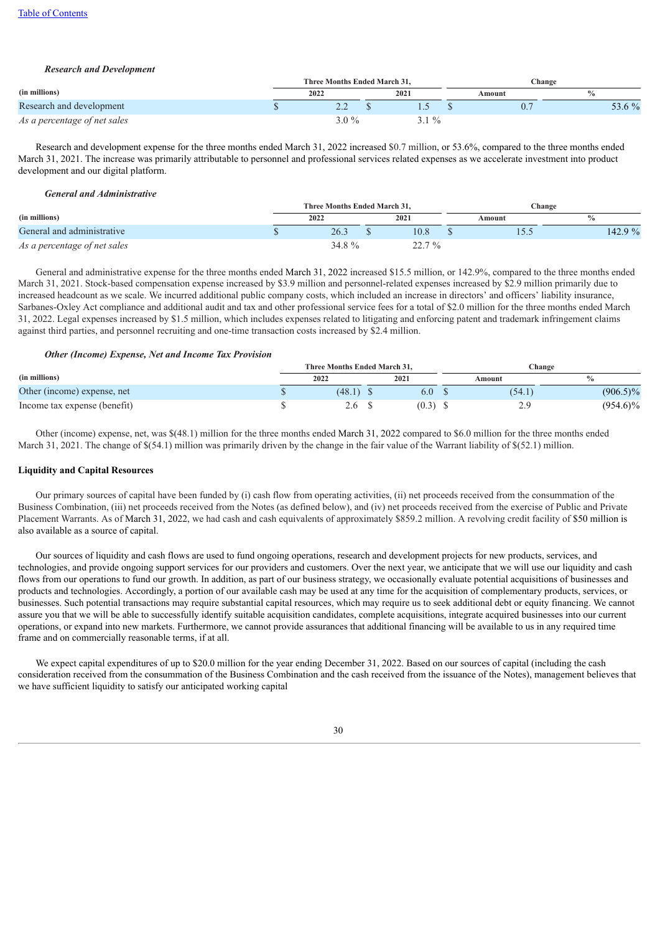## *Research and Development*

|                              | Three Months Ended March 31. |                |  | Change |        |
|------------------------------|------------------------------|----------------|--|--------|--------|
| (in millions)                | 2022                         | 2021           |  | ⊾mount | $\%$   |
| Research and development     | $\bigcap$<br>$\sim$ $\sim$   | $\overline{1}$ |  |        | 53.6 % |
| As a percentage of net sales | $3.0\%$                      | $\%$           |  |        |        |

Research and development expense for the three months ended March 31, 2022 increased \$0.7 million, or 53.6%, compared to the three months ended March 31, 2021. The increase was primarily attributable to personnel and professional services related expenses as we accelerate investment into product development and our digital platform.

#### *General and Administrative*

|                              | Three Months Ended March 31. |       |  |          |  |        | <b>Change</b> |
|------------------------------|------------------------------|-------|--|----------|--|--------|---------------|
| (in millions)                | 2022                         |       |  | 2021     |  | Amount | $\frac{6}{9}$ |
| General and administrative   |                              | 26.3  |  | 10.8     |  |        | 42.9%         |
| As a percentage of net sales |                              | 34.8% |  | $22.7\%$ |  |        |               |

General and administrative expense for the three months ended March 31, 2022 increased \$15.5 million, or 142.9%, compared to the three months ended March 31, 2021. Stock-based compensation expense increased by \$3.9 million and personnel-related expenses increased by \$2.9 million primarily due to increased headcount as we scale. We incurred additional public company costs, which included an increase in directors' and officers' liability insurance, Sarbanes-Oxley Act compliance and additional audit and tax and other professional service fees for a total of \$2.0 million for the three months ended March 31, 2022. Legal expenses increased by \$1.5 million, which includes expenses related to litigating and enforcing patent and trademark infringement claims against third parties, and personnel recruiting and one-time transaction costs increased by \$2.4 million.

#### *Other (Income) Expense, Net and Income Tax Provision*

|                              | <b>Three Months Ended March 31.</b> |        |  |       |  |                                | Change      |
|------------------------------|-------------------------------------|--------|--|-------|--|--------------------------------|-------------|
| (in millions)                |                                     | 2022   |  | 2021  |  | Amount                         |             |
| Other (income) expense, net  |                                     | (48.1) |  | 6.0   |  | (54.1)                         | $(906.5)\%$ |
| Income tax expense (benefit) |                                     | 2.6    |  | (0.3) |  | 2 <sub>0</sub><br><u>، ، ،</u> | $(954.6)\%$ |

Other (income) expense, net, was \$(48.1) million for the three months ended March 31, 2022 compared to \$6.0 million for the three months ended March 31, 2021. The change of  $\S(54.1)$  million was primarily driven by the change in the fair value of the Warrant liability of  $\S(52.1)$  million.

# **Liquidity and Capital Resources**

Our primary sources of capital have been funded by (i) cash flow from operating activities, (ii) net proceeds received from the consummation of the Business Combination, (iii) net proceeds received from the Notes (as defined below), and (iv) net proceeds received from the exercise of Public and Private Placement Warrants. As of March 31, 2022, we had cash and cash equivalents of approximately \$859.2 million. A revolving credit facility of \$50 million is also available as a source of capital.

Our sources of liquidity and cash flows are used to fund ongoing operations, research and development projects for new products, services, and technologies, and provide ongoing support services for our providers and customers. Over the next year, we anticipate that we will use our liquidity and cash flows from our operations to fund our growth. In addition, as part of our business strategy, we occasionally evaluate potential acquisitions of businesses and products and technologies. Accordingly, a portion of our available cash may be used at any time for the acquisition of complementary products, services, or businesses. Such potential transactions may require substantial capital resources, which may require us to seek additional debt or equity financing. We cannot assure you that we will be able to successfully identify suitable acquisition candidates, complete acquisitions, integrate acquired businesses into our current operations, or expand into new markets. Furthermore, we cannot provide assurances that additional financing will be available to us in any required time frame and on commercially reasonable terms, if at all.

We expect capital expenditures of up to \$20.0 million for the year ending December 31, 2022. Based on our sources of capital (including the cash consideration received from the consummation of the Business Combination and the cash received from the issuance of the Notes), management believes that we have sufficient liquidity to satisfy our anticipated working capital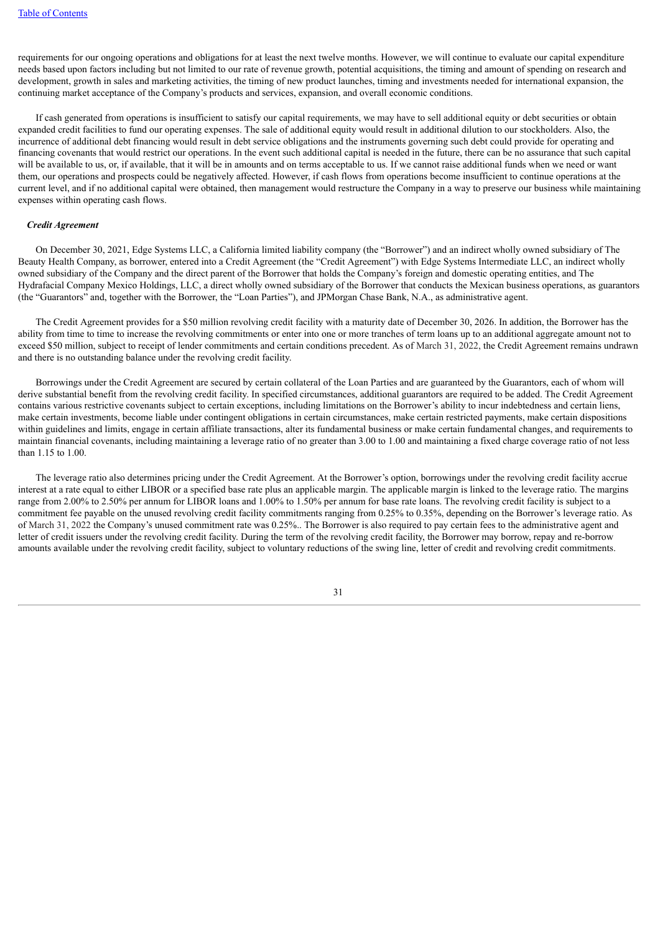requirements for our ongoing operations and obligations for at least the next twelve months. However, we will continue to evaluate our capital expenditure needs based upon factors including but not limited to our rate of revenue growth, potential acquisitions, the timing and amount of spending on research and development, growth in sales and marketing activities, the timing of new product launches, timing and investments needed for international expansion, the continuing market acceptance of the Company's products and services, expansion, and overall economic conditions.

If cash generated from operations is insufficient to satisfy our capital requirements, we may have to sell additional equity or debt securities or obtain expanded credit facilities to fund our operating expenses. The sale of additional equity would result in additional dilution to our stockholders. Also, the incurrence of additional debt financing would result in debt service obligations and the instruments governing such debt could provide for operating and financing covenants that would restrict our operations. In the event such additional capital is needed in the future, there can be no assurance that such capital will be available to us, or, if available, that it will be in amounts and on terms acceptable to us. If we cannot raise additional funds when we need or want them, our operations and prospects could be negatively affected. However, if cash flows from operations become insufficient to continue operations at the current level, and if no additional capital were obtained, then management would restructure the Company in a way to preserve our business while maintaining expenses within operating cash flows.

## *Credit Agreement*

On December 30, 2021, Edge Systems LLC, a California limited liability company (the "Borrower") and an indirect wholly owned subsidiary of The Beauty Health Company, as borrower, entered into a Credit Agreement (the "Credit Agreement") with Edge Systems Intermediate LLC, an indirect wholly owned subsidiary of the Company and the direct parent of the Borrower that holds the Company's foreign and domestic operating entities, and The Hydrafacial Company Mexico Holdings, LLC, a direct wholly owned subsidiary of the Borrower that conducts the Mexican business operations, as guarantors (the "Guarantors" and, together with the Borrower, the "Loan Parties"), and JPMorgan Chase Bank, N.A., as administrative agent.

The Credit Agreement provides for a \$50 million revolving credit facility with a maturity date of December 30, 2026. In addition, the Borrower has the ability from time to time to increase the revolving commitments or enter into one or more tranches of term loans up to an additional aggregate amount not to exceed \$50 million, subject to receipt of lender commitments and certain conditions precedent. As of March 31, 2022, the Credit Agreement remains undrawn and there is no outstanding balance under the revolving credit facility.

Borrowings under the Credit Agreement are secured by certain collateral of the Loan Parties and are guaranteed by the Guarantors, each of whom will derive substantial benefit from the revolving credit facility. In specified circumstances, additional guarantors are required to be added. The Credit Agreement contains various restrictive covenants subject to certain exceptions, including limitations on the Borrower's ability to incur indebtedness and certain liens, make certain investments, become liable under contingent obligations in certain circumstances, make certain restricted payments, make certain dispositions within guidelines and limits, engage in certain affiliate transactions, alter its fundamental business or make certain fundamental changes, and requirements to maintain financial covenants, including maintaining a leverage ratio of no greater than 3.00 to 1.00 and maintaining a fixed charge coverage ratio of not less than 1.15 to 1.00.

The leverage ratio also determines pricing under the Credit Agreement. At the Borrower's option, borrowings under the revolving credit facility accrue interest at a rate equal to either LIBOR or a specified base rate plus an applicable margin. The applicable margin is linked to the leverage ratio. The margins range from 2.00% to 2.50% per annum for LIBOR loans and 1.00% to 1.50% per annum for base rate loans. The revolving credit facility is subject to a commitment fee payable on the unused revolving credit facility commitments ranging from 0.25% to 0.35%, depending on the Borrower's leverage ratio. As of March 31, 2022 the Company's unused commitment rate was 0.25%.. The Borrower is also required to pay certain fees to the administrative agent and letter of credit issuers under the revolving credit facility. During the term of the revolving credit facility, the Borrower may borrow, repay and re-borrow amounts available under the revolving credit facility, subject to voluntary reductions of the swing line, letter of credit and revolving credit commitments.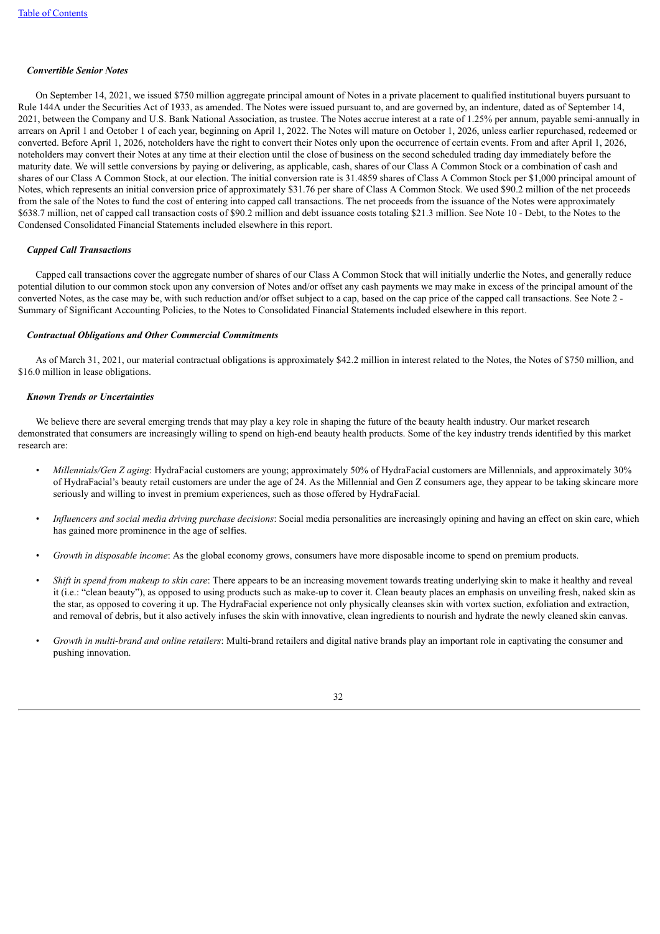#### *Convertible Senior Notes*

On September 14, 2021, we issued \$750 million aggregate principal amount of Notes in a private placement to qualified institutional buyers pursuant to Rule 144A under the Securities Act of 1933, as amended. The Notes were issued pursuant to, and are governed by, an indenture, dated as of September 14, 2021, between the Company and U.S. Bank National Association, as trustee. The Notes accrue interest at a rate of 1.25% per annum, payable semi-annually in arrears on April 1 and October 1 of each year, beginning on April 1, 2022. The Notes will mature on October 1, 2026, unless earlier repurchased, redeemed or converted. Before April 1, 2026, noteholders have the right to convert their Notes only upon the occurrence of certain events. From and after April 1, 2026, noteholders may convert their Notes at any time at their election until the close of business on the second scheduled trading day immediately before the maturity date. We will settle conversions by paying or delivering, as applicable, cash, shares of our Class A Common Stock or a combination of cash and shares of our Class A Common Stock, at our election. The initial conversion rate is 31.4859 shares of Class A Common Stock per \$1,000 principal amount of Notes, which represents an initial conversion price of approximately \$31.76 per share of Class A Common Stock. We used \$90.2 million of the net proceeds from the sale of the Notes to fund the cost of entering into capped call transactions. The net proceeds from the issuance of the Notes were approximately \$638.7 million, net of capped call transaction costs of \$90.2 million and debt issuance costs totaling \$21.3 million. See Note 10 - Debt, to the Notes to the Condensed Consolidated Financial Statements included elsewhere in this report.

## *Capped Call Transactions*

Capped call transactions cover the aggregate number of shares of our Class A Common Stock that will initially underlie the Notes, and generally reduce potential dilution to our common stock upon any conversion of Notes and/or offset any cash payments we may make in excess of the principal amount of the converted Notes, as the case may be, with such reduction and/or offset subject to a cap, based on the cap price of the capped call transactions. See Note 2 - Summary of Significant Accounting Policies, to the Notes to Consolidated Financial Statements included elsewhere in this report.

#### *Contractual Obligations and Other Commercial Commitments*

As of March 31, 2021, our material contractual obligations is approximately \$42.2 million in interest related to the Notes, the Notes of \$750 million, and \$16.0 million in lease obligations.

## *Known Trends or Uncertainties*

We believe there are several emerging trends that may play a key role in shaping the future of the beauty health industry. Our market research demonstrated that consumers are increasingly willing to spend on high-end beauty health products. Some of the key industry trends identified by this market research are:

- *• Millennials/Gen Z aging*: HydraFacial customers are young; approximately 50% of HydraFacial customers are Millennials, and approximately 30% of HydraFacial's beauty retail customers are under the age of 24. As the Millennial and Gen Z consumers age, they appear to be taking skincare more seriously and willing to invest in premium experiences, such as those offered by HydraFacial.
- *• Influencers and social media driving purchase decisions*: Social media personalities are increasingly opining and having an effect on skin care, which has gained more prominence in the age of selfies.
- *• Growth in disposable income*: As the global economy grows, consumers have more disposable income to spend on premium products.
- *• Shift in spend from makeup to skin care*: There appears to be an increasing movement towards treating underlying skin to make it healthy and reveal it (i.e.: "clean beauty"), as opposed to using products such as make-up to cover it. Clean beauty places an emphasis on unveiling fresh, naked skin as the star, as opposed to covering it up. The HydraFacial experience not only physically cleanses skin with vortex suction, exfoliation and extraction, and removal of debris, but it also actively infuses the skin with innovative, clean ingredients to nourish and hydrate the newly cleaned skin canvas.
- *• Growth in multi-brand and online retailers*: Multi-brand retailers and digital native brands play an important role in captivating the consumer and pushing innovation.

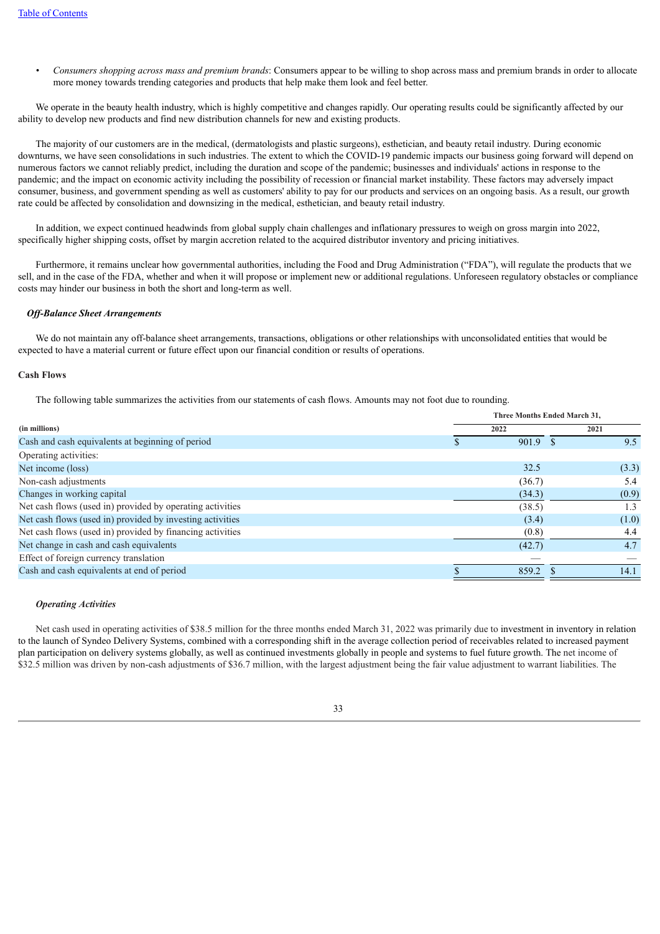*• Consumers shopping across mass and premium brands*: Consumers appear to be willing to shop across mass and premium brands in order to allocate more money towards trending categories and products that help make them look and feel better.

We operate in the beauty health industry, which is highly competitive and changes rapidly. Our operating results could be significantly affected by our ability to develop new products and find new distribution channels for new and existing products.

The majority of our customers are in the medical, (dermatologists and plastic surgeons), esthetician, and beauty retail industry. During economic downturns, we have seen consolidations in such industries. The extent to which the COVID-19 pandemic impacts our business going forward will depend on numerous factors we cannot reliably predict, including the duration and scope of the pandemic; businesses and individuals' actions in response to the pandemic; and the impact on economic activity including the possibility of recession or financial market instability. These factors may adversely impact consumer, business, and government spending as well as customers' ability to pay for our products and services on an ongoing basis. As a result, our growth rate could be affected by consolidation and downsizing in the medical, esthetician, and beauty retail industry.

In addition, we expect continued headwinds from global supply chain challenges and inflationary pressures to weigh on gross margin into 2022, specifically higher shipping costs, offset by margin accretion related to the acquired distributor inventory and pricing initiatives.

Furthermore, it remains unclear how governmental authorities, including the Food and Drug Administration ("FDA"), will regulate the products that we sell, and in the case of the FDA, whether and when it will propose or implement new or additional regulations. Unforeseen regulatory obstacles or compliance costs may hinder our business in both the short and long-term as well.

#### *Of -Balance Sheet Arrangements*

We do not maintain any off-balance sheet arrangements, transactions, obligations or other relationships with unconsolidated entities that would be expected to have a material current or future effect upon our financial condition or results of operations.

## **Cash Flows**

The following table summarizes the activities from our statements of cash flows. Amounts may not foot due to rounding.

|                                                           |        | Three Months Ended March 31, |
|-----------------------------------------------------------|--------|------------------------------|
| (in millions)                                             | 2022   | 2021                         |
| Cash and cash equivalents at beginning of period          | 901.9  | 9.5                          |
| Operating activities:                                     |        |                              |
| Net income (loss)                                         | 32.5   | (3.3)                        |
| Non-cash adjustments                                      | (36.7) | 5.4                          |
| Changes in working capital                                | (34.3) | (0.9)                        |
| Net cash flows (used in) provided by operating activities | (38.5) | 1.3                          |
| Net cash flows (used in) provided by investing activities | (3.4)  | (1.0)                        |
| Net cash flows (used in) provided by financing activities | (0.8)  | 4.4                          |
| Net change in cash and cash equivalents                   | (42.7) | 4.7                          |
| Effect of foreign currency translation                    |        |                              |
| Cash and cash equivalents at end of period                | 859.2  | 14.1                         |

#### *Operating Activities*

Net cash used in operating activities of \$38.5 million for the three months ended March 31, 2022 was primarily due to investment in inventory in relation to the launch of Syndeo Delivery Systems, combined with a corresponding shift in the average collection period of receivables related to increased payment plan participation on delivery systems globally, as well as continued investments globally in people and systems to fuel future growth. The net income of \$32.5 million was driven by non-cash adjustments of \$36.7 million, with the largest adjustment being the fair value adjustment to warrant liabilities. The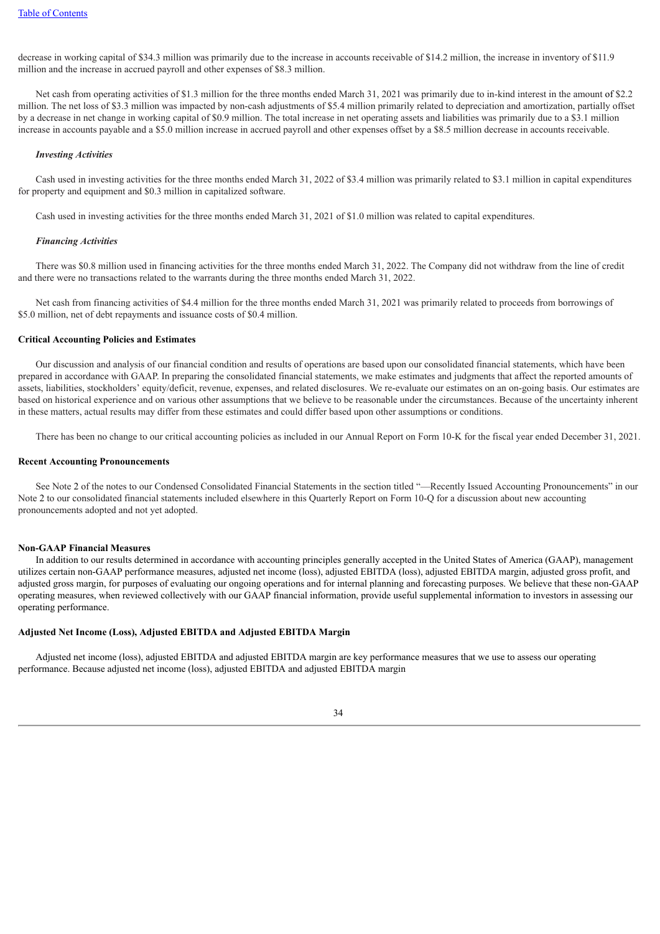decrease in working capital of \$34.3 million was primarily due to the increase in accounts receivable of \$14.2 million, the increase in inventory of \$11.9 million and the increase in accrued payroll and other expenses of \$8.3 million.

Net cash from operating activities of \$1.3 million for the three months ended March 31, 2021 was primarily due to in-kind interest in the amount of \$2.2 million. The net loss of \$3.3 million was impacted by non-cash adjustments of \$5.4 million primarily related to depreciation and amortization, partially offset by a decrease in net change in working capital of \$0.9 million. The total increase in net operating assets and liabilities was primarily due to a \$3.1 million increase in accounts payable and a \$5.0 million increase in accrued payroll and other expenses offset by a \$8.5 million decrease in accounts receivable.

#### *Investing Activities*

Cash used in investing activities for the three months ended March 31, 2022 of \$3.4 million was primarily related to \$3.1 million in capital expenditures for property and equipment and \$0.3 million in capitalized software.

Cash used in investing activities for the three months ended March 31, 2021 of \$1.0 million was related to capital expenditures.

#### *Financing Activities*

There was \$0.8 million used in financing activities for the three months ended March 31, 2022. The Company did not withdraw from the line of credit and there were no transactions related to the warrants during the three months ended March 31, 2022.

Net cash from financing activities of \$4.4 million for the three months ended March 31, 2021 was primarily related to proceeds from borrowings of \$5.0 million, net of debt repayments and issuance costs of \$0.4 million.

#### **Critical Accounting Policies and Estimates**

Our discussion and analysis of our financial condition and results of operations are based upon our consolidated financial statements, which have been prepared in accordance with GAAP. In preparing the consolidated financial statements, we make estimates and judgments that affect the reported amounts of assets, liabilities, stockholders' equity/deficit, revenue, expenses, and related disclosures. We re-evaluate our estimates on an on-going basis. Our estimates are based on historical experience and on various other assumptions that we believe to be reasonable under the circumstances. Because of the uncertainty inherent in these matters, actual results may differ from these estimates and could differ based upon other assumptions or conditions.

There has been no change to our critical accounting policies as included in our Annual Report on Form 10-K for the fiscal year ended December 31, 2021.

#### **Recent Accounting Pronouncements**

See Note 2 of the notes to our Condensed Consolidated Financial Statements in the section titled "—Recently Issued Accounting Pronouncements" in our Note 2 to our consolidated financial statements included elsewhere in this Quarterly Report on Form 10-Q for a discussion about new accounting pronouncements adopted and not yet adopted.

#### **Non-GAAP Financial Measures**

In addition to our results determined in accordance with accounting principles generally accepted in the United States of America (GAAP), management utilizes certain non-GAAP performance measures, adjusted net income (loss), adjusted EBITDA (loss), adjusted EBITDA margin, adjusted gross profit, and adjusted gross margin, for purposes of evaluating our ongoing operations and for internal planning and forecasting purposes. We believe that these non-GAAP operating measures, when reviewed collectively with our GAAP financial information, provide useful supplemental information to investors in assessing our operating performance.

#### **Adjusted Net Income (Loss), Adjusted EBITDA and Adjusted EBITDA Margin**

Adjusted net income (loss), adjusted EBITDA and adjusted EBITDA margin are key performance measures that we use to assess our operating performance. Because adjusted net income (loss), adjusted EBITDA and adjusted EBITDA margin

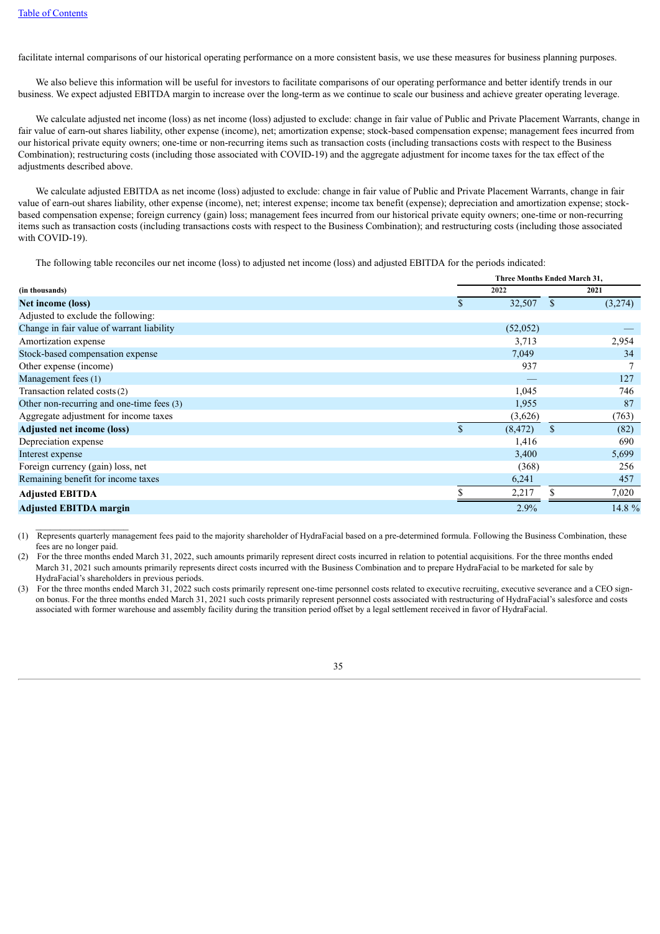facilitate internal comparisons of our historical operating performance on a more consistent basis, we use these measures for business planning purposes.

We also believe this information will be useful for investors to facilitate comparisons of our operating performance and better identify trends in our business. We expect adjusted EBITDA margin to increase over the long-term as we continue to scale our business and achieve greater operating leverage.

We calculate adjusted net income (loss) as net income (loss) adjusted to exclude: change in fair value of Public and Private Placement Warrants, change in fair value of earn-out shares liability, other expense (income), net; amortization expense; stock-based compensation expense; management fees incurred from our historical private equity owners; one-time or non-recurring items such as transaction costs (including transactions costs with respect to the Business Combination); restructuring costs (including those associated with COVID-19) and the aggregate adjustment for income taxes for the tax effect of the adjustments described above.

We calculate adjusted EBITDA as net income (loss) adjusted to exclude: change in fair value of Public and Private Placement Warrants, change in fair value of earn-out shares liability, other expense (income), net; interest expense; income tax benefit (expense); depreciation and amortization expense; stockbased compensation expense; foreign currency (gain) loss; management fees incurred from our historical private equity owners; one-time or non-recurring items such as transaction costs (including transactions costs with respect to the Business Combination); and restructuring costs (including those associated with COVID-19).

The following table reconciles our net income (loss) to adjusted net income (loss) and adjusted EBITDA for the periods indicated:

|                                           |              | Three Months Ended March 31, |               |         |  |  |  |  |  |
|-------------------------------------------|--------------|------------------------------|---------------|---------|--|--|--|--|--|
| (in thousands)                            |              | 2022                         |               |         |  |  |  |  |  |
| Net income (loss)                         |              | 32,507                       | $\mathcal{S}$ | (3,274) |  |  |  |  |  |
| Adjusted to exclude the following:        |              |                              |               |         |  |  |  |  |  |
| Change in fair value of warrant liability |              | (52,052)                     |               |         |  |  |  |  |  |
| Amortization expense                      |              | 3,713                        |               | 2,954   |  |  |  |  |  |
| Stock-based compensation expense          |              | 7,049                        |               | 34      |  |  |  |  |  |
| Other expense (income)                    |              | 937                          |               |         |  |  |  |  |  |
| Management fees (1)                       |              |                              |               | 127     |  |  |  |  |  |
| Transaction related costs (2)             |              | 1,045                        |               | 746     |  |  |  |  |  |
| Other non-recurring and one-time fees (3) |              | 1,955                        |               | 87      |  |  |  |  |  |
| Aggregate adjustment for income taxes     |              | (3,626)                      |               | (763)   |  |  |  |  |  |
| <b>Adjusted net income (loss)</b>         | $\mathbf{s}$ | (8, 472)                     | $\mathbb{S}$  | (82)    |  |  |  |  |  |
| Depreciation expense                      |              | 1,416                        |               | 690     |  |  |  |  |  |
| Interest expense                          |              | 3,400                        |               | 5,699   |  |  |  |  |  |
| Foreign currency (gain) loss, net         |              | (368)                        |               | 256     |  |  |  |  |  |
| Remaining benefit for income taxes        |              | 6,241                        |               | 457     |  |  |  |  |  |
| <b>Adjusted EBITDA</b>                    |              | 2,217                        |               | 7,020   |  |  |  |  |  |
| <b>Adjusted EBITDA margin</b>             |              | 2.9%                         |               | 14.8%   |  |  |  |  |  |

(1) Represents quarterly management fees paid to the majority shareholder of HydraFacial based on a pre-determined formula. Following the Business Combination, these fees are no longer paid.

For the three months ended March 31, 2022, such amounts primarily represent direct costs incurred in relation to potential acquisitions. For the three months ended March 31, 2021 such amounts primarily represents direct costs incurred with the Business Combination and to prepare HydraFacial to be marketed for sale by HydraFacial's shareholders in previous periods.

(3) For the three months ended March 31, 2022 such costs primarily represent one-time personnel costs related to executive recruiting, executive severance and a CEO signon bonus. For the three months ended March 31, 2021 such costs primarily represent personnel costs associated with restructuring of HydraFacial's salesforce and costs associated with former warehouse and assembly facility during the transition period offset by a legal settlement received in favor of HydraFacial.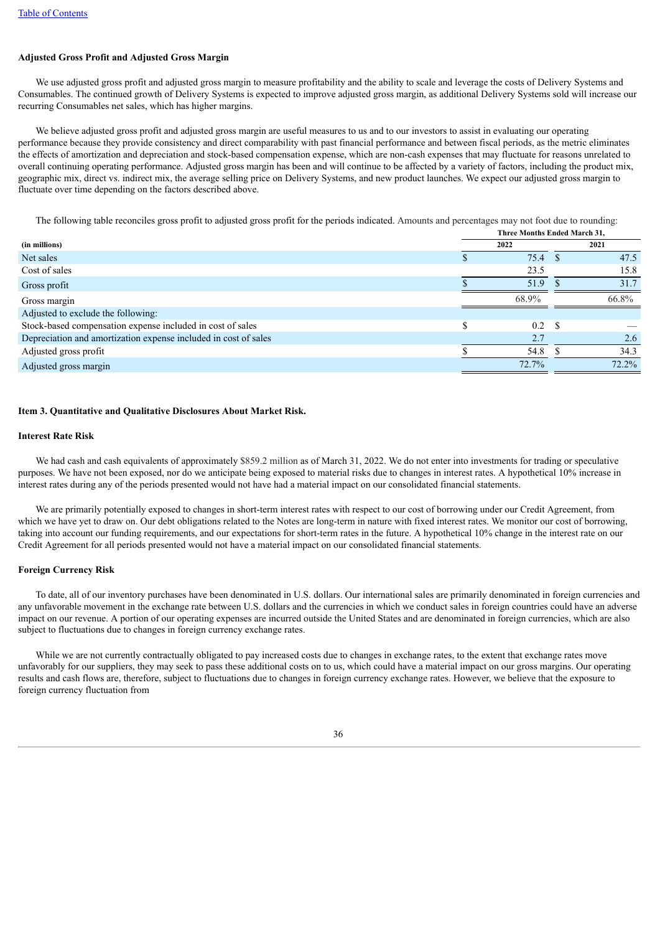# **Adjusted Gross Profit and Adjusted Gross Margin**

We use adjusted gross profit and adjusted gross margin to measure profitability and the ability to scale and leverage the costs of Delivery Systems and Consumables. The continued growth of Delivery Systems is expected to improve adjusted gross margin, as additional Delivery Systems sold will increase our recurring Consumables net sales, which has higher margins.

We believe adjusted gross profit and adjusted gross margin are useful measures to us and to our investors to assist in evaluating our operating performance because they provide consistency and direct comparability with past financial performance and between fiscal periods, as the metric eliminates the effects of amortization and depreciation and stock-based compensation expense, which are non-cash expenses that may fluctuate for reasons unrelated to overall continuing operating performance. Adjusted gross margin has been and will continue to be affected by a variety of factors, including the product mix, geographic mix, direct vs. indirect mix, the average selling price on Delivery Systems, and new product launches. We expect our adjusted gross margin to fluctuate over time depending on the factors described above.

The following table reconciles gross profit to adjusted gross profit for the periods indicated. Amounts and percentages may not foot due to rounding:

|                                                                 |             | Three Months Ended March 31, |          |  |
|-----------------------------------------------------------------|-------------|------------------------------|----------|--|
| (in millions)                                                   | 2022        |                              | 2021     |  |
| Net sales                                                       | 75.4        |                              | 47.5     |  |
| Cost of sales                                                   | 23.5        |                              | 15.8     |  |
| Gross profit                                                    | 51.9        |                              | 31.7     |  |
| Gross margin                                                    | 68.9%       |                              | 66.8%    |  |
| Adjusted to exclude the following:                              |             |                              |          |  |
| Stock-based compensation expense included in cost of sales      | $0.2 \quad$ |                              |          |  |
| Depreciation and amortization expense included in cost of sales | 2.7         |                              | 2.6      |  |
| Adjusted gross profit                                           | 54.8        |                              | 34.3     |  |
| Adjusted gross margin                                           | 72.7%       |                              | $72.2\%$ |  |

# <span id="page-34-0"></span>**Item 3. Quantitative and Qualitative Disclosures About Market Risk.**

# **Interest Rate Risk**

We had cash and cash equivalents of approximately \$859.2 million as of March 31, 2022. We do not enter into investments for trading or speculative purposes. We have not been exposed, nor do we anticipate being exposed to material risks due to changes in interest rates. A hypothetical 10% increase in interest rates during any of the periods presented would not have had a material impact on our consolidated financial statements.

We are primarily potentially exposed to changes in short-term interest rates with respect to our cost of borrowing under our Credit Agreement, from which we have yet to draw on. Our debt obligations related to the Notes are long-term in nature with fixed interest rates. We monitor our cost of borrowing, taking into account our funding requirements, and our expectations for short-term rates in the future. A hypothetical 10% change in the interest rate on our Credit Agreement for all periods presented would not have a material impact on our consolidated financial statements.

#### **Foreign Currency Risk**

To date, all of our inventory purchases have been denominated in U.S. dollars. Our international sales are primarily denominated in foreign currencies and any unfavorable movement in the exchange rate between U.S. dollars and the currencies in which we conduct sales in foreign countries could have an adverse impact on our revenue. A portion of our operating expenses are incurred outside the United States and are denominated in foreign currencies, which are also subject to fluctuations due to changes in foreign currency exchange rates.

While we are not currently contractually obligated to pay increased costs due to changes in exchange rates, to the extent that exchange rates move unfavorably for our suppliers, they may seek to pass these additional costs on to us, which could have a material impact on our gross margins. Our operating results and cash flows are, therefore, subject to fluctuations due to changes in foreign currency exchange rates. However, we believe that the exposure to foreign currency fluctuation from

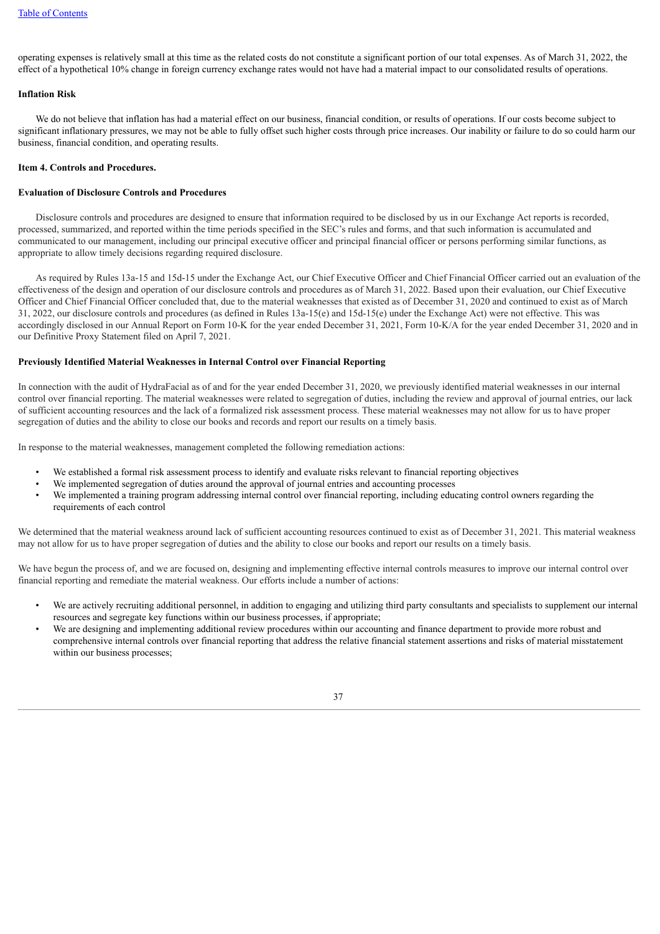operating expenses is relatively small at this time as the related costs do not constitute a significant portion of our total expenses. As of March 31, 2022, the effect of a hypothetical 10% change in foreign currency exchange rates would not have had a material impact to our consolidated results of operations.

## **Inflation Risk**

We do not believe that inflation has had a material effect on our business, financial condition, or results of operations. If our costs become subject to significant inflationary pressures, we may not be able to fully offset such higher costs through price increases. Our inability or failure to do so could harm our business, financial condition, and operating results.

## <span id="page-35-0"></span>**Item 4. Controls and Procedures.**

# **Evaluation of Disclosure Controls and Procedures**

Disclosure controls and procedures are designed to ensure that information required to be disclosed by us in our Exchange Act reports is recorded, processed, summarized, and reported within the time periods specified in the SEC's rules and forms, and that such information is accumulated and communicated to our management, including our principal executive officer and principal financial officer or persons performing similar functions, as appropriate to allow timely decisions regarding required disclosure.

As required by Rules 13a-15 and 15d-15 under the Exchange Act, our Chief Executive Officer and Chief Financial Officer carried out an evaluation of the effectiveness of the design and operation of our disclosure controls and procedures as of March 31, 2022. Based upon their evaluation, our Chief Executive Officer and Chief Financial Officer concluded that, due to the material weaknesses that existed as of December 31, 2020 and continued to exist as of March 31, 2022, our disclosure controls and procedures (as defined in Rules 13a-15(e) and 15d-15(e) under the Exchange Act) were not effective. This was accordingly disclosed in our Annual Report on Form 10-K for the year ended December 31, 2021, Form 10-K/A for the year ended December 31, 2020 and in our Definitive Proxy Statement filed on April 7, 2021.

# **Previously Identified Material Weaknesses in Internal Control over Financial Reporting**

In connection with the audit of HydraFacial as of and for the year ended December 31, 2020, we previously identified material weaknesses in our internal control over financial reporting. The material weaknesses were related to segregation of duties, including the review and approval of journal entries, our lack of sufficient accounting resources and the lack of a formalized risk assessment process. These material weaknesses may not allow for us to have proper segregation of duties and the ability to close our books and records and report our results on a timely basis.

In response to the material weaknesses, management completed the following remediation actions:

- We established a formal risk assessment process to identify and evaluate risks relevant to financial reporting objectives
- We implemented segregation of duties around the approval of journal entries and accounting processes
- We implemented a training program addressing internal control over financial reporting, including educating control owners regarding the requirements of each control

We determined that the material weakness around lack of sufficient accounting resources continued to exist as of December 31, 2021. This material weakness may not allow for us to have proper segregation of duties and the ability to close our books and report our results on a timely basis.

We have begun the process of, and we are focused on, designing and implementing effective internal controls measures to improve our internal control over financial reporting and remediate the material weakness. Our efforts include a number of actions:

- We are actively recruiting additional personnel, in addition to engaging and utilizing third party consultants and specialists to supplement our internal resources and segregate key functions within our business processes, if appropriate;
- We are designing and implementing additional review procedures within our accounting and finance department to provide more robust and comprehensive internal controls over financial reporting that address the relative financial statement assertions and risks of material misstatement within our business processes;

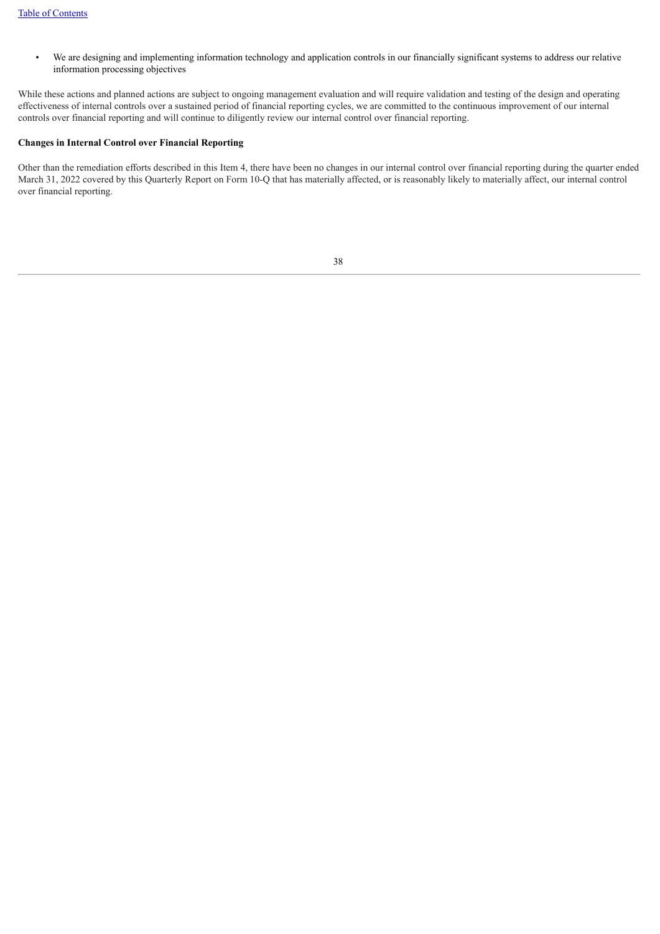• We are designing and implementing information technology and application controls in our financially significant systems to address our relative information processing objectives

While these actions and planned actions are subject to ongoing management evaluation and will require validation and testing of the design and operating effectiveness of internal controls over a sustained period of financial reporting cycles, we are committed to the continuous improvement of our internal controls over financial reporting and will continue to diligently review our internal control over financial reporting.

# **Changes in Internal Control over Financial Reporting**

Other than the remediation efforts described in this Item 4, there have been no changes in our internal control over financial reporting during the quarter ended March 31, 2022 covered by this Quarterly Report on Form 10-Q that has materially affected, or is reasonably likely to materially affect, our internal control over financial reporting.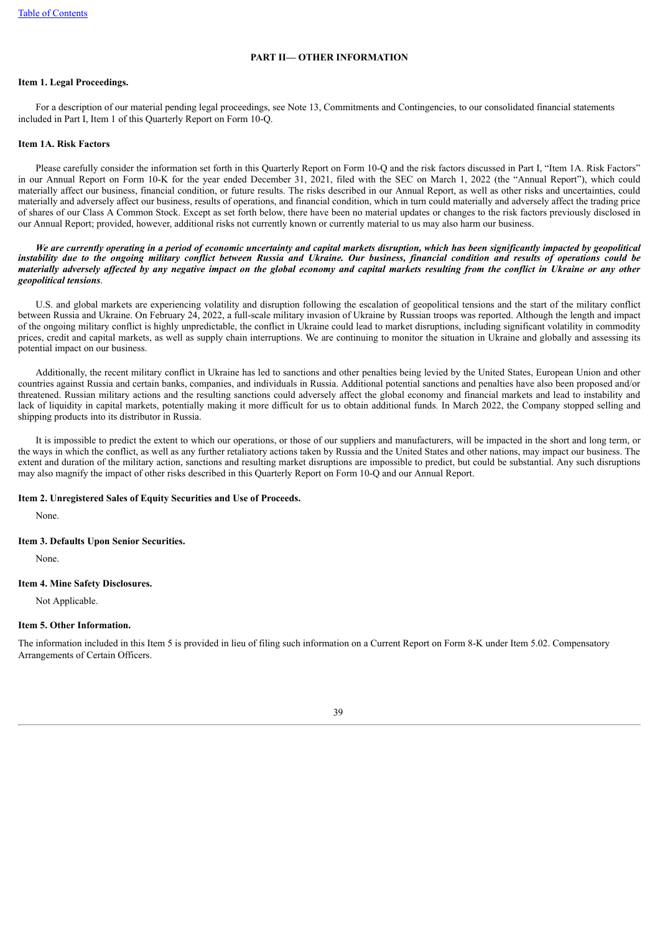# **PART II— OTHER INFORMATION**

#### <span id="page-37-0"></span>**Item 1. Legal Proceedings.**

For a description of our material pending legal proceedings, see Note 13, Commitments and Contingencies, to our consolidated financial statements included in Part I, Item 1 of this Quarterly Report on Form 10-Q.

## <span id="page-37-1"></span>**Item 1A. Risk Factors**

Please carefully consider the information set forth in this Quarterly Report on Form 10-Q and the risk factors discussed in Part I, "Item 1A, Risk Factors" in our Annual Report on Form 10-K for the year ended December 31, 2021, filed with the SEC on March 1, 2022 (the "Annual Report"), which could materially affect our business, financial condition, or future results. The risks described in our Annual Report, as well as other risks and uncertainties, could materially and adversely affect our business, results of operations, and financial condition, which in turn could materially and adversely affect the trading price of shares of our Class A Common Stock. Except as set forth below, there have been no material updates or changes to the risk factors previously disclosed in our Annual Report; provided, however, additional risks not currently known or currently material to us may also harm our business.

We are currently operating in a period of economic uncertainty and capital markets disruption, which has been significantly impacted by geopolitical instability due to the ongoing military conflict between Russia and Ukraine. Our business, financial condition and results of operations could be materially adversely affected by any negative impact on the global economy and capital markets resulting from the conflict in Ukraine or any other *geopolitical tensions*.

U.S. and global markets are experiencing volatility and disruption following the escalation of geopolitical tensions and the start of the military conflict between Russia and Ukraine. On February 24, 2022, a full-scale military invasion of Ukraine by Russian troops was reported. Although the length and impact of the ongoing military conflict is highly unpredictable, the conflict in Ukraine could lead to market disruptions, including significant volatility in commodity prices, credit and capital markets, as well as supply chain interruptions. We are continuing to monitor the situation in Ukraine and globally and assessing its potential impact on our business.

Additionally, the recent military conflict in Ukraine has led to sanctions and other penalties being levied by the United States, European Union and other countries against Russia and certain banks, companies, and individuals in Russia. Additional potential sanctions and penalties have also been proposed and/or threatened. Russian military actions and the resulting sanctions could adversely affect the global economy and financial markets and lead to instability and lack of liquidity in capital markets, potentially making it more difficult for us to obtain additional funds. In March 2022, the Company stopped selling and shipping products into its distributor in Russia.

It is impossible to predict the extent to which our operations, or those of our suppliers and manufacturers, will be impacted in the short and long term, or the ways in which the conflict, as well as any further retaliatory actions taken by Russia and the United States and other nations, may impact our business. The extent and duration of the military action, sanctions and resulting market disruptions are impossible to predict, but could be substantial. Any such disruptions may also magnify the impact of other risks described in this Quarterly Report on Form 10-Q and our Annual Report.

#### <span id="page-37-2"></span>**Item 2. Unregistered Sales of Equity Securities and Use of Proceeds.**

None.

#### <span id="page-37-3"></span>**Item 3. Defaults Upon Senior Securities.**

None.

#### <span id="page-37-4"></span>**Item 4. Mine Safety Disclosures.**

Not Applicable.

## <span id="page-37-5"></span>**Item 5. Other Information.**

The information included in this Item 5 is provided in lieu of filing such information on a Current Report on Form 8-K under Item 5.02. Compensatory Arrangements of Certain Officers.

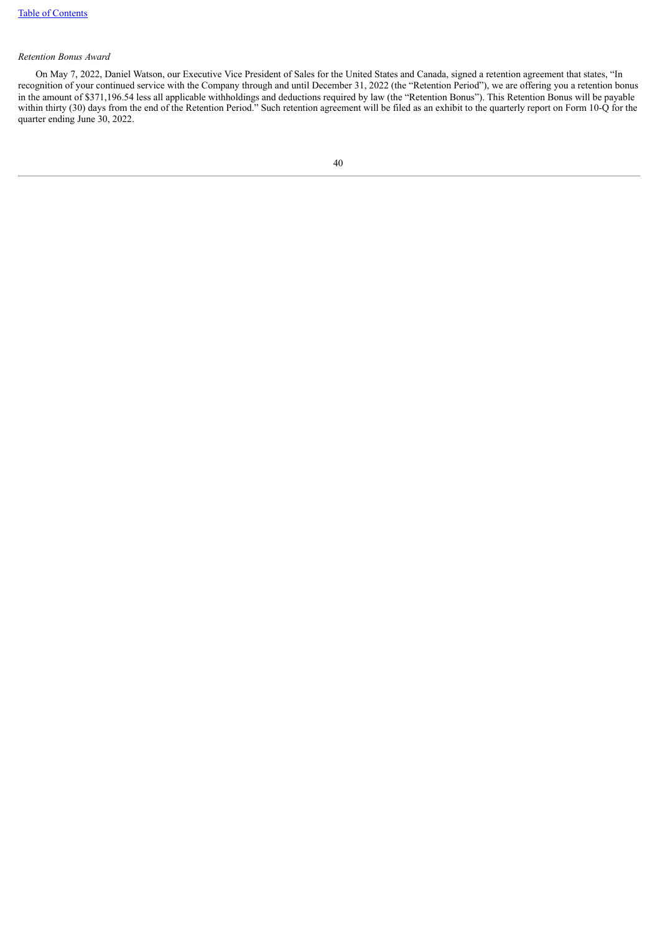# *Retention Bonus Award*

<span id="page-38-0"></span>On May 7, 2022, Daniel Watson, our Executive Vice President of Sales for the United States and Canada, signed a retention agreement that states, "In recognition of your continued service with the Company through and until December 31, 2022 (the "Retention Period"), we are offering you a retention bonus in the amount of \$371,196.54 less all applicable withholdings and deductions required by law (the "Retention Bonus"). This Retention Bonus will be payable within thirty (30) days from the end of the Retention Period." Such retention agreement will be filed as an exhibit to the quarterly report on Form 10-Q for the quarter ending June 30, 2022.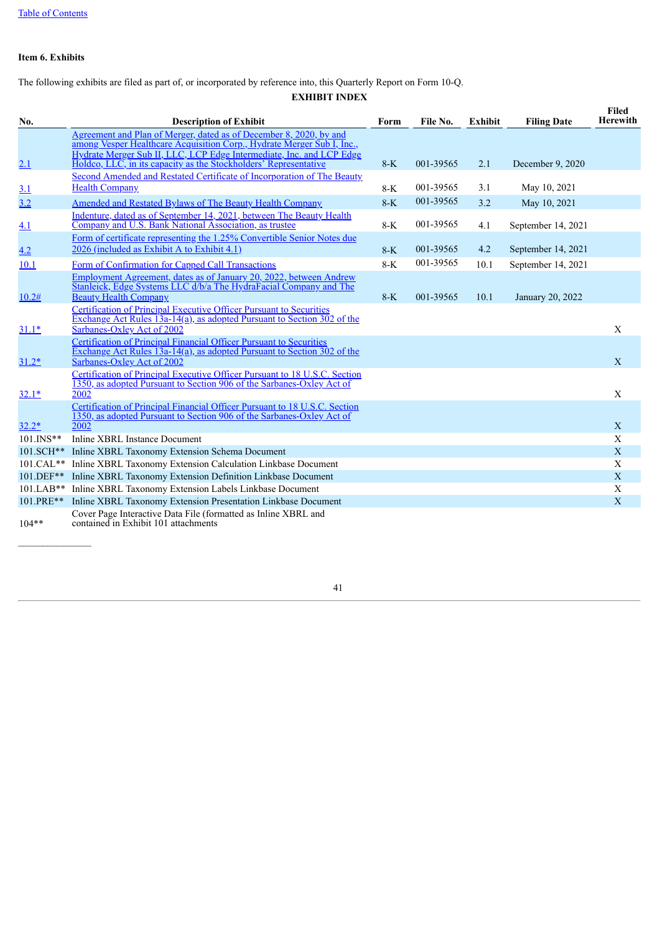# **Item 6. Exhibits**

 $\mathcal{L}_\text{max}$ 

The following exhibits are filed as part of, or incorporated by reference into, this Quarterly Report on Form 10-Q.

# **EXHIBIT INDEX**

| No.          | <b>Description of Exhibit</b>                                                                                                                                                                                        | Form  | File No.  | <b>Exhibit</b> | <b>Filing Date</b> | Filed<br><b>Herewith</b>  |
|--------------|----------------------------------------------------------------------------------------------------------------------------------------------------------------------------------------------------------------------|-------|-----------|----------------|--------------------|---------------------------|
|              | Agreement and Plan of Merger, dated as of December 8, 2020, by and<br>among Vesper Healthcare Acquisition Corp., Hydrate Merger Sub I, Inc.,<br>Hydrate Merger Sub II, LLC, LCP Edge Intermediate, Inc. and LCP Edge |       |           |                |                    |                           |
| 2.1          | Holdco, LLC, in its capacity as the Stockholders' Representative                                                                                                                                                     | $8-K$ | 001-39565 | 2.1            | December 9, 2020   |                           |
| 3.1          | Second Amended and Restated Certificate of Incorporation of The Beauty<br><b>Health Company</b>                                                                                                                      | $8-K$ | 001-39565 | 3.1            | May 10, 2021       |                           |
| 3.2          | Amended and Restated Bylaws of The Beauty Health Company                                                                                                                                                             | $8-K$ | 001-39565 | 3.2            | May 10, 2021       |                           |
| 4.1          | Indenture, dated as of September 14, 2021, between The Beauty Health<br>Company and U.S. Bank National Association, as trustee                                                                                       | $8-K$ | 001-39565 | 4.1            | September 14, 2021 |                           |
| 4.2          | Form of certificate representing the 1.25% Convertible Senior Notes due<br>2026 (included as Exhibit A to Exhibit 4.1)                                                                                               | $8-K$ | 001-39565 | 4.2            | September 14, 2021 |                           |
| 10.1         | Form of Confirmation for Capped Call Transactions                                                                                                                                                                    | $8-K$ | 001-39565 | 10.1           | September 14, 2021 |                           |
| 10.2#        | Employment Agreement, dates as of January 20, 2022, between Andrew<br>Stanleick, Edge Systems LLC d/b/a The HydraFacial Company and The<br><b>Beauty Health Company</b>                                              | $8-K$ | 001-39565 | 10.1           | January 20, 2022   |                           |
| $31.1*$      | Certification of Principal Executive Officer Pursuant to Securities<br>Exchange Act Rules $13a-14(a)$ , as adopted Pursuant to Section 302 of the<br>Sarbanes-Oxley Act of 2002                                      |       |           |                |                    | X                         |
| $31.2*$      | Certification of Principal Financial Officer Pursuant to Securities<br>Exchange Act Rules $13a-14(a)$ , as adopted Pursuant to Section 302 of the<br>Sarbanes-Oxley Act of 2002                                      |       |           |                |                    | X                         |
| $32.1*$      | Certification of Principal Executive Officer Pursuant to 18 U.S.C. Section<br>1350, as adopted Pursuant to Section 906 of the Sarbanes-Oxley Act of<br>2002                                                          |       |           |                |                    | X                         |
| $32.2*$      | Certification of Principal Financial Officer Pursuant to 18 U.S.C. Section<br>1350, as adopted Pursuant to Section 906 of the Sarbanes-Oxley Act of<br>2002                                                          |       |           |                |                    | X                         |
| $101.$ INS** | Inline XBRL Instance Document                                                                                                                                                                                        |       |           |                |                    | $\mathbf X$               |
| 101.SCH**    | Inline XBRL Taxonomy Extension Schema Document                                                                                                                                                                       |       |           |                |                    | $\mathbf X$               |
| 101.CAL**    | Inline XBRL Taxonomy Extension Calculation Linkbase Document                                                                                                                                                         |       |           |                |                    | X                         |
| 101.DEF**    | Inline XBRL Taxonomy Extension Definition Linkbase Document                                                                                                                                                          |       |           |                |                    | $\mathbf X$               |
| $101.LAB**$  | Inline XBRL Taxonomy Extension Labels Linkbase Document                                                                                                                                                              |       |           |                |                    | $\boldsymbol{\mathrm{X}}$ |
| 101.PRE**    | Inline XBRL Taxonomy Extension Presentation Linkbase Document                                                                                                                                                        |       |           |                |                    | $\mathbf X$               |
| $104**$      | Cover Page Interactive Data File (formatted as Inline XBRL and<br>contained in Exhibit 101 attachments                                                                                                               |       |           |                |                    |                           |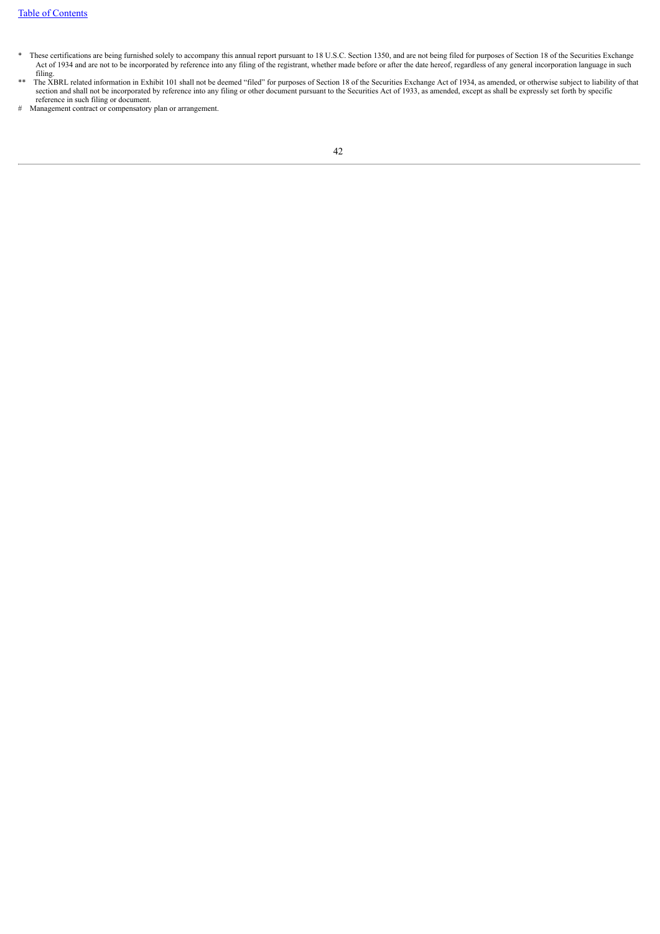- \* These certifications are being furnished solely to accompany this annual report pursuant to 18 U.S.C. Section 1350, and are not being filed for purposes of Section 18 of the Securities Exchange Act of 1934 and are not to be incorporated by reference into any filing of the registrant, whether made before or after the date hereof, regardless of any general incorporation language in such
- filing.<br>\*\* The XBRL related information in Exhibit 101 shall not be deemed "filed" for purposes of Section 18 of the Securities Exchange Act of 1934, as amended, or otherwise subject to liability of that<br>section and shall
- <span id="page-40-0"></span># Management contract or compensatory plan or arrangement.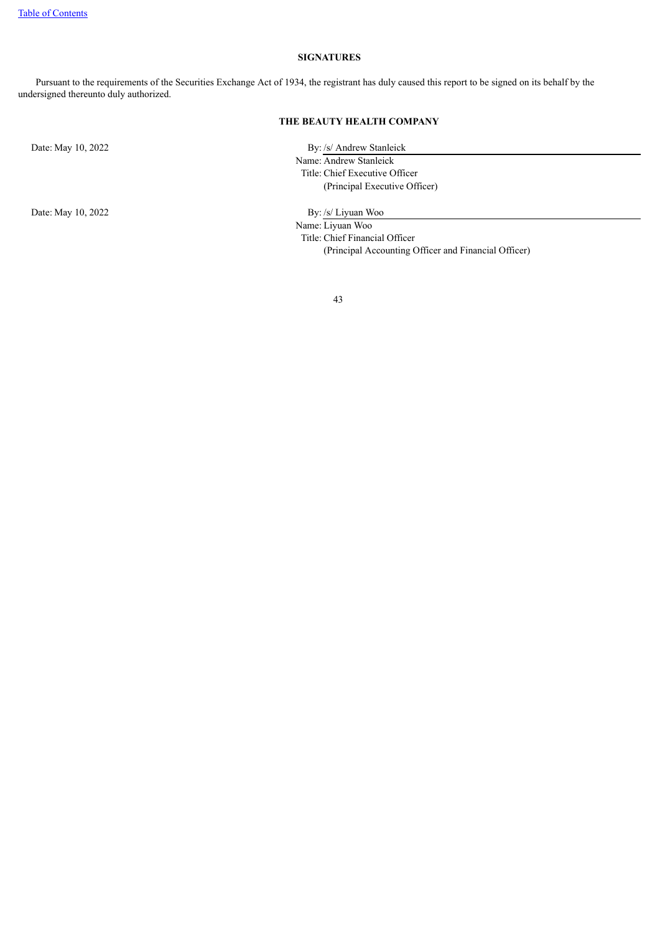# **SIGNATURES**

Pursuant to the requirements of the Securities Exchange Act of 1934, the registrant has duly caused this report to be signed on its behalf by the undersigned thereunto duly authorized.

# **THE BEAUTY HEALTH COMPANY**

Date: May 10, 2022 By: /s/ Andrew Stanleick

Date: May 10, 2022 By: /s/ Liyuan Woo

Name: Andrew Stanleick Title: Chief Executive Officer (Principal Executive Officer)

Name: Liyuan Woo Title: Chief Financial Officer (Principal Accounting Officer and Financial Officer)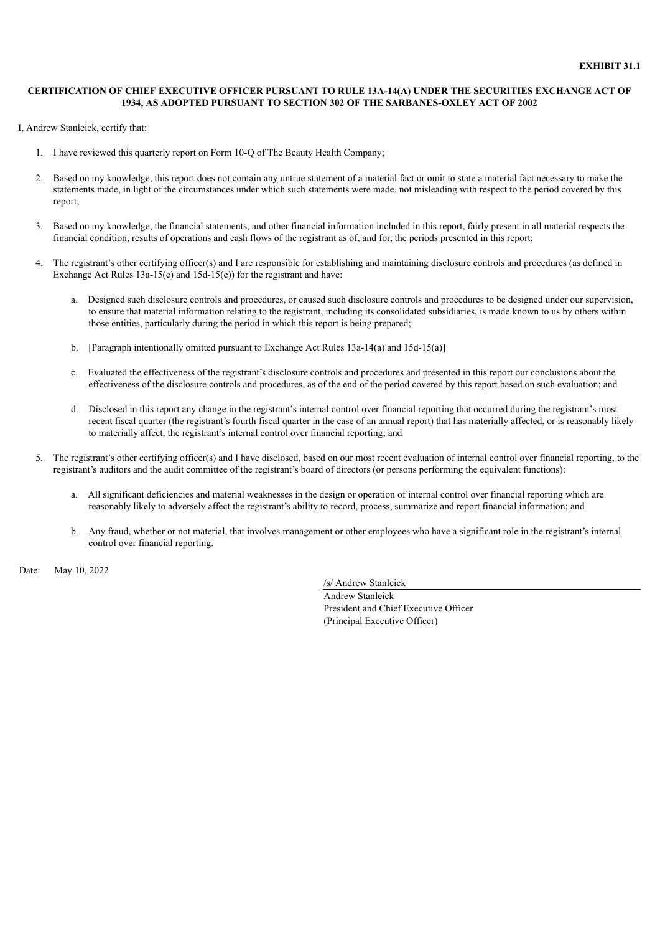# <span id="page-42-0"></span>**CERTIFICATION OF CHIEF EXECUTIVE OFFICER PURSUANT TO RULE 13A-14(A) UNDER THE SECURITIES EXCHANGE ACT OF 1934, AS ADOPTED PURSUANT TO SECTION 302 OF THE SARBANES-OXLEY ACT OF 2002**

I, Andrew Stanleick, certify that:

- 1. I have reviewed this quarterly report on Form 10-Q of The Beauty Health Company;
- 2. Based on my knowledge, this report does not contain any untrue statement of a material fact or omit to state a material fact necessary to make the statements made, in light of the circumstances under which such statements were made, not misleading with respect to the period covered by this report;
- 3. Based on my knowledge, the financial statements, and other financial information included in this report, fairly present in all material respects the financial condition, results of operations and cash flows of the registrant as of, and for, the periods presented in this report;
- 4. The registrant's other certifying officer(s) and I are responsible for establishing and maintaining disclosure controls and procedures (as defined in Exchange Act Rules 13a-15(e) and 15d-15(e)) for the registrant and have:
	- a. Designed such disclosure controls and procedures, or caused such disclosure controls and procedures to be designed under our supervision, to ensure that material information relating to the registrant, including its consolidated subsidiaries, is made known to us by others within those entities, particularly during the period in which this report is being prepared;
	- b. [Paragraph intentionally omitted pursuant to Exchange Act Rules 13a-14(a) and 15d-15(a)]
	- c. Evaluated the effectiveness of the registrant's disclosure controls and procedures and presented in this report our conclusions about the effectiveness of the disclosure controls and procedures, as of the end of the period covered by this report based on such evaluation; and
	- d. Disclosed in this report any change in the registrant's internal control over financial reporting that occurred during the registrant's most recent fiscal quarter (the registrant's fourth fiscal quarter in the case of an annual report) that has materially affected, or is reasonably likely to materially affect, the registrant's internal control over financial reporting; and
- 5. The registrant's other certifying officer(s) and I have disclosed, based on our most recent evaluation of internal control over financial reporting, to the registrant's auditors and the audit committee of the registrant's board of directors (or persons performing the equivalent functions):
	- a. All significant deficiencies and material weaknesses in the design or operation of internal control over financial reporting which are reasonably likely to adversely affect the registrant's ability to record, process, summarize and report financial information; and
	- b. Any fraud, whether or not material, that involves management or other employees who have a significant role in the registrant's internal control over financial reporting.

Date: May 10, 2022

/s/ Andrew Stanleick

Andrew Stanleick President and Chief Executive Officer (Principal Executive Officer)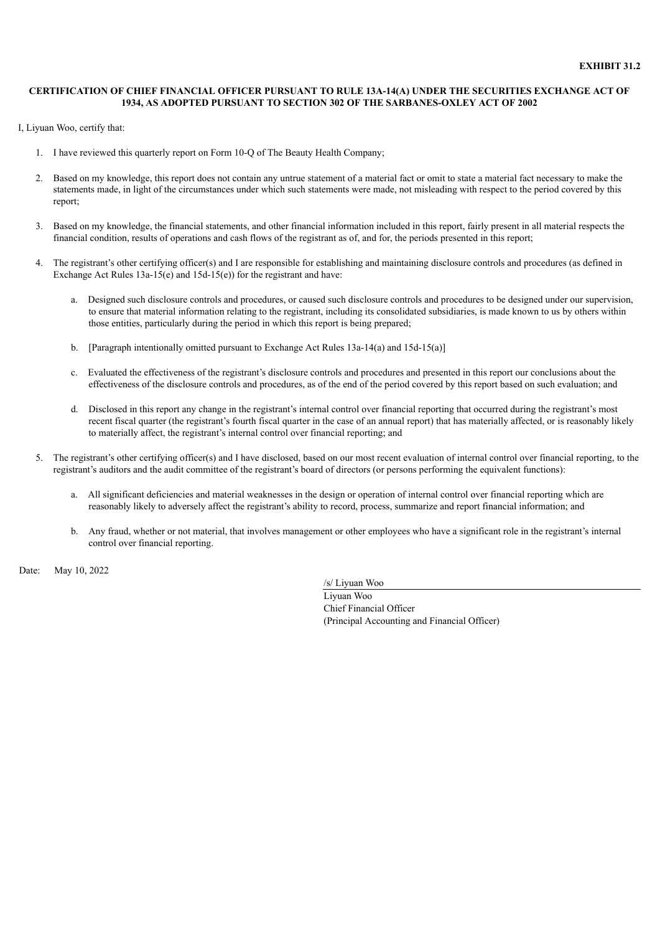# <span id="page-43-0"></span>**CERTIFICATION OF CHIEF FINANCIAL OFFICER PURSUANT TO RULE 13A-14(A) UNDER THE SECURITIES EXCHANGE ACT OF 1934, AS ADOPTED PURSUANT TO SECTION 302 OF THE SARBANES-OXLEY ACT OF 2002**

I, Liyuan Woo, certify that:

- 1. I have reviewed this quarterly report on Form 10-Q of The Beauty Health Company;
- 2. Based on my knowledge, this report does not contain any untrue statement of a material fact or omit to state a material fact necessary to make the statements made, in light of the circumstances under which such statements were made, not misleading with respect to the period covered by this report;
- 3. Based on my knowledge, the financial statements, and other financial information included in this report, fairly present in all material respects the financial condition, results of operations and cash flows of the registrant as of, and for, the periods presented in this report;
- 4. The registrant's other certifying officer(s) and I are responsible for establishing and maintaining disclosure controls and procedures (as defined in Exchange Act Rules 13a-15(e) and 15d-15(e)) for the registrant and have:
	- a. Designed such disclosure controls and procedures, or caused such disclosure controls and procedures to be designed under our supervision, to ensure that material information relating to the registrant, including its consolidated subsidiaries, is made known to us by others within those entities, particularly during the period in which this report is being prepared;
	- b. [Paragraph intentionally omitted pursuant to Exchange Act Rules 13a-14(a) and 15d-15(a)]
	- c. Evaluated the effectiveness of the registrant's disclosure controls and procedures and presented in this report our conclusions about the effectiveness of the disclosure controls and procedures, as of the end of the period covered by this report based on such evaluation; and
	- d. Disclosed in this report any change in the registrant's internal control over financial reporting that occurred during the registrant's most recent fiscal quarter (the registrant's fourth fiscal quarter in the case of an annual report) that has materially affected, or is reasonably likely to materially affect, the registrant's internal control over financial reporting; and
- 5. The registrant's other certifying officer(s) and I have disclosed, based on our most recent evaluation of internal control over financial reporting, to the registrant's auditors and the audit committee of the registrant's board of directors (or persons performing the equivalent functions):
	- a. All significant deficiencies and material weaknesses in the design or operation of internal control over financial reporting which are reasonably likely to adversely affect the registrant's ability to record, process, summarize and report financial information; and
	- b. Any fraud, whether or not material, that involves management or other employees who have a significant role in the registrant's internal control over financial reporting.

Date: May 10, 2022

/s/ Liyuan Woo

Liyuan Woo Chief Financial Officer (Principal Accounting and Financial Officer)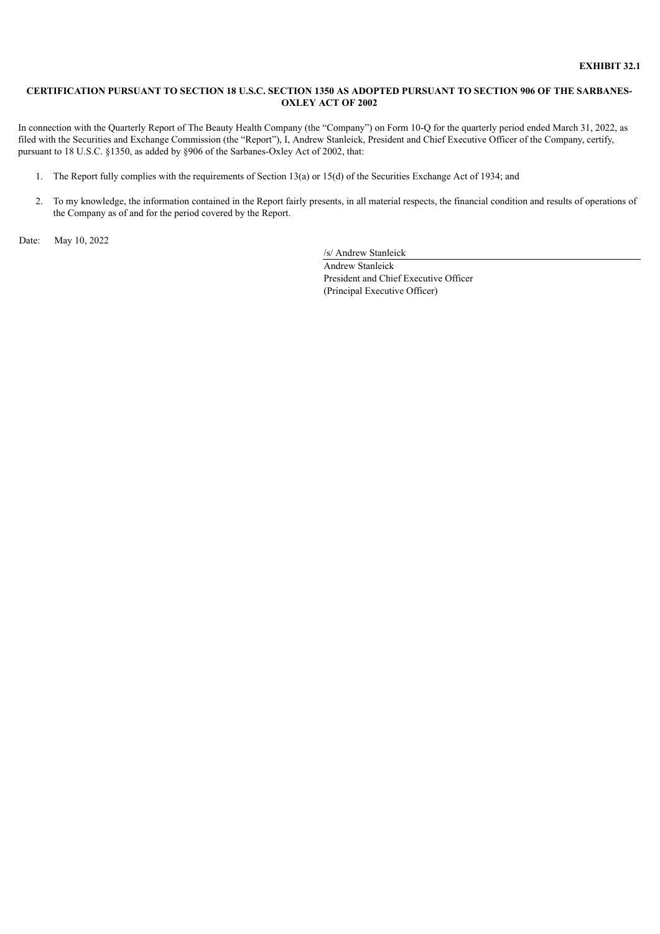# <span id="page-44-0"></span>CERTIFICATION PURSUANT TO SECTION 18 U.S.C. SECTION 1350 AS ADOPTED PURSUANT TO SECTION 906 OF THE SARBANES-**OXLEY ACT OF 2002**

In connection with the Quarterly Report of The Beauty Health Company (the "Company") on Form 10-Q for the quarterly period ended March 31, 2022, as filed with the Securities and Exchange Commission (the "Report"), I, Andrew Stanleick, President and Chief Executive Officer of the Company, certify, pursuant to 18 U.S.C. §1350, as added by §906 of the Sarbanes-Oxley Act of 2002, that:

- 1. The Report fully complies with the requirements of Section 13(a) or 15(d) of the Securities Exchange Act of 1934; and
- 2. To my knowledge, the information contained in the Report fairly presents, in all material respects, the financial condition and results of operations of the Company as of and for the period covered by the Report.

Date: May 10, 2022

/s/ Andrew Stanleick

Andrew Stanleick President and Chief Executive Officer (Principal Executive Officer)